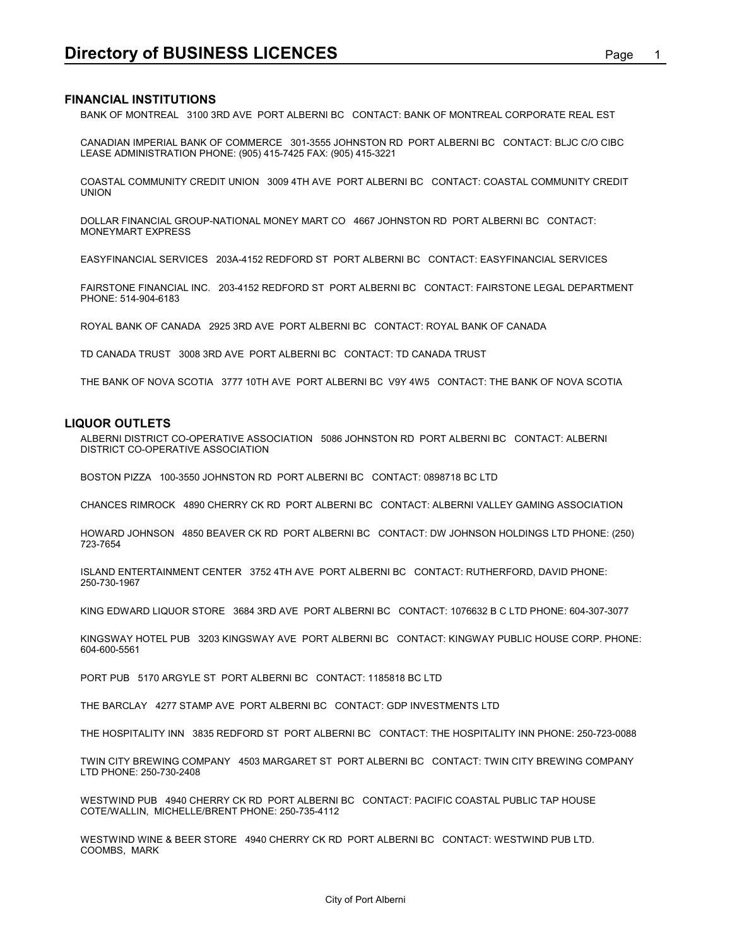## **FINANCIAL INSTITUTIONS**

**Directory of BUSINESS LICENCES**<br>FINANCIAL INSTITUTIONS<br>BANK OF MONTREAL 3100 3RD AVE PORT ALBERNI BC CONTACT: BANK OF MONTREAL CORPORATE REAL EST BANK OF MONTREAL 3100 3RD AVE PORT ALBERNI BC CONTACT: BANK OF MONTREAL CORPORATE REAL EST

CANADIAN IMPERIAL BANK OF COMMERCE 301-3555 JOHNSTON RD PORT ALBERNI BC CONTACT: BLJC C/O CIBC LEASE ADMINISTRATION PHONE: (905) 415-7425 FAX: (905) 415-3221

COASTAL COMMUNITY CREDIT UNION 3009 4TH AVE PORT ALBERNI BC CONTACT: COASTAL COMMUNITY CREDIT UNION

DOLLAR FINANCIAL GROUP-NATIONAL MONEY MART CO 4667 JOHNSTON RD PORT ALBERNI BC CONTACT: MONEYMART EXPRESS

EASYFINANCIAL SERVICES 203A-4152 REDFORD ST PORT ALBERNI BC CONTACT: EASYFINANCIAL SERVICES

FAIRSTONE FINANCIAL INC. 203-4152 REDFORD ST PORT ALBERNI BC CONTACT: FAIRSTONE LEGAL DEPARTMENT PHONE: 514-904-6183

ROYAL BANK OF CANADA 2925 3RD AVE PORT ALBERNI BC CONTACT: ROYAL BANK OF CANADA

TD CANADA TRUST 3008 3RD AVE PORT ALBERNI BC CONTACT: TD CANADA TRUST

THE BANK OF NOVA SCOTIA 3777 10TH AVE PORT ALBERNI BC V9Y 4W5 CONTACT: THE BANK OF NOVA SCOTIA

#### **LIQUOR OUTLETS**

ALBERNI DISTRICT CO-OPERATIVE ASSOCIATION 5086 JOHNSTON RD PORT ALBERNI BC CONTACT: ALBERNI DISTRICT CO-OPERATIVE ASSOCIATION

BOSTON PIZZA 100-3550 JOHNSTON RD PORT ALBERNI BC CONTACT: 0898718 BC LTD

CHANCES RIMROCK 4890 CHERRY CK RD PORT ALBERNI BC CONTACT: ALBERNI VALLEY GAMING ASSOCIATION

HOWARD JOHNSON 4850 BEAVER CK RD PORT ALBERNI BC CONTACT: DW JOHNSON HOLDINGS LTD PHONE: (250) 723-7654

ISLAND ENTERTAINMENT CENTER 3752 4TH AVE PORT ALBERNI BC CONTACT: RUTHERFORD, DAVID PHONE: 250-730-1967

KING EDWARD LIQUOR STORE 3684 3RD AVE PORT ALBERNI BC CONTACT: 1076632 B C LTD PHONE: 604-307-3077

KINGSWAY HOTEL PUB 3203 KINGSWAY AVE PORT ALBERNI BC CONTACT: KINGWAY PUBLIC HOUSE CORP. PHONE: 604-600-5561

PORT PUB 5170 ARGYLE ST PORT ALBERNI BC CONTACT: 1185818 BC LTD

THE BARCLAY 4277 STAMP AVE PORT ALBERNI BC CONTACT: GDP INVESTMENTS LTD

THE HOSPITALITY INN 3835 REDFORD ST PORT ALBERNI BC CONTACT: THE HOSPITALITY INN PHONE: 250-723-0088

TWIN CITY BREWING COMPANY 4503 MARGARET ST PORT ALBERNI BC CONTACT: TWIN CITY BREWING COMPANY LTD PHONE: 250-730-2408

WESTWIND PUB 4940 CHERRY CK RD PORT ALBERNI BC CONTACT: PACIFIC COASTAL PUBLIC TAP HOUSE COTE/WALLIN, MICHELLE/BRENT PHONE: 250-735-4112

WESTWIND WINE & BEER STORE 4940 CHERRY CK RD PORT ALBERNI BC CONTACT: WESTWIND PUB LTD. COOMBS, MARK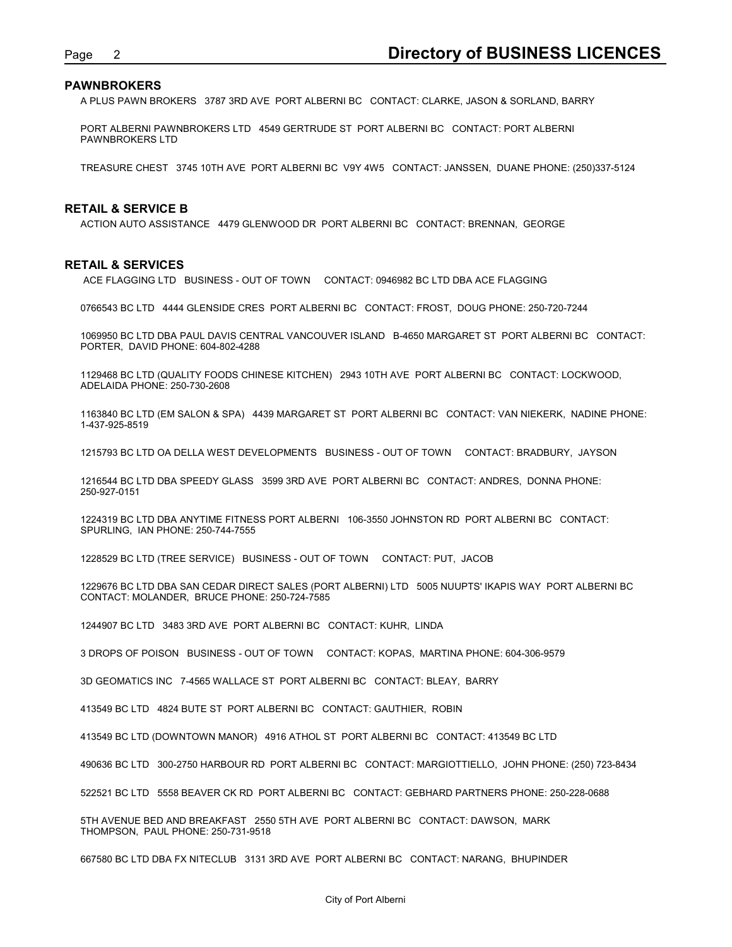## **PAWNBROKERS**

Page 2<br> **Directory of BUSINESS LICENCES**<br>
A PLUS PAWN BROKERS 3787 3RD AVE PORT ALBERNI BC CONTACT: CLARKE, JASON & SORLAND, BARRY<br>
PORT ALBERNI PAWNBROKERS LTD 4549 GERTRUDE ST PORT ALBERNI BC CONTACT: PORT ALBERNI A PLUS PAWN BROKERS 3787 3RD AVE PORT ALBERNI BC CONTACT: CLARKE, JASON & SORLAND, BARRY

PORT ALBERNI PAWNBROKERS LTD 4549 GERTRUDE ST PORT ALBERNI BC CONTACT: PORT ALBERNI PAWNBROKERS LTD

TREASURE CHEST 3745 10TH AVE PORT ALBERNI BC V9Y 4W5 CONTACT: JANSSEN, DUANE PHONE: (250)337-5124

#### **RETAIL & SERVICE B**

ACTION AUTO ASSISTANCE 4479 GLENWOOD DR PORT ALBERNI BC CONTACT: BRENNAN, GEORGE

#### **RETAIL & SERVICES**

ACE FLAGGING LTD BUSINESS - OUT OF TOWN CONTACT: 0946982 BC LTD DBA ACE FLAGGING

0766543 BC LTD 4444 GLENSIDE CRES PORT ALBERNI BC CONTACT: FROST, DOUG PHONE: 250-720-7244

1069950 BC LTD DBA PAUL DAVIS CENTRAL VANCOUVER ISLAND B-4650 MARGARET ST PORT ALBERNI BC CONTACT: PORTER, DAVID PHONE: 604-802-4288

1129468 BC LTD (QUALITY FOODS CHINESE KITCHEN) 2943 10TH AVE PORT ALBERNI BC CONTACT: LOCKWOOD, ADELAIDA PHONE: 250-730-2608

1163840 BC LTD (EM SALON & SPA) 4439 MARGARET ST PORT ALBERNI BC CONTACT: VAN NIEKERK, NADINE PHONE: 1-437-925-8519

1215793 BC LTD OA DELLA WEST DEVELOPMENTS BUSINESS - OUT OF TOWN CONTACT: BRADBURY, JAYSON

1216544 BC LTD DBA SPEEDY GLASS 3599 3RD AVE PORT ALBERNI BC CONTACT: ANDRES, DONNA PHONE: 250-927-0151

1224319 BC LTD DBA ANYTIME FITNESS PORT ALBERNI 106-3550 JOHNSTON RD PORT ALBERNI BC CONTACT: SPURLING, IAN PHONE: 250-744-7555

1228529 BC LTD (TREE SERVICE) BUSINESS - OUT OF TOWN CONTACT: PUT, JACOB

1229676 BC LTD DBA SAN CEDAR DIRECT SALES (PORT ALBERNI) LTD 5005 NUUPTS' IKAPIS WAY PORT ALBERNI BC CONTACT: MOLANDER, BRUCE PHONE: 250-724-7585

1244907 BC LTD 3483 3RD AVE PORT ALBERNI BC CONTACT: KUHR, LINDA

3 DROPS OF POISON BUSINESS - OUT OF TOWN CONTACT: KOPAS, MARTINA PHONE: 604-306-9579

3D GEOMATICS INC 7-4565 WALLACE ST PORT ALBERNI BC CONTACT: BLEAY, BARRY

413549 BC LTD 4824 BUTE ST PORT ALBERNI BC CONTACT: GAUTHIER, ROBIN

413549 BC LTD (DOWNTOWN MANOR) 4916 ATHOL ST PORT ALBERNI BC CONTACT: 413549 BC LTD

490636 BC LTD 300-2750 HARBOUR RD PORT ALBERNI BC CONTACT: MARGIOTTIELLO, JOHN PHONE: (250) 723-8434

522521 BC LTD 5558 BEAVER CK RD PORT ALBERNI BC CONTACT: GEBHARD PARTNERS PHONE: 250-228-0688

5TH AVENUE BED AND BREAKFAST 2550 5TH AVE PORT ALBERNI BC CONTACT: DAWSON, MARK THOMPSON, PAUL PHONE: 250-731-9518

667580 BC LTD DBA FX NITECLUB 3131 3RD AVE PORT ALBERNI BC CONTACT: NARANG, BHUPINDER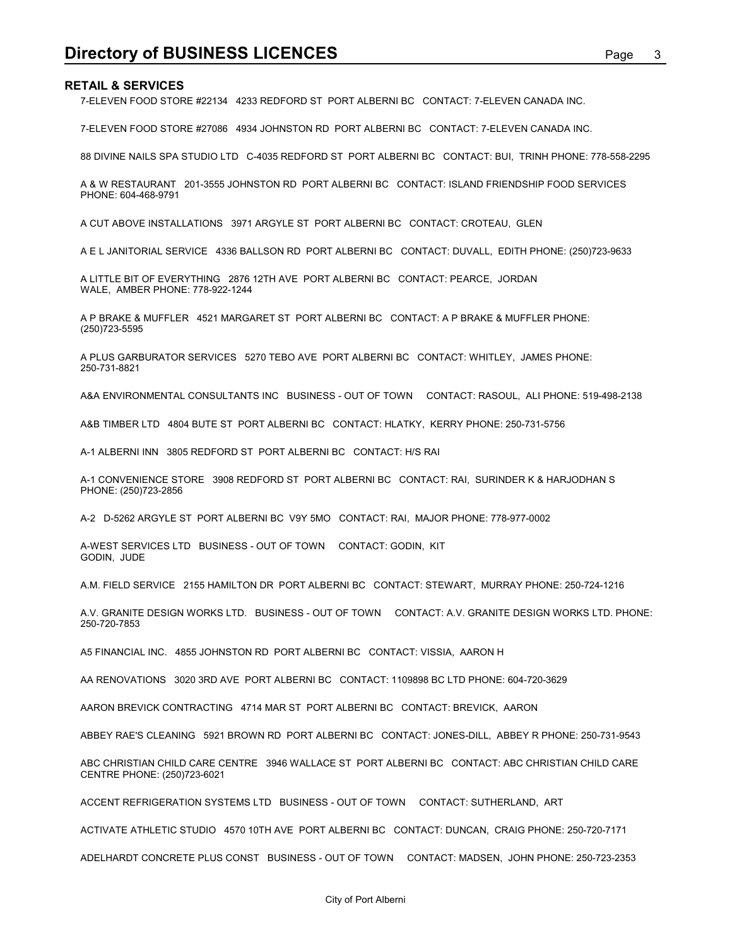**Directory of BUSINESS LICENCES**<br>RETAIL & SERVICES<br>7-ELEVEN FOOD STORE #22134 4233 REDFORD ST PORT ALBERNI BC CONTACT: 7-ELEVEN CANADA INC.<br>7-ELEVEN FOOD STORE #27086 4934 JOHNSTON RD PORT ALBERNI BC CONTACT: 7-ELEVEN CANA 7-ELEVEN FOOD STORE #22134 4233 REDFORD ST PORT ALBERNI BC CONTACT: 7-ELEVEN CANADA INC.

7-ELEVEN FOOD STORE #27086 4934 JOHNSTON RD PORT ALBERNI BC CONTACT: 7-ELEVEN CANADA INC.

88 DIVINE NAILS SPA STUDIO LTD C-4035 REDFORD ST PORT ALBERNI BC CONTACT: BUI, TRINH PHONE: 778-558-2295

A & W RESTAURANT 201-3555 JOHNSTON RD PORT ALBERNI BC CONTACT: ISLAND FRIENDSHIP FOOD SERVICES PHONE: 604-468-9791

A CUT ABOVE INSTALLATIONS 3971 ARGYLE ST PORT ALBERNI BC CONTACT: CROTEAU, GLEN

A E L JANITORIAL SERVICE 4336 BALLSON RD PORT ALBERNI BC CONTACT: DUVALL, EDITH PHONE: (250)723-9633

A LITTLE BIT OF EVERYTHING 2876 12TH AVE PORT ALBERNI BC CONTACT: PEARCE, JORDAN WALE, AMBER PHONE: 778-922-1244

A P BRAKE & MUFFLER 4521 MARGARET ST PORT ALBERNI BC CONTACT: A P BRAKE & MUFFLER PHONE: (250)723-5595

A PLUS GARBURATOR SERVICES 5270 TEBO AVE PORT ALBERNI BC CONTACT: WHITLEY, JAMES PHONE: 250-731-8821

A&A ENVIRONMENTAL CONSULTANTS INC BUSINESS - OUT OF TOWN CONTACT: RASOUL, ALI PHONE: 519-498-2138

A&B TIMBER LTD 4804 BUTE ST PORT ALBERNI BC CONTACT: HLATKY, KERRY PHONE: 250-731-5756

A-1 ALBERNI INN 3805 REDFORD ST PORT ALBERNI BC CONTACT: H/S RAI

A-1 CONVENIENCE STORE 3908 REDFORD ST PORT ALBERNI BC CONTACT: RAI, SURINDER K & HARJODHAN S PHONE: (250)723-2856

A-2 D-5262 ARGYLE ST PORT ALBERNI BC V9Y 5MO CONTACT: RAI, MAJOR PHONE: 778-977-0002

A-WEST SERVICES LTD BUSINESS - OUT OF TOWN CONTACT: GODIN, KIT GODIN, JUDE

A.M. FIELD SERVICE 2155 HAMILTON DR PORT ALBERNI BC CONTACT: STEWART, MURRAY PHONE: 250-724-1216

A.V. GRANITE DESIGN WORKS LTD. BUSINESS - OUT OF TOWN CONTACT: A.V. GRANITE DESIGN WORKS LTD. PHONE: 250-720-7853

A5 FINANCIAL INC. 4855 JOHNSTON RD PORT ALBERNI BC CONTACT: VISSIA, AARON H

AA RENOVATIONS 3020 3RD AVE PORT ALBERNI BC CONTACT: 1109898 BC LTD PHONE: 604-720-3629

AARON BREVICK CONTRACTING 4714 MAR ST PORT ALBERNI BC CONTACT: BREVICK, AARON

ABBEY RAE'S CLEANING 5921 BROWN RD PORT ALBERNI BC CONTACT: JONES-DILL, ABBEY R PHONE: 250-731-9543

ABC CHRISTIAN CHILD CARE CENTRE 3946 WALLACE ST PORT ALBERNI BC CONTACT: ABC CHRISTIAN CHILD CARE CENTRE PHONE: (250)723-6021

ACCENT REFRIGERATION SYSTEMS LTD BUSINESS - OUT OF TOWN CONTACT: SUTHERLAND, ART

ACTIVATE ATHLETIC STUDIO 4570 10TH AVE PORT ALBERNI BC CONTACT: DUNCAN, CRAIG PHONE: 250-720-7171

ADELHARDT CONCRETE PLUS CONST BUSINESS - OUT OF TOWN CONTACT: MADSEN, JOHN PHONE: 250-723-2353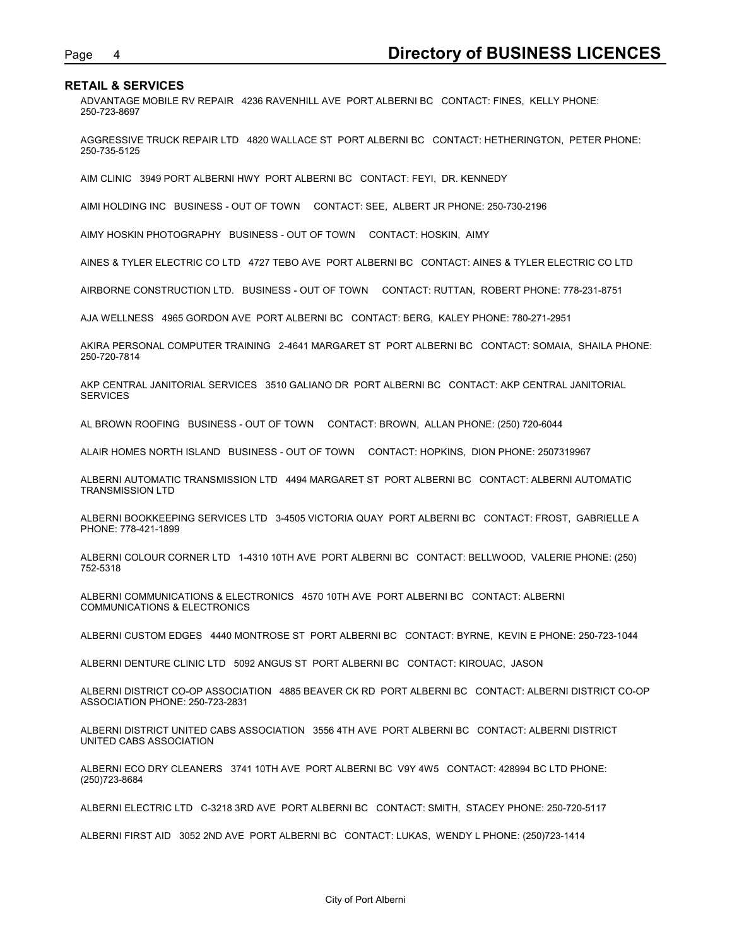Page 4<br>**Directory of BUSINESS LICENCES**<br>ADVANTAGE MOBILE RV REPAIR 4236 RAVENHILL AVE PORT ALBERNI BC CONTACT: FINES, KELLY PHONE:<br>250-723-8697 ADVANTAGE MOBILE RV REPAIR 4236 RAVENHILL AVE PORT ALBERNI BC CONTACT: FINES, KELLY PHONE: 250-723-8697

AGGRESSIVE TRUCK REPAIR LTD 4820 WALLACE ST PORT ALBERNI BC CONTACT: HETHERINGTON, PETER PHONE: 250-735-5125

AIM CLINIC 3949 PORT ALBERNI HWY PORT ALBERNI BC CONTACT: FEYI, DR. KENNEDY

AIMI HOLDING INC BUSINESS - OUT OF TOWN CONTACT: SEE, ALBERT JR PHONE: 250-730-2196

AIMY HOSKIN PHOTOGRAPHY BUSINESS - OUT OF TOWN CONTACT: HOSKIN, AIMY

AINES & TYLER ELECTRIC CO LTD 4727 TEBO AVE PORT ALBERNI BC CONTACT: AINES & TYLER ELECTRIC CO LTD

AIRBORNE CONSTRUCTION LTD. BUSINESS - OUT OF TOWN CONTACT: RUTTAN, ROBERT PHONE: 778-231-8751

AJA WELLNESS 4965 GORDON AVE PORT ALBERNI BC CONTACT: BERG, KALEY PHONE: 780-271-2951

AKIRA PERSONAL COMPUTER TRAINING 2-4641 MARGARET ST PORT ALBERNI BC CONTACT: SOMAIA, SHAILA PHONE: 250-720-7814

AKP CENTRAL JANITORIAL SERVICES 3510 GALIANO DR PORT ALBERNI BC CONTACT: AKP CENTRAL JANITORIAL **SERVICES** 

AL BROWN ROOFING BUSINESS - OUT OF TOWN CONTACT: BROWN, ALLAN PHONE: (250) 720-6044

ALAIR HOMES NORTH ISLAND BUSINESS - OUT OF TOWN CONTACT: HOPKINS, DION PHONE: 2507319967

ALBERNI AUTOMATIC TRANSMISSION LTD 4494 MARGARET ST PORT ALBERNI BC CONTACT: ALBERNI AUTOMATIC TRANSMISSION LTD

ALBERNI BOOKKEEPING SERVICES LTD 3-4505 VICTORIA QUAY PORT ALBERNI BC CONTACT: FROST, GABRIELLE A PHONE: 778-421-1899

ALBERNI COLOUR CORNER LTD 1-4310 10TH AVE PORT ALBERNI BC CONTACT: BELLWOOD, VALERIE PHONE: (250) 752-5318

ALBERNI COMMUNICATIONS & ELECTRONICS 4570 10TH AVE PORT ALBERNI BC CONTACT: ALBERNI COMMUNICATIONS & ELECTRONICS

ALBERNI CUSTOM EDGES 4440 MONTROSE ST PORT ALBERNI BC CONTACT: BYRNE, KEVIN E PHONE: 250-723-1044

ALBERNI DENTURE CLINIC LTD 5092 ANGUS ST PORT ALBERNI BC CONTACT: KIROUAC, JASON

ALBERNI DISTRICT CO-OP ASSOCIATION 4885 BEAVER CK RD PORT ALBERNI BC CONTACT: ALBERNI DISTRICT CO-OP ASSOCIATION PHONE: 250-723-2831

ALBERNI DISTRICT UNITED CABS ASSOCIATION 3556 4TH AVE PORT ALBERNI BC CONTACT: ALBERNI DISTRICT UNITED CABS ASSOCIATION

ALBERNI ECO DRY CLEANERS 3741 10TH AVE PORT ALBERNI BC V9Y 4W5 CONTACT: 428994 BC LTD PHONE: (250)723-8684

ALBERNI ELECTRIC LTD C-3218 3RD AVE PORT ALBERNI BC CONTACT: SMITH, STACEY PHONE: 250-720-5117

ALBERNI FIRST AID 3052 2ND AVE PORT ALBERNI BC CONTACT: LUKAS, WENDY L PHONE: (250)723-1414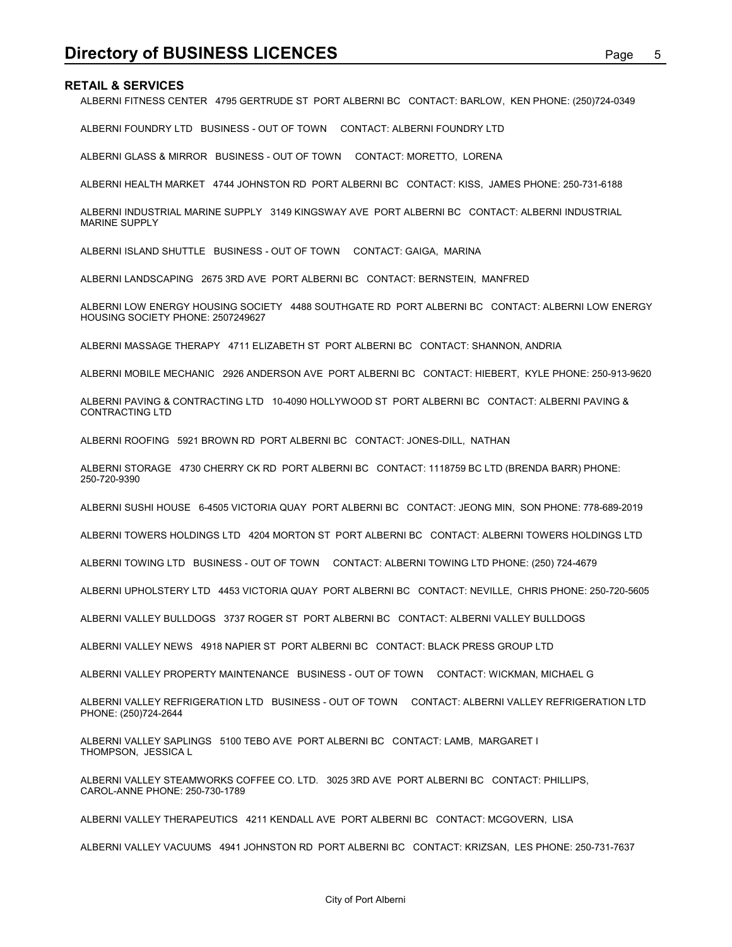**Directory of BUSINESS LICENCES**<br>RETAIL & SERVICES<br>ALBERNI FITNESS CENTER 4795 GERTRUDE ST PORT ALBERNI BC CONTACT: BARLOW, KEN PHONE: (250)724-0349<br>ALBERNI FOUNDRY LTD BUSINESS - OUT OF TOWN CONTACT: ALBERNI FOUNDRY LTD ALBERNI FITNESS CENTER 4795 GERTRUDE ST PORT ALBERNI BC CONTACT: BARLOW, KEN PHONE: (250)724-0349

ALBERNI FOUNDRY LTD BUSINESS - OUT OF TOWN CONTACT: ALBERNI FOUNDRY LTD

ALBERNI GLASS & MIRROR BUSINESS - OUT OF TOWN CONTACT: MORETTO, LORENA

ALBERNI HEALTH MARKET 4744 JOHNSTON RD PORT ALBERNI BC CONTACT: KISS, JAMES PHONE: 250-731-6188

ALBERNI INDUSTRIAL MARINE SUPPLY 3149 KINGSWAY AVE PORT ALBERNI BC CONTACT: ALBERNI INDUSTRIAL MARINE SUPPLY

ALBERNI ISLAND SHUTTLE BUSINESS - OUT OF TOWN CONTACT: GAIGA, MARINA

ALBERNI LANDSCAPING 2675 3RD AVE PORT ALBERNI BC CONTACT: BERNSTEIN, MANFRED

ALBERNI LOW ENERGY HOUSING SOCIETY 4488 SOUTHGATE RD PORT ALBERNI BC CONTACT: ALBERNI LOW ENERGY HOUSING SOCIETY PHONE: 2507249627

ALBERNI MASSAGE THERAPY 4711 ELIZABETH ST PORT ALBERNI BC CONTACT: SHANNON, ANDRIA

ALBERNI MOBILE MECHANIC 2926 ANDERSON AVE PORT ALBERNI BC CONTACT: HIEBERT, KYLE PHONE: 250-913-9620

ALBERNI PAVING & CONTRACTING LTD 10-4090 HOLLYWOOD ST PORT ALBERNI BC CONTACT: ALBERNI PAVING & CONTRACTING LTD

ALBERNI ROOFING 5921 BROWN RD PORT ALBERNI BC CONTACT: JONES-DILL, NATHAN

ALBERNI STORAGE 4730 CHERRY CK RD PORT ALBERNI BC CONTACT: 1118759 BC LTD (BRENDA BARR) PHONE: 250-720-9390

ALBERNI SUSHI HOUSE 6-4505 VICTORIA QUAY PORT ALBERNI BC CONTACT: JEONG MIN, SON PHONE: 778-689-2019

ALBERNI TOWERS HOLDINGS LTD 4204 MORTON ST PORT ALBERNI BC CONTACT: ALBERNI TOWERS HOLDINGS LTD

ALBERNI TOWING LTD BUSINESS - OUT OF TOWN CONTACT: ALBERNI TOWING LTD PHONE: (250) 724-4679

ALBERNI UPHOLSTERY LTD 4453 VICTORIA QUAY PORT ALBERNI BC CONTACT: NEVILLE, CHRIS PHONE: 250-720-5605

ALBERNI VALLEY BULLDOGS 3737 ROGER ST PORT ALBERNI BC CONTACT: ALBERNI VALLEY BULLDOGS

ALBERNI VALLEY NEWS 4918 NAPIER ST PORT ALBERNI BC CONTACT: BLACK PRESS GROUP LTD

ALBERNI VALLEY PROPERTY MAINTENANCE BUSINESS - OUT OF TOWN CONTACT: WICKMAN, MICHAEL G

ALBERNI VALLEY REFRIGERATION LTD BUSINESS - OUT OF TOWN CONTACT: ALBERNI VALLEY REFRIGERATION LTD PHONE: (250)724-2644

ALBERNI VALLEY SAPLINGS 5100 TEBO AVE PORT ALBERNI BC CONTACT: LAMB, MARGARET I THOMPSON, JESSICA L

ALBERNI VALLEY STEAMWORKS COFFEE CO. LTD. 3025 3RD AVE PORT ALBERNI BC CONTACT: PHILLIPS, CAROL-ANNE PHONE: 250-730-1789

ALBERNI VALLEY THERAPEUTICS 4211 KENDALL AVE PORT ALBERNI BC CONTACT: MCGOVERN, LISA

ALBERNI VALLEY VACUUMS 4941 JOHNSTON RD PORT ALBERNI BC CONTACT: KRIZSAN, LES PHONE: 250-731-7637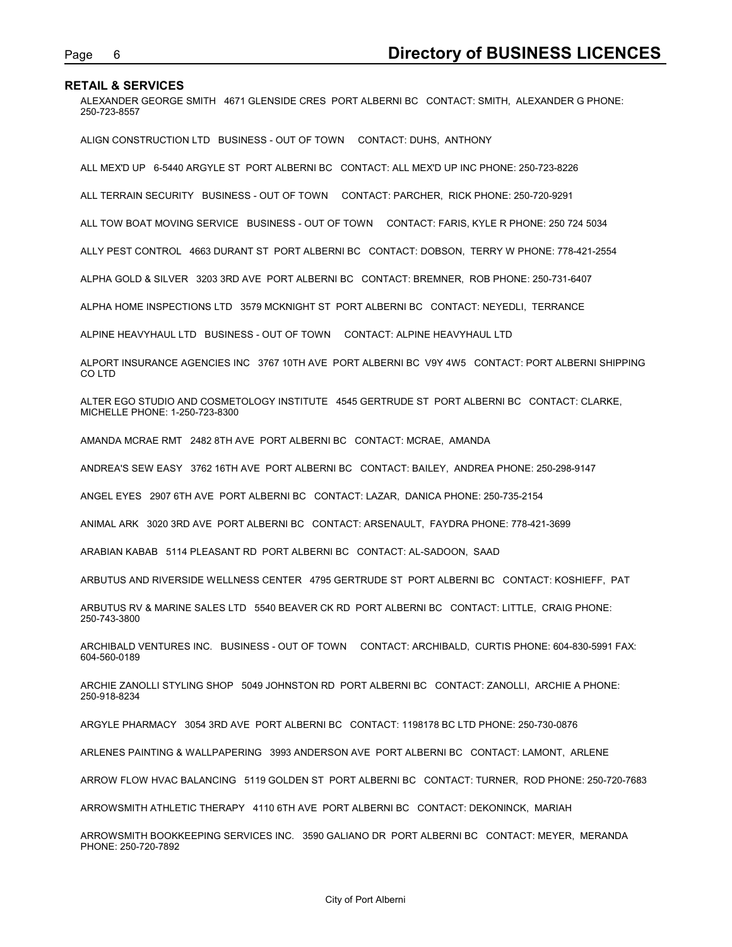Page 6<br>**Directory of BUSINESS LICENCES**<br>ALEXANDER GEORGE SMITH 4671 GLENSIDE CRES PORT ALBERNI BC CONTACT: SMITH, ALEXANDER G PHONE:<br>250-723-8557 ALEXANDER GEORGE SMITH 4671 GLENSIDE CRES PORT ALBERNI BC CONTACT: SMITH, ALEXANDER G PHONE: 250-723-8557

ALIGN CONSTRUCTION LTD BUSINESS - OUT OF TOWN CONTACT: DUHS, ANTHONY

ALL MEX'D UP 6-5440 ARGYLE ST PORT ALBERNI BC CONTACT: ALL MEX'D UP INC PHONE: 250-723-8226

ALL TERRAIN SECURITY BUSINESS - OUT OF TOWN CONTACT: PARCHER, RICK PHONE: 250-720-9291

ALL TOW BOAT MOVING SERVICE BUSINESS - OUT OF TOWN CONTACT: FARIS, KYLE R PHONE: 250 724 5034

ALLY PEST CONTROL 4663 DURANT ST PORT ALBERNI BC CONTACT: DOBSON, TERRY W PHONE: 778-421-2554

ALPHA GOLD & SILVER 3203 3RD AVE PORT ALBERNI BC CONTACT: BREMNER, ROB PHONE: 250-731-6407

ALPHA HOME INSPECTIONS LTD 3579 MCKNIGHT ST PORT ALBERNI BC CONTACT: NEYEDLI, TERRANCE

ALPINE HEAVYHAUL LTD BUSINESS - OUT OF TOWN CONTACT: ALPINE HEAVYHAUL LTD

ALPORT INSURANCE AGENCIES INC 3767 10TH AVE PORT ALBERNI BC V9Y 4W5 CONTACT: PORT ALBERNI SHIPPING CO LTD

ALTER EGO STUDIO AND COSMETOLOGY INSTITUTE 4545 GERTRUDE ST PORT ALBERNI BC CONTACT: CLARKE, MICHELLE PHONE: 1-250-723-8300

AMANDA MCRAE RMT 2482 8TH AVE PORT ALBERNI BC CONTACT: MCRAE, AMANDA

ANDREA'S SEW EASY 3762 16TH AVE PORT ALBERNI BC CONTACT: BAILEY, ANDREA PHONE: 250-298-9147

ANGEL EYES 2907 6TH AVE PORT ALBERNI BC CONTACT: LAZAR, DANICA PHONE: 250-735-2154

ANIMAL ARK 3020 3RD AVE PORT ALBERNI BC CONTACT: ARSENAULT, FAYDRA PHONE: 778-421-3699

ARABIAN KABAB 5114 PLEASANT RD PORT ALBERNI BC CONTACT: AL-SADOON, SAAD

ARBUTUS AND RIVERSIDE WELLNESS CENTER 4795 GERTRUDE ST PORT ALBERNI BC CONTACT: KOSHIEFF, PAT

ARBUTUS RV & MARINE SALES LTD 5540 BEAVER CK RD PORT ALBERNI BC CONTACT: LITTLE, CRAIG PHONE: 250-743-3800

ARCHIBALD VENTURES INC. BUSINESS - OUT OF TOWN CONTACT: ARCHIBALD, CURTIS PHONE: 604-830-5991 FAX: 604-560-0189

ARCHIE ZANOLLI STYLING SHOP 5049 JOHNSTON RD PORT ALBERNI BC CONTACT: ZANOLLI, ARCHIE A PHONE: 250-918-8234

ARGYLE PHARMACY 3054 3RD AVE PORT ALBERNI BC CONTACT: 1198178 BC LTD PHONE: 250-730-0876

ARLENES PAINTING & WALLPAPERING 3993 ANDERSON AVE PORT ALBERNI BC CONTACT: LAMONT, ARLENE

ARROW FLOW HVAC BALANCING 5119 GOLDEN ST PORT ALBERNI BC CONTACT: TURNER, ROD PHONE: 250-720-7683

ARROWSMITH ATHLETIC THERAPY 4110 6TH AVE PORT ALBERNI BC CONTACT: DEKONINCK, MARIAH

ARROWSMITH BOOKKEEPING SERVICES INC. 3590 GALIANO DR PORT ALBERNI BC CONTACT: MEYER, MERANDA PHONE: 250-720-7892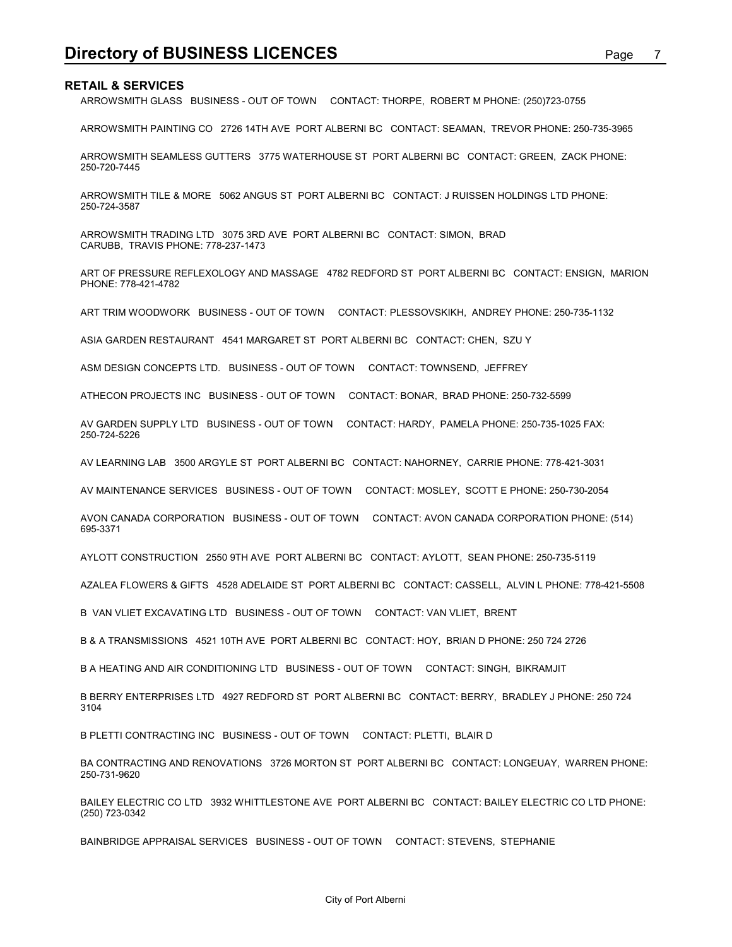**Directory of BUSINESS LICENCES**<br>RETAIL & SERVICES<br>ARROWSMITH GLASS BUSINESS - OUT OF TOWN CONTACT: THORPE, ROBERT M PHONE: (250)723-0755<br>ARROWSMITH PAINTING CO 2726 14TH AVE PORT ALBERNI BC CONTACT: SEAMAN, TREVOR PHONE: ARROWSMITH GLASS BUSINESS - OUT OF TOWN CONTACT: THORPE, ROBERT M PHONE: (250)723-0755

ARROWSMITH PAINTING CO 2726 14TH AVE PORT ALBERNI BC CONTACT: SEAMAN, TREVOR PHONE: 250-735-3965

ARROWSMITH SEAMLESS GUTTERS 3775 WATERHOUSE ST PORT ALBERNI BC CONTACT: GREEN, ZACK PHONE: 250-720-7445

ARROWSMITH TILE & MORE 5062 ANGUS ST PORT ALBERNI BC CONTACT: J RUISSEN HOLDINGS LTD PHONE: 250-724-3587

ARROWSMITH TRADING LTD 3075 3RD AVE PORT ALBERNI BC CONTACT: SIMON, BRAD CARUBB, TRAVIS PHONE: 778-237-1473

ART OF PRESSURE REFLEXOLOGY AND MASSAGE 4782 REDFORD ST PORT ALBERNI BC CONTACT: ENSIGN, MARION PHONE: 778-421-4782

ART TRIM WOODWORK BUSINESS - OUT OF TOWN CONTACT: PLESSOVSKIKH, ANDREY PHONE: 250-735-1132

ASIA GARDEN RESTAURANT 4541 MARGARET ST PORT ALBERNI BC CONTACT: CHEN, SZU Y

ASM DESIGN CONCEPTS LTD. BUSINESS - OUT OF TOWN CONTACT: TOWNSEND, JEFFREY

ATHECON PROJECTS INC BUSINESS - OUT OF TOWN CONTACT: BONAR, BRAD PHONE: 250-732-5599

AV GARDEN SUPPLY LTD BUSINESS - OUT OF TOWN CONTACT: HARDY, PAMELA PHONE: 250-735-1025 FAX: 250-724-5226

AV LEARNING LAB 3500 ARGYLE ST PORT ALBERNI BC CONTACT: NAHORNEY, CARRIE PHONE: 778-421-3031

AV MAINTENANCE SERVICES BUSINESS - OUT OF TOWN CONTACT: MOSLEY, SCOTT E PHONE: 250-730-2054

AVON CANADA CORPORATION BUSINESS - OUT OF TOWN CONTACT: AVON CANADA CORPORATION PHONE: (514) 695-3371

AYLOTT CONSTRUCTION 2550 9TH AVE PORT ALBERNI BC CONTACT: AYLOTT, SEAN PHONE: 250-735-5119

AZALEA FLOWERS & GIFTS 4528 ADELAIDE ST PORT ALBERNI BC CONTACT: CASSELL, ALVIN L PHONE: 778-421-5508

B VAN VLIET EXCAVATING LTD BUSINESS - OUT OF TOWN CONTACT: VAN VLIET, BRENT

B & A TRANSMISSIONS 4521 10TH AVE PORT ALBERNI BC CONTACT: HOY, BRIAN D PHONE: 250 724 2726

B A HEATING AND AIR CONDITIONING LTD BUSINESS - OUT OF TOWN CONTACT: SINGH, BIKRAMJIT

B BERRY ENTERPRISES LTD 4927 REDFORD ST PORT ALBERNI BC CONTACT: BERRY, BRADLEY J PHONE: 250 724 3104

B PLETTI CONTRACTING INC BUSINESS - OUT OF TOWN CONTACT: PLETTI, BLAIR D

BA CONTRACTING AND RENOVATIONS 3726 MORTON ST PORT ALBERNI BC CONTACT: LONGEUAY, WARREN PHONE: 250-731-9620

BAILEY ELECTRIC CO LTD 3932 WHITTLESTONE AVE PORT ALBERNI BC CONTACT: BAILEY ELECTRIC CO LTD PHONE: (250) 723-0342

BAINBRIDGE APPRAISAL SERVICES BUSINESS - OUT OF TOWN CONTACT: STEVENS, STEPHANIE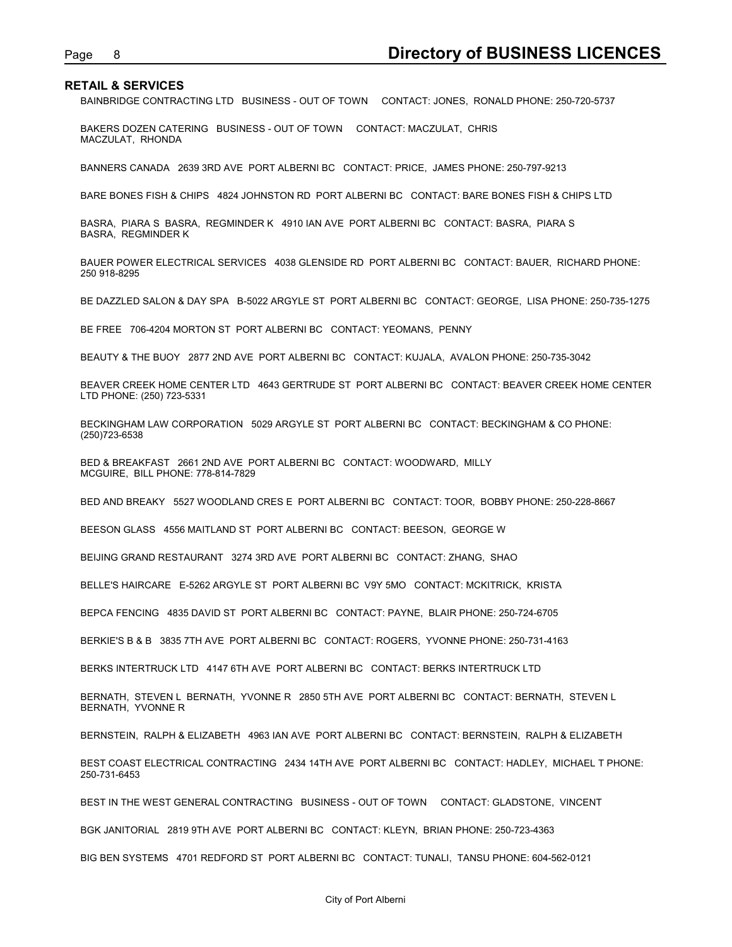Page 8<br>**Directory of BUSINESS LICENCES**<br>BAINBRIDGE CONTRACTING LTD BUSINESS - OUT OF TOWN CONTACT: JONES, RONALD PHONE: 250-720-5737<br>BAKERS DOZEN CATERING BUSINESS - OUT OF TOWN CONTACT: MACZULAT, CHRIS BAINBRIDGE CONTRACTING LTD BUSINESS - OUT OF TOWN CONTACT: JONES, RONALD PHONE: 250-720-5737

BAKERS DOZEN CATERING BUSINESS - OUT OF TOWN CONTACT: MACZULAT, CHRIS MACZULAT, RHONDA

BANNERS CANADA 2639 3RD AVE PORT ALBERNI BC CONTACT: PRICE, JAMES PHONE: 250-797-9213

BARE BONES FISH & CHIPS 4824 JOHNSTON RD PORT ALBERNI BC CONTACT: BARE BONES FISH & CHIPS LTD

BASRA, PIARA S BASRA, REGMINDER K 4910 IAN AVE PORT ALBERNI BC CONTACT: BASRA, PIARA S BASRA, REGMINDER K

BAUER POWER ELECTRICAL SERVICES 4038 GLENSIDE RD PORT ALBERNI BC CONTACT: BAUER, RICHARD PHONE: 250 918-8295

BE DAZZLED SALON & DAY SPA B-5022 ARGYLE ST PORT ALBERNI BC CONTACT: GEORGE, LISA PHONE: 250-735-1275

BE FREE 706-4204 MORTON ST PORT ALBERNI BC CONTACT: YEOMANS, PENNY

BEAUTY & THE BUOY 2877 2ND AVE PORT ALBERNI BC CONTACT: KUJALA, AVALON PHONE: 250-735-3042

BEAVER CREEK HOME CENTER LTD 4643 GERTRUDE ST PORT ALBERNI BC CONTACT: BEAVER CREEK HOME CENTER LTD PHONE: (250) 723-5331

BECKINGHAM LAW CORPORATION 5029 ARGYLE ST PORT ALBERNI BC CONTACT: BECKINGHAM & CO PHONE: (250)723-6538

BED & BREAKFAST 2661 2ND AVE PORT ALBERNI BC CONTACT: WOODWARD, MILLY MCGUIRE, BILL PHONE: 778-814-7829

BED AND BREAKY 5527 WOODLAND CRES E PORT ALBERNI BC CONTACT: TOOR, BOBBY PHONE: 250-228-8667

BEESON GLASS 4556 MAITLAND ST PORT ALBERNI BC CONTACT: BEESON, GEORGE W

BEIJING GRAND RESTAURANT 3274 3RD AVE PORT ALBERNI BC CONTACT: ZHANG, SHAO

BELLE'S HAIRCARE E-5262 ARGYLE ST PORT ALBERNI BC V9Y 5MO CONTACT: MCKITRICK, KRISTA

BEPCA FENCING 4835 DAVID ST PORT ALBERNI BC CONTACT: PAYNE, BLAIR PHONE: 250-724-6705

BERKIE'S B & B 3835 7TH AVE PORT ALBERNI BC CONTACT: ROGERS, YVONNE PHONE: 250-731-4163

BERKS INTERTRUCK LTD 4147 6TH AVE PORT ALBERNI BC CONTACT: BERKS INTERTRUCK LTD

BERNATH, STEVEN L BERNATH, YVONNE R 2850 5TH AVE PORT ALBERNI BC CONTACT: BERNATH, STEVEN L BERNATH, YVONNE R

BERNSTEIN, RALPH & ELIZABETH 4963 IAN AVE PORT ALBERNI BC CONTACT: BERNSTEIN, RALPH & ELIZABETH

BEST COAST ELECTRICAL CONTRACTING 2434 14TH AVE PORT ALBERNI BC CONTACT: HADLEY, MICHAEL T PHONE: 250-731-6453

BEST IN THE WEST GENERAL CONTRACTING BUSINESS - OUT OF TOWN CONTACT: GLADSTONE, VINCENT

BGK JANITORIAL 2819 9TH AVE PORT ALBERNI BC CONTACT: KLEYN, BRIAN PHONE: 250-723-4363

BIG BEN SYSTEMS 4701 REDFORD ST PORT ALBERNI BC CONTACT: TUNALI, TANSU PHONE: 604-562-0121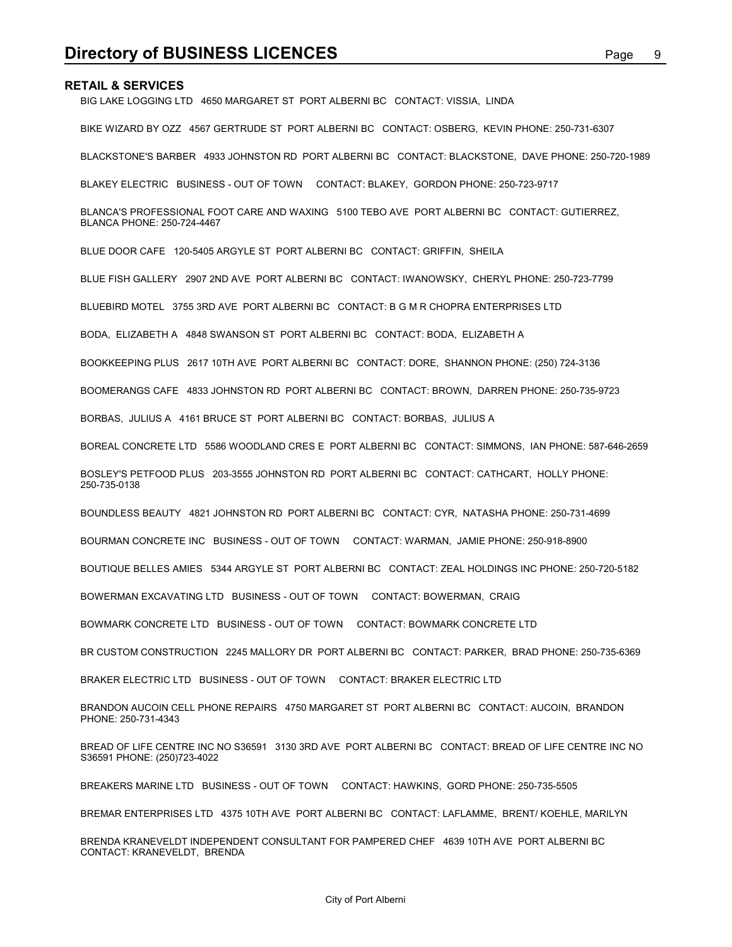BIG LAKE LOGGING LTD 4650 MARGARET ST PORT ALBERNI BC CONTACT: VISSIA, LINDA

**Directory of BUSINESS LICENCES**<br>RETAIL & SERVICES<br>BIG LAKE LOGGING LTD 4650 MARGARET ST PORT ALBERNI BC CONTACT: VISSIA, LINDA<br>BIKE WIZARD BY OZZ 4567 GERTRUDE ST PORT ALBERNI BC CONTACT: OSBERG, KEVIN PHONE: 250-731-6307 BIKE WIZARD BY OZZ 4567 GERTRUDE ST PORT ALBERNI BC CONTACT: OSBERG, KEVIN PHONE: 250-731-6307

BLACKSTONE'S BARBER 4933 JOHNSTON RD PORT ALBERNI BC CONTACT: BLACKSTONE, DAVE PHONE: 250-720-1989

BLAKEY ELECTRIC BUSINESS - OUT OF TOWN CONTACT: BLAKEY, GORDON PHONE: 250-723-9717

BLANCA'S PROFESSIONAL FOOT CARE AND WAXING 5100 TEBO AVE PORT ALBERNI BC CONTACT: GUTIERREZ, BLANCA PHONE: 250-724-4467

BLUE DOOR CAFE 120-5405 ARGYLE ST PORT ALBERNI BC CONTACT: GRIFFIN, SHEILA

BLUE FISH GALLERY 2907 2ND AVE PORT ALBERNI BC CONTACT: IWANOWSKY, CHERYL PHONE: 250-723-7799

BLUEBIRD MOTEL 3755 3RD AVE PORT ALBERNI BC CONTACT: B G M R CHOPRA ENTERPRISES LTD

BODA, ELIZABETH A 4848 SWANSON ST PORT ALBERNI BC CONTACT: BODA, ELIZABETH A

BOOKKEEPING PLUS 2617 10TH AVE PORT ALBERNI BC CONTACT: DORE, SHANNON PHONE: (250) 724-3136

BOOMERANGS CAFE 4833 JOHNSTON RD PORT ALBERNI BC CONTACT: BROWN, DARREN PHONE: 250-735-9723

BORBAS, JULIUS A 4161 BRUCE ST PORT ALBERNI BC CONTACT: BORBAS, JULIUS A

BOREAL CONCRETE LTD 5586 WOODLAND CRES E PORT ALBERNI BC CONTACT: SIMMONS, IAN PHONE: 587-646-2659

BOSLEY'S PETFOOD PLUS 203-3555 JOHNSTON RD PORT ALBERNI BC CONTACT: CATHCART, HOLLY PHONE: 250-735-0138

BOUNDLESS BEAUTY 4821 JOHNSTON RD PORT ALBERNI BC CONTACT: CYR, NATASHA PHONE: 250-731-4699

BOURMAN CONCRETE INC BUSINESS - OUT OF TOWN CONTACT: WARMAN, JAMIE PHONE: 250-918-8900

BOUTIQUE BELLES AMIES 5344 ARGYLE ST PORT ALBERNI BC CONTACT: ZEAL HOLDINGS INC PHONE: 250-720-5182

BOWERMAN EXCAVATING LTD BUSINESS - OUT OF TOWN CONTACT: BOWERMAN, CRAIG

BOWMARK CONCRETE LTD BUSINESS - OUT OF TOWN CONTACT: BOWMARK CONCRETE LTD

BR CUSTOM CONSTRUCTION 2245 MALLORY DR PORT ALBERNI BC CONTACT: PARKER, BRAD PHONE: 250-735-6369

BRAKER ELECTRIC LTD BUSINESS - OUT OF TOWN CONTACT: BRAKER ELECTRIC LTD

BRANDON AUCOIN CELL PHONE REPAIRS 4750 MARGARET ST PORT ALBERNI BC CONTACT: AUCOIN, BRANDON PHONE: 250-731-4343

BREAD OF LIFE CENTRE INC NO S36591 3130 3RD AVE PORT ALBERNI BC CONTACT: BREAD OF LIFE CENTRE INC NO S36591 PHONE: (250)723-4022

BREAKERS MARINE LTD BUSINESS - OUT OF TOWN CONTACT: HAWKINS, GORD PHONE: 250-735-5505

BREMAR ENTERPRISES LTD 4375 10TH AVE PORT ALBERNI BC CONTACT: LAFLAMME, BRENT/ KOEHLE, MARILYN

BRENDA KRANEVELDT INDEPENDENT CONSULTANT FOR PAMPERED CHEF 4639 10TH AVE PORT ALBERNI BC CONTACT: KRANEVELDT, BRENDA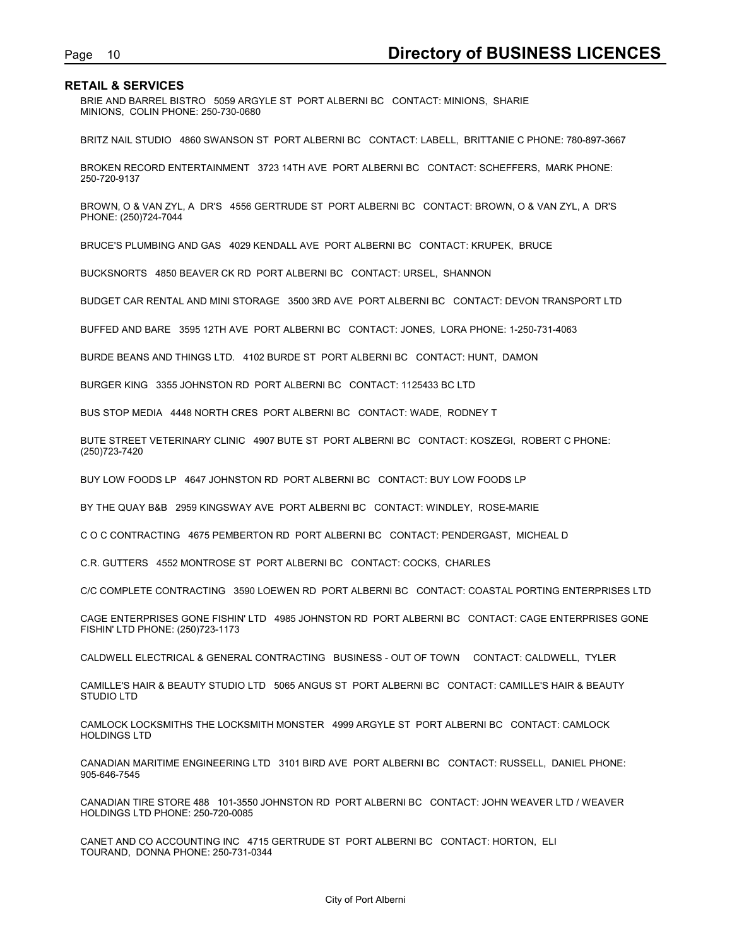Page 10<br>**Directory of BUSINESS LICENCES**<br>BRIE AND BARREL BISTRO 5059 ARGYLE ST PORT ALBERNI BC CONTACT: MINIONS, SHARIE<br>MINIONS, COLIN PHONE: 250-730-0680 BRIE AND BARREL BISTRO 5059 ARGYLE ST PORT ALBERNI BC CONTACT: MINIONS, SHARIE MINIONS, COLIN PHONE: 250-730-0680

BRITZ NAIL STUDIO 4860 SWANSON ST PORT ALBERNI BC CONTACT: LABELL, BRITTANIE C PHONE: 780-897-3667

BROKEN RECORD ENTERTAINMENT 3723 14TH AVE PORT ALBERNI BC CONTACT: SCHEFFERS, MARK PHONE: 250-720-9137

BROWN, O & VAN ZYL, A DR'S 4556 GERTRUDE ST PORT ALBERNI BC CONTACT: BROWN, O & VAN ZYL, A DR'S PHONE: (250)724-7044

BRUCE'S PLUMBING AND GAS 4029 KENDALL AVE PORT ALBERNI BC CONTACT: KRUPEK, BRUCE

BUCKSNORTS 4850 BEAVER CK RD PORT ALBERNI BC CONTACT: URSEL, SHANNON

BUDGET CAR RENTAL AND MINI STORAGE 3500 3RD AVE PORT ALBERNI BC CONTACT: DEVON TRANSPORT LTD

BUFFED AND BARE 3595 12TH AVE PORT ALBERNI BC CONTACT: JONES, LORA PHONE: 1-250-731-4063

BURDE BEANS AND THINGS LTD. 4102 BURDE ST PORT ALBERNI BC CONTACT: HUNT, DAMON

BURGER KING 3355 JOHNSTON RD PORT ALBERNI BC CONTACT: 1125433 BC LTD

BUS STOP MEDIA 4448 NORTH CRES PORT ALBERNI BC CONTACT: WADE, RODNEY T

BUTE STREET VETERINARY CLINIC 4907 BUTE ST PORT ALBERNI BC CONTACT: KOSZEGI, ROBERT C PHONE: (250)723-7420

BUY LOW FOODS LP 4647 JOHNSTON RD PORT ALBERNI BC CONTACT: BUY LOW FOODS LP

BY THE QUAY B&B 2959 KINGSWAY AVE PORT ALBERNI BC CONTACT: WINDLEY, ROSE-MARIE

C O C CONTRACTING 4675 PEMBERTON RD PORT ALBERNI BC CONTACT: PENDERGAST, MICHEAL D

C.R. GUTTERS 4552 MONTROSE ST PORT ALBERNI BC CONTACT: COCKS, CHARLES

C/C COMPLETE CONTRACTING 3590 LOEWEN RD PORT ALBERNI BC CONTACT: COASTAL PORTING ENTERPRISES LTD

CAGE ENTERPRISES GONE FISHIN' LTD 4985 JOHNSTON RD PORT ALBERNI BC CONTACT: CAGE ENTERPRISES GONE FISHIN' LTD PHONE: (250)723-1173

CALDWELL ELECTRICAL & GENERAL CONTRACTING BUSINESS - OUT OF TOWN CONTACT: CALDWELL, TYLER

CAMILLE'S HAIR & BEAUTY STUDIO LTD 5065 ANGUS ST PORT ALBERNI BC CONTACT: CAMILLE'S HAIR & BEAUTY STUDIO LTD

CAMLOCK LOCKSMITHS THE LOCKSMITH MONSTER 4999 ARGYLE ST PORT ALBERNI BC CONTACT: CAMLOCK HOLDINGS LTD

CANADIAN MARITIME ENGINEERING LTD 3101 BIRD AVE PORT ALBERNI BC CONTACT: RUSSELL, DANIEL PHONE: 905-646-7545

CANADIAN TIRE STORE 488 101-3550 JOHNSTON RD PORT ALBERNI BC CONTACT: JOHN WEAVER LTD / WEAVER HOLDINGS LTD PHONE: 250-720-0085

CANET AND CO ACCOUNTING INC 4715 GERTRUDE ST PORT ALBERNI BC CONTACT: HORTON, ELI TOURAND, DONNA PHONE: 250-731-0344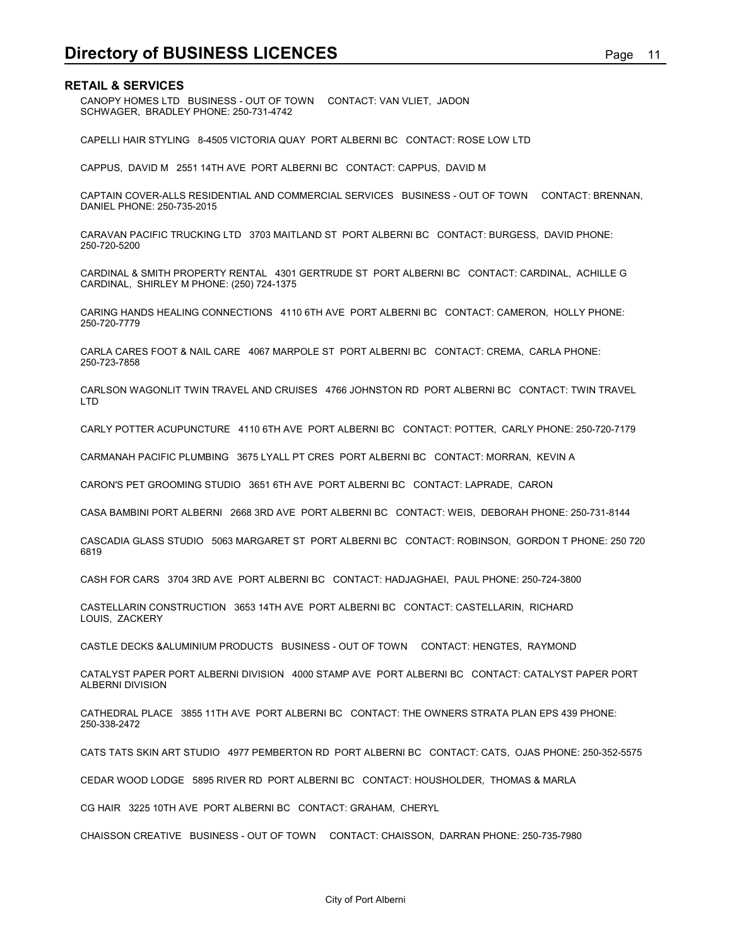**Directory of BUSINESS LICENCES**<br>**RETAIL & SERVICES**<br>CANOPY HOMES LTD BUSINESS - OUT OF TOWN CONTACT: VAN VLIET, JADON<br>SCHWAGER, BRADLEY PHONE: 250-731-4742 CANOPY HOMES LTD BUSINESS - OUT OF TOWN CONTACT: VAN VLIET, JADON SCHWAGER, BRADLEY PHONE: 250-731-4742

CAPELLI HAIR STYLING 8-4505 VICTORIA QUAY PORT ALBERNI BC CONTACT: ROSE LOW LTD

CAPPUS, DAVID M 2551 14TH AVE PORT ALBERNI BC CONTACT: CAPPUS, DAVID M

CAPTAIN COVER-ALLS RESIDENTIAL AND COMMERCIAL SERVICES BUSINESS - OUT OF TOWN CONTACT: BRENNAN, DANIEL PHONE: 250-735-2015

CARAVAN PACIFIC TRUCKING LTD 3703 MAITLAND ST PORT ALBERNI BC CONTACT: BURGESS, DAVID PHONE: 250-720-5200

CARDINAL & SMITH PROPERTY RENTAL 4301 GERTRUDE ST PORT ALBERNI BC CONTACT: CARDINAL, ACHILLE G CARDINAL, SHIRLEY M PHONE: (250) 724-1375

CARING HANDS HEALING CONNECTIONS 4110 6TH AVE PORT ALBERNI BC CONTACT: CAMERON, HOLLY PHONE: 250-720-7779

CARLA CARES FOOT & NAIL CARE 4067 MARPOLE ST PORT ALBERNI BC CONTACT: CREMA, CARLA PHONE: 250-723-7858

CARLSON WAGONLIT TWIN TRAVEL AND CRUISES 4766 JOHNSTON RD PORT ALBERNI BC CONTACT: TWIN TRAVEL LTD

CARLY POTTER ACUPUNCTURE 4110 6TH AVE PORT ALBERNI BC CONTACT: POTTER, CARLY PHONE: 250-720-7179

CARMANAH PACIFIC PLUMBING 3675 LYALL PT CRES PORT ALBERNI BC CONTACT: MORRAN, KEVIN A

CARON'S PET GROOMING STUDIO 3651 6TH AVE PORT ALBERNI BC CONTACT: LAPRADE, CARON

CASA BAMBINI PORT ALBERNI 2668 3RD AVE PORT ALBERNI BC CONTACT: WEIS, DEBORAH PHONE: 250-731-8144

CASCADIA GLASS STUDIO 5063 MARGARET ST PORT ALBERNI BC CONTACT: ROBINSON, GORDON T PHONE: 250 720 6819

CASH FOR CARS 3704 3RD AVE PORT ALBERNI BC CONTACT: HADJAGHAEI, PAUL PHONE: 250-724-3800

CASTELLARIN CONSTRUCTION 3653 14TH AVE PORT ALBERNI BC CONTACT: CASTELLARIN, RICHARD LOUIS, ZACKERY

CASTLE DECKS &ALUMINIUM PRODUCTS BUSINESS - OUT OF TOWN CONTACT: HENGTES, RAYMOND

CATALYST PAPER PORT ALBERNI DIVISION 4000 STAMP AVE PORT ALBERNI BC CONTACT: CATALYST PAPER PORT ALBERNI DIVISION

CATHEDRAL PLACE 3855 11TH AVE PORT ALBERNI BC CONTACT: THE OWNERS STRATA PLAN EPS 439 PHONE: 250-338-2472

CATS TATS SKIN ART STUDIO 4977 PEMBERTON RD PORT ALBERNI BC CONTACT: CATS, OJAS PHONE: 250-352-5575

CEDAR WOOD LODGE 5895 RIVER RD PORT ALBERNI BC CONTACT: HOUSHOLDER, THOMAS & MARLA

CG HAIR 3225 10TH AVE PORT ALBERNI BC CONTACT: GRAHAM, CHERYL

CHAISSON CREATIVE BUSINESS - OUT OF TOWN CONTACT: CHAISSON, DARRAN PHONE: 250-735-7980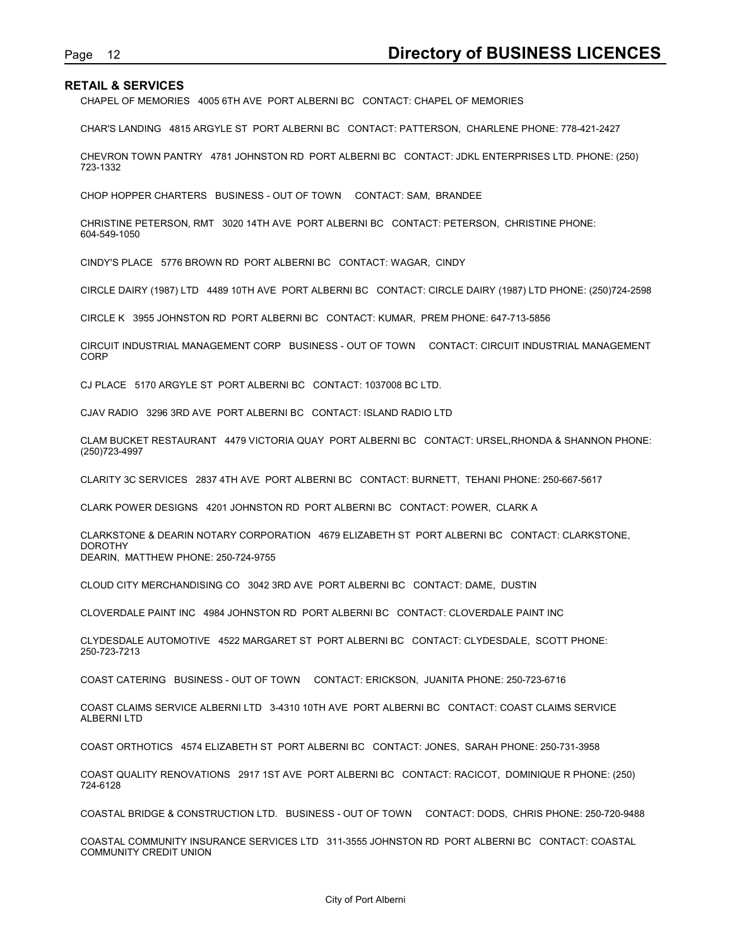CHAPEL OF MEMORIES 4005 6TH AVE PORT ALBERNI BC CONTACT: CHAPEL OF MEMORIES

Page 12<br> **Directory of BUSINESS LICENCES**<br>
CHAPEL OF MEMORIES 4005 6TH AVE PORT ALBERNI BC CONTACT: CHAPEL OF MEMORIES<br>
CHAR'S LANDING 4815 ARGYLE ST PORT ALBERNI BC CONTACT: PATTERSON, CHARLENE PHONE: 778-421-2427 CHAR'S LANDING 4815 ARGYLE ST PORT ALBERNI BC CONTACT: PATTERSON, CHARLENE PHONE: 778-421-2427

CHEVRON TOWN PANTRY 4781 JOHNSTON RD PORT ALBERNI BC CONTACT: JDKL ENTERPRISES LTD. PHONE: (250) 723-1332

CHOP HOPPER CHARTERS BUSINESS - OUT OF TOWN CONTACT: SAM, BRANDEE

CHRISTINE PETERSON, RMT 3020 14TH AVE PORT ALBERNI BC CONTACT: PETERSON, CHRISTINE PHONE: 604-549-1050

CINDY'S PLACE 5776 BROWN RD PORT ALBERNI BC CONTACT: WAGAR, CINDY

CIRCLE DAIRY (1987) LTD 4489 10TH AVE PORT ALBERNI BC CONTACT: CIRCLE DAIRY (1987) LTD PHONE: (250)724-2598

CIRCLE K 3955 JOHNSTON RD PORT ALBERNI BC CONTACT: KUMAR, PREM PHONE: 647-713-5856

CIRCUIT INDUSTRIAL MANAGEMENT CORP BUSINESS - OUT OF TOWN CONTACT: CIRCUIT INDUSTRIAL MANAGEMENT CORP

CJ PLACE 5170 ARGYLE ST PORT ALBERNI BC CONTACT: 1037008 BC LTD.

CJAV RADIO 3296 3RD AVE PORT ALBERNI BC CONTACT: ISLAND RADIO LTD

CLAM BUCKET RESTAURANT 4479 VICTORIA QUAY PORT ALBERNI BC CONTACT: URSEL,RHONDA & SHANNON PHONE: (250)723-4997

CLARITY 3C SERVICES 2837 4TH AVE PORT ALBERNI BC CONTACT: BURNETT, TEHANI PHONE: 250-667-5617

CLARK POWER DESIGNS 4201 JOHNSTON RD PORT ALBERNI BC CONTACT: POWER, CLARK A

CLARKSTONE & DEARIN NOTARY CORPORATION 4679 ELIZABETH ST PORT ALBERNI BC CONTACT: CLARKSTONE, **DOROTHY** DEARIN, MATTHEW PHONE: 250-724-9755

CLOUD CITY MERCHANDISING CO 3042 3RD AVE PORT ALBERNI BC CONTACT: DAME, DUSTIN

CLOVERDALE PAINT INC 4984 JOHNSTON RD PORT ALBERNI BC CONTACT: CLOVERDALE PAINT INC

CLYDESDALE AUTOMOTIVE 4522 MARGARET ST PORT ALBERNI BC CONTACT: CLYDESDALE, SCOTT PHONE: 250-723-7213

COAST CATERING BUSINESS - OUT OF TOWN CONTACT: ERICKSON, JUANITA PHONE: 250-723-6716

COAST CLAIMS SERVICE ALBERNI LTD 3-4310 10TH AVE PORT ALBERNI BC CONTACT: COAST CLAIMS SERVICE ALBERNI LTD

COAST ORTHOTICS 4574 ELIZABETH ST PORT ALBERNI BC CONTACT: JONES, SARAH PHONE: 250-731-3958

COAST QUALITY RENOVATIONS 2917 1ST AVE PORT ALBERNI BC CONTACT: RACICOT, DOMINIQUE R PHONE: (250) 724-6128

COASTAL BRIDGE & CONSTRUCTION LTD. BUSINESS - OUT OF TOWN CONTACT: DODS, CHRIS PHONE: 250-720-9488

COASTAL COMMUNITY INSURANCE SERVICES LTD 311-3555 JOHNSTON RD PORT ALBERNI BC CONTACT: COASTAL COMMUNITY CREDIT UNION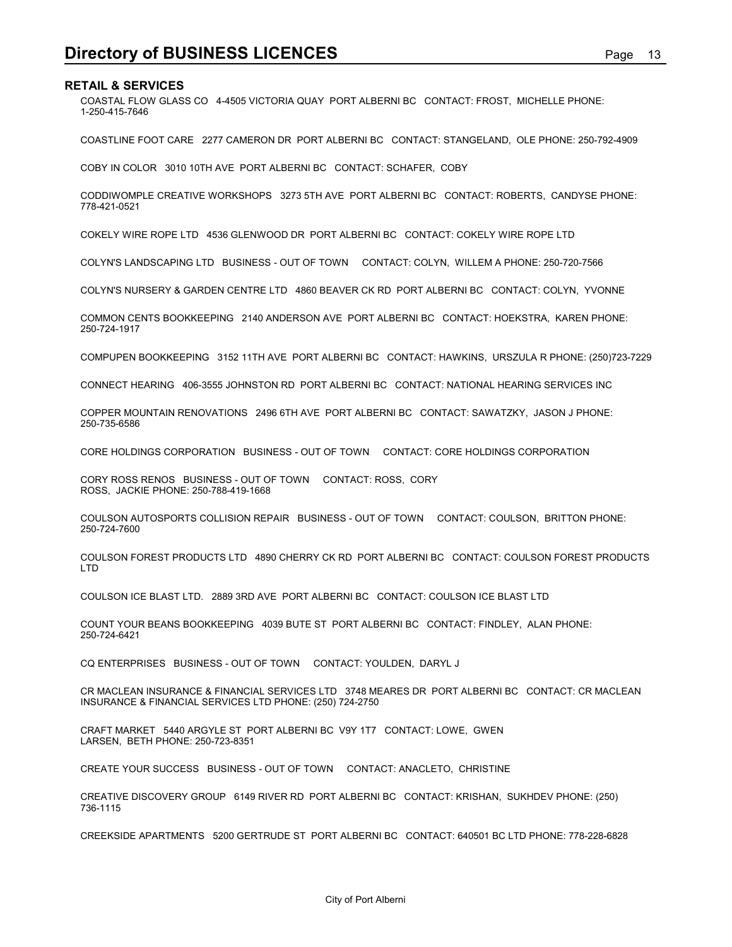**Directory of BUSINESS LICENCES**<br>RETAIL & SERVICES<br>COASTAL FLOW GLASS CO 4-4505 VICTORIA QUAY PORT ALBERNI BC CONTACT: FROST, MICHELLE PHONE:<br>1-250-415-7646 COASTAL FLOW GLASS CO 4-4505 VICTORIA QUAY PORT ALBERNI BC CONTACT: FROST, MICHELLE PHONE: 1-250-415-7646

COASTLINE FOOT CARE 2277 CAMERON DR PORT ALBERNI BC CONTACT: STANGELAND, OLE PHONE: 250-792-4909

COBY IN COLOR 3010 10TH AVE PORT ALBERNI BC CONTACT: SCHAFER, COBY

CODDIWOMPLE CREATIVE WORKSHOPS 3273 5TH AVE PORT ALBERNI BC CONTACT: ROBERTS, CANDYSE PHONE: 778-421-0521

COKELY WIRE ROPE LTD 4536 GLENWOOD DR PORT ALBERNI BC CONTACT: COKELY WIRE ROPE LTD

COLYN'S LANDSCAPING LTD BUSINESS - OUT OF TOWN CONTACT: COLYN, WILLEM A PHONE: 250-720-7566

COLYN'S NURSERY & GARDEN CENTRE LTD 4860 BEAVER CK RD PORT ALBERNI BC CONTACT: COLYN, YVONNE

COMMON CENTS BOOKKEEPING 2140 ANDERSON AVE PORT ALBERNI BC CONTACT: HOEKSTRA, KAREN PHONE: 250-724-1917

COMPUPEN BOOKKEEPING 3152 11TH AVE PORT ALBERNI BC CONTACT: HAWKINS, URSZULA R PHONE: (250)723-7229

CONNECT HEARING 406-3555 JOHNSTON RD PORT ALBERNI BC CONTACT: NATIONAL HEARING SERVICES INC

COPPER MOUNTAIN RENOVATIONS 2496 6TH AVE PORT ALBERNI BC CONTACT: SAWATZKY, JASON J PHONE: 250-735-6586

CORE HOLDINGS CORPORATION BUSINESS - OUT OF TOWN CONTACT: CORE HOLDINGS CORPORATION

CORY ROSS RENOS BUSINESS - OUT OF TOWN CONTACT: ROSS, CORY ROSS, JACKIE PHONE: 250-788-419-1668

COULSON AUTOSPORTS COLLISION REPAIR BUSINESS - OUT OF TOWN CONTACT: COULSON, BRITTON PHONE: 250-724-7600

COULSON FOREST PRODUCTS LTD 4890 CHERRY CK RD PORT ALBERNI BC CONTACT: COULSON FOREST PRODUCTS LTD

COULSON ICE BLAST LTD. 2889 3RD AVE PORT ALBERNI BC CONTACT: COULSON ICE BLAST LTD

COUNT YOUR BEANS BOOKKEEPING 4039 BUTE ST PORT ALBERNI BC CONTACT: FINDLEY, ALAN PHONE: 250-724-6421

CQ ENTERPRISES BUSINESS - OUT OF TOWN CONTACT: YOULDEN, DARYL J

CR MACLEAN INSURANCE & FINANCIAL SERVICES LTD 3748 MEARES DR PORT ALBERNI BC CONTACT: CR MACLEAN INSURANCE & FINANCIAL SERVICES LTD PHONE: (250) 724-2750

CRAFT MARKET 5440 ARGYLE ST PORT ALBERNI BC V9Y 1T7 CONTACT: LOWE, GWEN LARSEN, BETH PHONE: 250-723-8351

CREATE YOUR SUCCESS BUSINESS - OUT OF TOWN CONTACT: ANACLETO, CHRISTINE

CREATIVE DISCOVERY GROUP 6149 RIVER RD PORT ALBERNI BC CONTACT: KRISHAN, SUKHDEV PHONE: (250) 736-1115

CREEKSIDE APARTMENTS 5200 GERTRUDE ST PORT ALBERNI BC CONTACT: 640501 BC LTD PHONE: 778-228-6828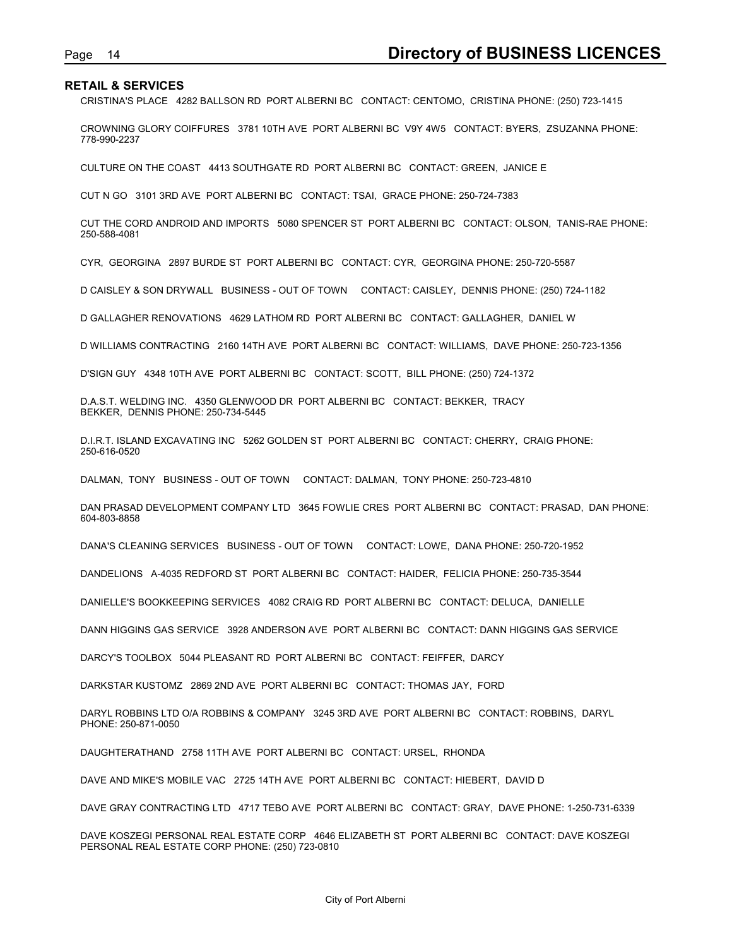Page 14 **Directory of BUSINESS LICENCES**<br>RETAIL & SERVICES<br>CRISTINA'S PLACE 4282 BALLSON RD PORT ALBERNI BC CONTACT: CENTOMO, CRISTINA PHONE: (250) 723-1415<br>CROWNING GLORY COIFFURES 3781 10TH AVE PORT ALBERNI BC V9Y 4W5 CO CRISTINA'S PLACE 4282 BALLSON RD PORT ALBERNI BC CONTACT: CENTOMO, CRISTINA PHONE: (250) 723-1415

CROWNING GLORY COIFFURES 3781 10TH AVE PORT ALBERNI BC V9Y 4W5 CONTACT: BYERS, ZSUZANNA PHONE: 778-990-2237

CULTURE ON THE COAST 4413 SOUTHGATE RD PORT ALBERNI BC CONTACT: GREEN, JANICE E

CUT N GO 3101 3RD AVE PORT ALBERNI BC CONTACT: TSAI, GRACE PHONE: 250-724-7383

CUT THE CORD ANDROID AND IMPORTS 5080 SPENCER ST PORT ALBERNI BC CONTACT: OLSON, TANIS-RAE PHONE: 250-588-4081

CYR, GEORGINA 2897 BURDE ST PORT ALBERNI BC CONTACT: CYR, GEORGINA PHONE: 250-720-5587

D CAISLEY & SON DRYWALL BUSINESS - OUT OF TOWN CONTACT: CAISLEY, DENNIS PHONE: (250) 724-1182

D GALLAGHER RENOVATIONS 4629 LATHOM RD PORT ALBERNI BC CONTACT: GALLAGHER, DANIEL W

D WILLIAMS CONTRACTING 2160 14TH AVE PORT ALBERNI BC CONTACT: WILLIAMS, DAVE PHONE: 250-723-1356

D'SIGN GUY 4348 10TH AVE PORT ALBERNI BC CONTACT: SCOTT, BILL PHONE: (250) 724-1372

D.A.S.T. WELDING INC. 4350 GLENWOOD DR PORT ALBERNI BC CONTACT: BEKKER, TRACY BEKKER, DENNIS PHONE: 250-734-5445

D.I.R.T. ISLAND EXCAVATING INC 5262 GOLDEN ST PORT ALBERNI BC CONTACT: CHERRY, CRAIG PHONE: 250-616-0520

DALMAN, TONY BUSINESS - OUT OF TOWN CONTACT: DALMAN, TONY PHONE: 250-723-4810

DAN PRASAD DEVELOPMENT COMPANY LTD 3645 FOWLIE CRES PORT ALBERNI BC CONTACT: PRASAD, DAN PHONE: 604-803-8858

DANA'S CLEANING SERVICES BUSINESS - OUT OF TOWN CONTACT: LOWE, DANA PHONE: 250-720-1952

DANDELIONS A-4035 REDFORD ST PORT ALBERNI BC CONTACT: HAIDER, FELICIA PHONE: 250-735-3544

DANIELLE'S BOOKKEEPING SERVICES 4082 CRAIG RD PORT ALBERNI BC CONTACT: DELUCA, DANIELLE

DANN HIGGINS GAS SERVICE 3928 ANDERSON AVE PORT ALBERNI BC CONTACT: DANN HIGGINS GAS SERVICE

DARCY'S TOOLBOX 5044 PLEASANT RD PORT ALBERNI BC CONTACT: FEIFFER, DARCY

DARKSTAR KUSTOMZ 2869 2ND AVE PORT ALBERNI BC CONTACT: THOMAS JAY, FORD

DARYL ROBBINS LTD O/A ROBBINS & COMPANY 3245 3RD AVE PORT ALBERNI BC CONTACT: ROBBINS, DARYL PHONE: 250-871-0050

DAUGHTERATHAND 2758 11TH AVE PORT ALBERNI BC CONTACT: URSEL, RHONDA

DAVE AND MIKE'S MOBILE VAC 2725 14TH AVE PORT ALBERNI BC CONTACT: HIEBERT, DAVID D

DAVE GRAY CONTRACTING LTD 4717 TEBO AVE PORT ALBERNI BC CONTACT: GRAY, DAVE PHONE: 1-250-731-6339

DAVE KOSZEGI PERSONAL REAL ESTATE CORP 4646 ELIZABETH ST PORT ALBERNI BC CONTACT: DAVE KOSZEGI PERSONAL REAL ESTATE CORP PHONE: (250) 723-0810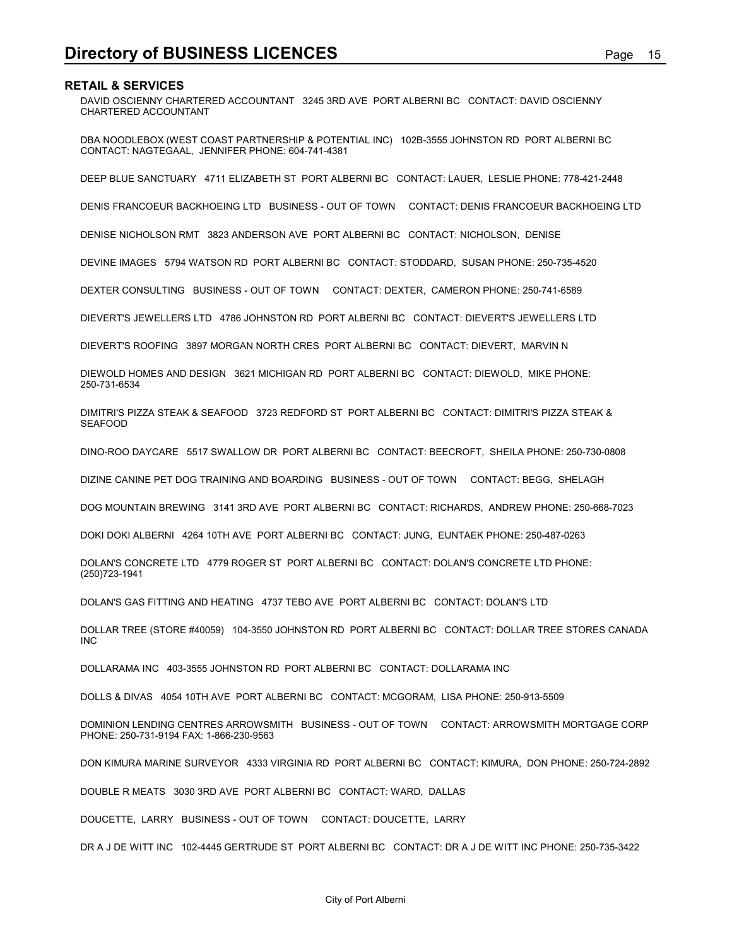**Directory of BUSINESS LICENCES**<br>RETAIL & SERVICES<br>DAVID OSCIENNY CHARTERED ACCOUNTANT 3245 3RD AVE PORT ALBERNI BC CONTACT: DAVID OSCIENNY<br>CHARTERED ACCOUNTANT DAVID OSCIENNY CHARTERED ACCOUNTANT 3245 3RD AVE PORT ALBERNI BC CONTACT: DAVID OSCIENNY CHARTERED ACCOUNTANT

DBA NOODLEBOX (WEST COAST PARTNERSHIP & POTENTIAL INC) 102B-3555 JOHNSTON RD PORT ALBERNI BC CONTACT: NAGTEGAAL, JENNIFER PHONE: 604-741-4381

DEEP BLUE SANCTUARY 4711 ELIZABETH ST PORT ALBERNI BC CONTACT: LAUER, LESLIE PHONE: 778-421-2448

DENIS FRANCOEUR BACKHOEING LTD BUSINESS - OUT OF TOWN CONTACT: DENIS FRANCOEUR BACKHOEING LTD

DENISE NICHOLSON RMT 3823 ANDERSON AVE PORT ALBERNI BC CONTACT: NICHOLSON, DENISE

DEVINE IMAGES 5794 WATSON RD PORT ALBERNI BC CONTACT: STODDARD, SUSAN PHONE: 250-735-4520

DEXTER CONSULTING BUSINESS - OUT OF TOWN CONTACT: DEXTER, CAMERON PHONE: 250-741-6589

DIEVERT'S JEWELLERS LTD 4786 JOHNSTON RD PORT ALBERNI BC CONTACT: DIEVERT'S JEWELLERS LTD

DIEVERT'S ROOFING 3897 MORGAN NORTH CRES PORT ALBERNI BC CONTACT: DIEVERT, MARVIN N

DIEWOLD HOMES AND DESIGN 3621 MICHIGAN RD PORT ALBERNI BC CONTACT: DIEWOLD, MIKE PHONE: 250-731-6534

DIMITRI'S PIZZA STEAK & SEAFOOD 3723 REDFORD ST PORT ALBERNI BC CONTACT: DIMITRI'S PIZZA STEAK & SEAFOOD

DINO-ROO DAYCARE 5517 SWALLOW DR PORT ALBERNI BC CONTACT: BEECROFT, SHEILA PHONE: 250-730-0808

DIZINE CANINE PET DOG TRAINING AND BOARDING BUSINESS - OUT OF TOWN CONTACT: BEGG, SHELAGH

DOG MOUNTAIN BREWING 3141 3RD AVE PORT ALBERNI BC CONTACT: RICHARDS, ANDREW PHONE: 250-668-7023

DOKI DOKI ALBERNI 4264 10TH AVE PORT ALBERNI BC CONTACT: JUNG, EUNTAEK PHONE: 250-487-0263

DOLAN'S CONCRETE LTD 4779 ROGER ST PORT ALBERNI BC CONTACT: DOLAN'S CONCRETE LTD PHONE: (250)723-1941

DOLAN'S GAS FITTING AND HEATING 4737 TEBO AVE PORT ALBERNI BC CONTACT: DOLAN'S LTD

DOLLAR TREE (STORE #40059) 104-3550 JOHNSTON RD PORT ALBERNI BC CONTACT: DOLLAR TREE STORES CANADA INC

DOLLARAMA INC 403-3555 JOHNSTON RD PORT ALBERNI BC CONTACT: DOLLARAMA INC

DOLLS & DIVAS 4054 10TH AVE PORT ALBERNI BC CONTACT: MCGORAM, LISA PHONE: 250-913-5509

DOMINION LENDING CENTRES ARROWSMITH BUSINESS - OUT OF TOWN CONTACT: ARROWSMITH MORTGAGE CORP PHONE: 250-731-9194 FAX: 1-866-230-9563

DON KIMURA MARINE SURVEYOR 4333 VIRGINIA RD PORT ALBERNI BC CONTACT: KIMURA, DON PHONE: 250-724-2892

DOUBLE R MEATS 3030 3RD AVE PORT ALBERNI BC CONTACT: WARD, DALLAS

DOUCETTE, LARRY BUSINESS - OUT OF TOWN CONTACT: DOUCETTE, LARRY

DR A J DE WITT INC 102-4445 GERTRUDE ST PORT ALBERNI BC CONTACT: DR A J DE WITT INC PHONE: 250-735-3422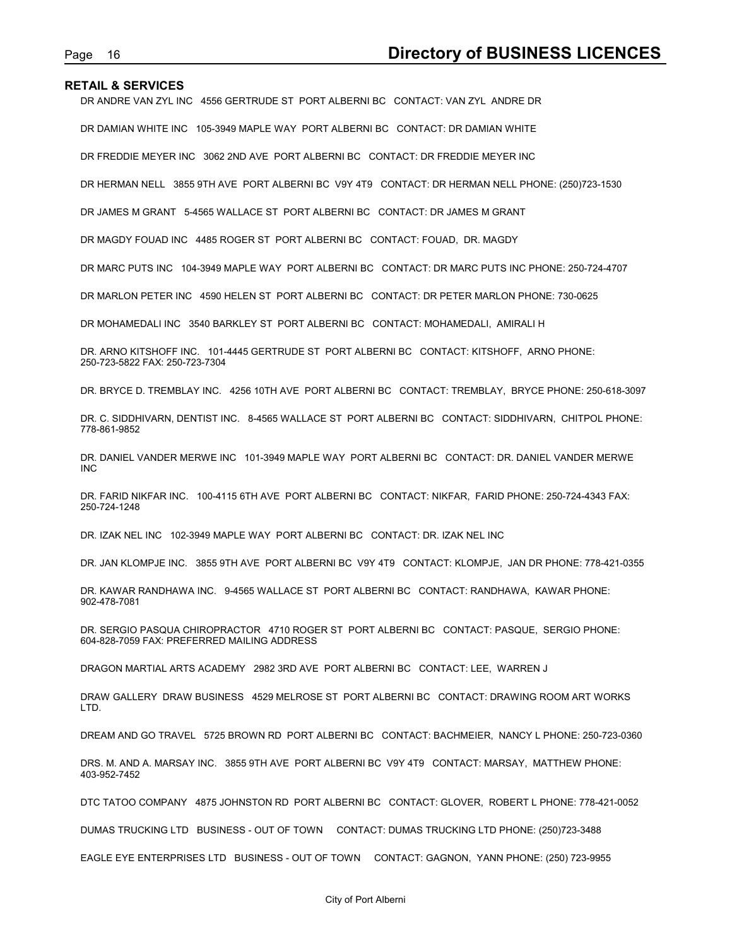Page 16 **Directory of BUSINESS LICENCES**<br>RETAIL & SERVICES<br>DR ANDRE VAN ZYL INC 4556 GERTRUDE ST PORT ALBERNI BC CONTACT: VAN ZYL ANDRE DR<br>DR DAMIAN WHITE INC 105-3949 MAPLE WAY PORT ALBERNI BC CONTACT: DR DAMIAN WHITE DR ANDRE VAN ZYL INC 4556 GERTRUDE ST PORT ALBERNI BC CONTACT: VAN ZYL ANDRE DR

DR DAMIAN WHITE INC 105-3949 MAPLE WAY PORT ALBERNI BC CONTACT: DR DAMIAN WHITE

DR FREDDIE MEYER INC 3062 2ND AVE PORT ALBERNI BC CONTACT: DR FREDDIE MEYER INC

DR HERMAN NELL 3855 9TH AVE PORT ALBERNI BC V9Y 4T9 CONTACT: DR HERMAN NELL PHONE: (250)723-1530

DR JAMES M GRANT 5-4565 WALLACE ST PORT ALBERNI BC CONTACT: DR JAMES M GRANT

DR MAGDY FOUAD INC 4485 ROGER ST PORT ALBERNI BC CONTACT: FOUAD, DR. MAGDY

DR MARC PUTS INC 104-3949 MAPLE WAY PORT ALBERNI BC CONTACT: DR MARC PUTS INC PHONE: 250-724-4707

DR MARLON PETER INC 4590 HELEN ST PORT ALBERNI BC CONTACT: DR PETER MARLON PHONE: 730-0625

DR MOHAMEDALI INC 3540 BARKLEY ST PORT ALBERNI BC CONTACT: MOHAMEDALI, AMIRALI H

DR. ARNO KITSHOFF INC. 101-4445 GERTRUDE ST PORT ALBERNI BC CONTACT: KITSHOFF, ARNO PHONE: 250-723-5822 FAX: 250-723-7304

DR. BRYCE D. TREMBLAY INC. 4256 10TH AVE PORT ALBERNI BC CONTACT: TREMBLAY, BRYCE PHONE: 250-618-3097

DR. C. SIDDHIVARN, DENTIST INC. 8-4565 WALLACE ST PORT ALBERNI BC CONTACT: SIDDHIVARN, CHITPOL PHONE: 778-861-9852

DR. DANIEL VANDER MERWE INC 101-3949 MAPLE WAY PORT ALBERNI BC CONTACT: DR. DANIEL VANDER MERWE INC

DR. FARID NIKFAR INC. 100-4115 6TH AVE PORT ALBERNI BC CONTACT: NIKFAR, FARID PHONE: 250-724-4343 FAX: 250-724-1248

DR. IZAK NEL INC 102-3949 MAPLE WAY PORT ALBERNI BC CONTACT: DR. IZAK NEL INC

DR. JAN KLOMPJE INC. 3855 9TH AVE PORT ALBERNI BC V9Y 4T9 CONTACT: KLOMPJE, JAN DR PHONE: 778-421-0355

DR. KAWAR RANDHAWA INC. 9-4565 WALLACE ST PORT ALBERNI BC CONTACT: RANDHAWA, KAWAR PHONE: 902-478-7081

DR. SERGIO PASQUA CHIROPRACTOR 4710 ROGER ST PORT ALBERNI BC CONTACT: PASQUE, SERGIO PHONE: 604-828-7059 FAX: PREFERRED MAILING ADDRESS

DRAGON MARTIAL ARTS ACADEMY 2982 3RD AVE PORT ALBERNI BC CONTACT: LEE, WARREN J

DRAW GALLERY DRAW BUSINESS 4529 MELROSE ST PORT ALBERNI BC CONTACT: DRAWING ROOM ART WORKS LTD.

DREAM AND GO TRAVEL 5725 BROWN RD PORT ALBERNI BC CONTACT: BACHMEIER, NANCY L PHONE: 250-723-0360

DRS. M. AND A. MARSAY INC. 3855 9TH AVE PORT ALBERNI BC V9Y 4T9 CONTACT: MARSAY, MATTHEW PHONE: 403-952-7452

DTC TATOO COMPANY 4875 JOHNSTON RD PORT ALBERNI BC CONTACT: GLOVER, ROBERT L PHONE: 778-421-0052

DUMAS TRUCKING LTD BUSINESS - OUT OF TOWN CONTACT: DUMAS TRUCKING LTD PHONE: (250)723-3488

EAGLE EYE ENTERPRISES LTD BUSINESS - OUT OF TOWN CONTACT: GAGNON, YANN PHONE: (250) 723-9955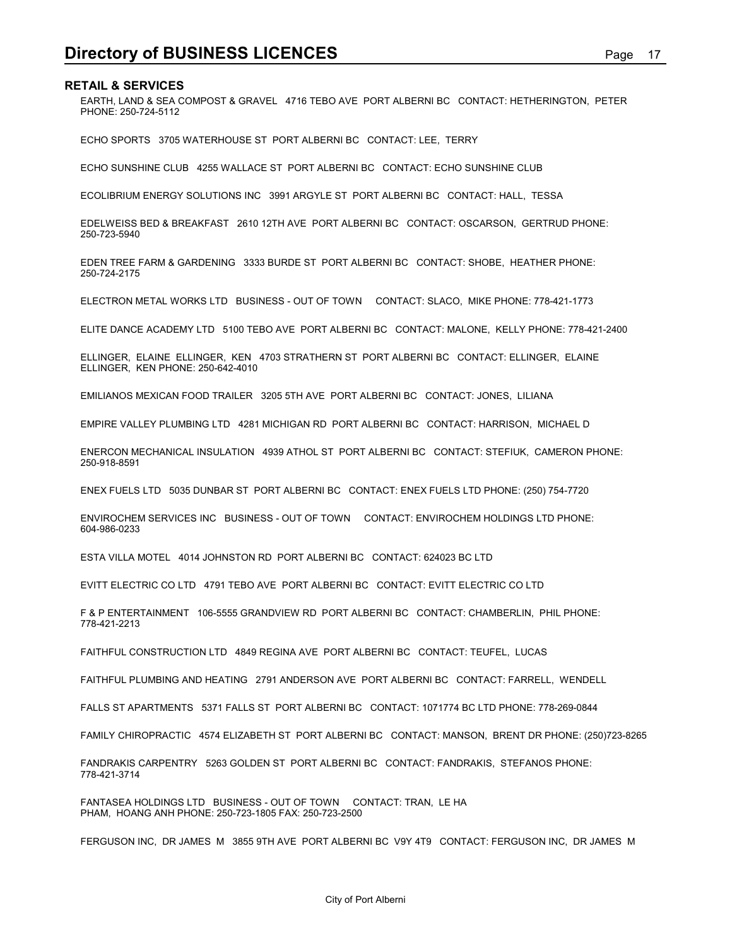**Directory of BUSINESS LICENCES**<br>RETAIL & SERVICES<br>FARTH, LAND & SEA COMPOST & GRAVEL 4716 TEBO AVE PORT ALBERNI BC CONTACT: HETHERINGTON, PETER<br>PHONE: 250-724-5112 EARTH, LAND & SEA COMPOST & GRAVEL 4716 TEBO AVE PORT ALBERNI BC CONTACT: HETHERINGTON, PETER PHONE: 250-724-5112

ECHO SPORTS 3705 WATERHOUSE ST PORT ALBERNI BC CONTACT: LEE, TERRY

ECHO SUNSHINE CLUB 4255 WALLACE ST PORT ALBERNI BC CONTACT: ECHO SUNSHINE CLUB

ECOLIBRIUM ENERGY SOLUTIONS INC 3991 ARGYLE ST PORT ALBERNI BC CONTACT: HALL, TESSA

EDELWEISS BED & BREAKFAST 2610 12TH AVE PORT ALBERNI BC CONTACT: OSCARSON, GERTRUD PHONE: 250-723-5940

EDEN TREE FARM & GARDENING 3333 BURDE ST PORT ALBERNI BC CONTACT: SHOBE, HEATHER PHONE: 250-724-2175

ELECTRON METAL WORKS LTD BUSINESS - OUT OF TOWN CONTACT: SLACO, MIKE PHONE: 778-421-1773

ELITE DANCE ACADEMY LTD 5100 TEBO AVE PORT ALBERNI BC CONTACT: MALONE, KELLY PHONE: 778-421-2400

ELLINGER, ELAINE ELLINGER, KEN 4703 STRATHERN ST PORT ALBERNI BC CONTACT: ELLINGER, ELAINE ELLINGER, KEN PHONE: 250-642-4010

EMILIANOS MEXICAN FOOD TRAILER 3205 5TH AVE PORT ALBERNI BC CONTACT: JONES, LILIANA

EMPIRE VALLEY PLUMBING LTD 4281 MICHIGAN RD PORT ALBERNI BC CONTACT: HARRISON, MICHAEL D

ENERCON MECHANICAL INSULATION 4939 ATHOL ST PORT ALBERNI BC CONTACT: STEFIUK, CAMERON PHONE: 250-918-8591

ENEX FUELS LTD 5035 DUNBAR ST PORT ALBERNI BC CONTACT: ENEX FUELS LTD PHONE: (250) 754-7720

ENVIROCHEM SERVICES INC BUSINESS - OUT OF TOWN CONTACT: ENVIROCHEM HOLDINGS LTD PHONE: 604-986-0233

ESTA VILLA MOTEL 4014 JOHNSTON RD PORT ALBERNI BC CONTACT: 624023 BC LTD

EVITT ELECTRIC CO LTD 4791 TEBO AVE PORT ALBERNI BC CONTACT: EVITT ELECTRIC CO LTD

F & P ENTERTAINMENT 106-5555 GRANDVIEW RD PORT ALBERNI BC CONTACT: CHAMBERLIN, PHIL PHONE: 778-421-2213

FAITHFUL CONSTRUCTION LTD 4849 REGINA AVE PORT ALBERNI BC CONTACT: TEUFEL, LUCAS

FAITHFUL PLUMBING AND HEATING 2791 ANDERSON AVE PORT ALBERNI BC CONTACT: FARRELL, WENDELL

FALLS ST APARTMENTS 5371 FALLS ST PORT ALBERNI BC CONTACT: 1071774 BC LTD PHONE: 778-269-0844

FAMILY CHIROPRACTIC 4574 ELIZABETH ST PORT ALBERNI BC CONTACT: MANSON, BRENT DR PHONE: (250)723-8265

FANDRAKIS CARPENTRY 5263 GOLDEN ST PORT ALBERNI BC CONTACT: FANDRAKIS, STEFANOS PHONE: 778-421-3714

FANTASEA HOLDINGS LTD BUSINESS - OUT OF TOWN CONTACT: TRAN, LE HA PHAM, HOANG ANH PHONE: 250-723-1805 FAX: 250-723-2500

FERGUSON INC, DR JAMES M 3855 9TH AVE PORT ALBERNI BC V9Y 4T9 CONTACT: FERGUSON INC, DR JAMES M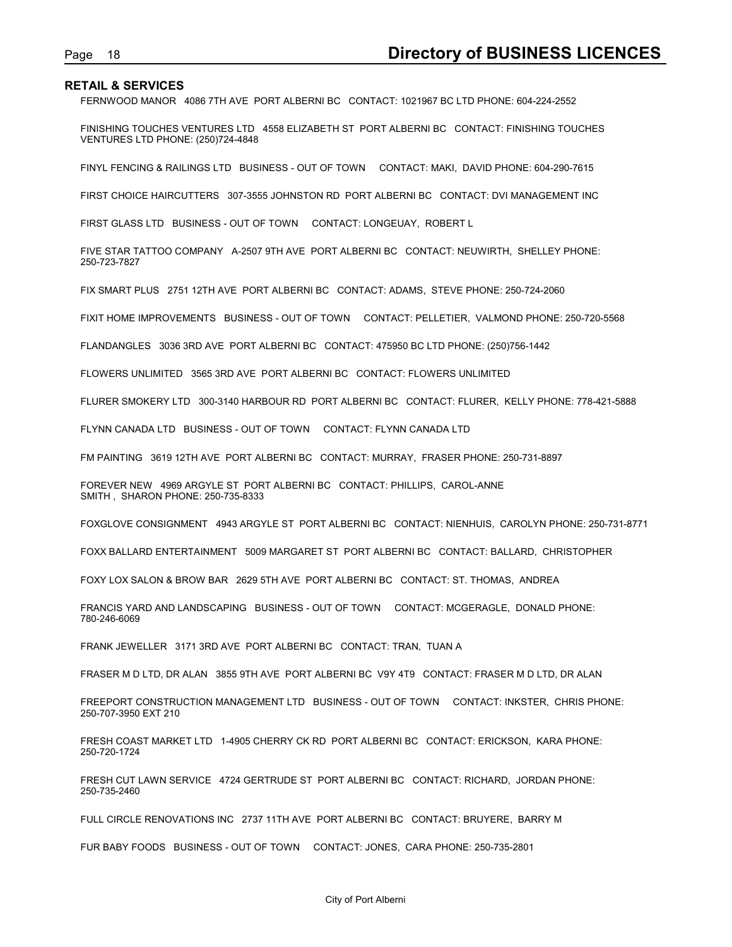FERNWOOD MANOR 4086 7TH AVE PORT ALBERNI BC CONTACT: 1021967 BC LTD PHONE: 604-224-2552

Page 18<br> **Directory of BUSINESS LICENCES**<br>
FERNWOOD MANOR 4086 7TH AVE PORT ALBERNI BC CONTACT: 1021967 BC LTD PHONE: 604-224-2552<br>
FINISHING TOUCHES VENTURES LTD 4558 ELIZABETH ST PORT ALBERNI BC CONTACT: FINISHING TOUCHE FINISHING TOUCHES VENTURES LTD 4558 ELIZABETH ST PORT ALBERNI BC CONTACT: FINISHING TOUCHES VENTURES LTD PHONE: (250)724-4848

FINYL FENCING & RAILINGS LTD BUSINESS - OUT OF TOWN CONTACT: MAKI, DAVID PHONE: 604-290-7615

FIRST CHOICE HAIRCUTTERS 307-3555 JOHNSTON RD PORT ALBERNI BC CONTACT: DVI MANAGEMENT INC

FIRST GLASS LTD BUSINESS - OUT OF TOWN CONTACT: LONGEUAY, ROBERT L

FIVE STAR TATTOO COMPANY A-2507 9TH AVE PORT ALBERNI BC CONTACT: NEUWIRTH, SHELLEY PHONE: 250-723-7827

FIX SMART PLUS 2751 12TH AVE PORT ALBERNI BC CONTACT: ADAMS, STEVE PHONE: 250-724-2060

FIXIT HOME IMPROVEMENTS BUSINESS - OUT OF TOWN CONTACT: PELLETIER, VALMOND PHONE: 250-720-5568

FLANDANGLES 3036 3RD AVE PORT ALBERNI BC CONTACT: 475950 BC LTD PHONE: (250)756-1442

FLOWERS UNLIMITED 3565 3RD AVE PORT ALBERNI BC CONTACT: FLOWERS UNLIMITED

FLURER SMOKERY LTD 300-3140 HARBOUR RD PORT ALBERNI BC CONTACT: FLURER, KELLY PHONE: 778-421-5888

FLYNN CANADA LTD BUSINESS - OUT OF TOWN CONTACT: FLYNN CANADA LTD

FM PAINTING 3619 12TH AVE PORT ALBERNI BC CONTACT: MURRAY, FRASER PHONE: 250-731-8897

FOREVER NEW 4969 ARGYLE ST PORT ALBERNI BC CONTACT: PHILLIPS, CAROL-ANNE SMITH , SHARON PHONE: 250-735-8333

FOXGLOVE CONSIGNMENT 4943 ARGYLE ST PORT ALBERNI BC CONTACT: NIENHUIS, CAROLYN PHONE: 250-731-8771

FOXX BALLARD ENTERTAINMENT 5009 MARGARET ST PORT ALBERNI BC CONTACT: BALLARD, CHRISTOPHER

FOXY LOX SALON & BROW BAR 2629 5TH AVE PORT ALBERNI BC CONTACT: ST. THOMAS, ANDREA

FRANCIS YARD AND LANDSCAPING BUSINESS - OUT OF TOWN CONTACT: MCGERAGLE, DONALD PHONE: 780-246-6069

FRANK JEWELLER 3171 3RD AVE PORT ALBERNI BC CONTACT: TRAN, TUAN A

FRASER M D LTD, DR ALAN 3855 9TH AVE PORT ALBERNI BC V9Y 4T9 CONTACT: FRASER M D LTD, DR ALAN

FREEPORT CONSTRUCTION MANAGEMENT LTD BUSINESS - OUT OF TOWN CONTACT: INKSTER, CHRIS PHONE: 250-707-3950 EXT 210

FRESH COAST MARKET LTD 1-4905 CHERRY CK RD PORT ALBERNI BC CONTACT: ERICKSON, KARA PHONE: 250-720-1724

FRESH CUT LAWN SERVICE 4724 GERTRUDE ST PORT ALBERNI BC CONTACT: RICHARD, JORDAN PHONE: 250-735-2460

FULL CIRCLE RENOVATIONS INC 2737 11TH AVE PORT ALBERNI BC CONTACT: BRUYERE, BARRY M

FUR BABY FOODS BUSINESS - OUT OF TOWN CONTACT: JONES, CARA PHONE: 250-735-2801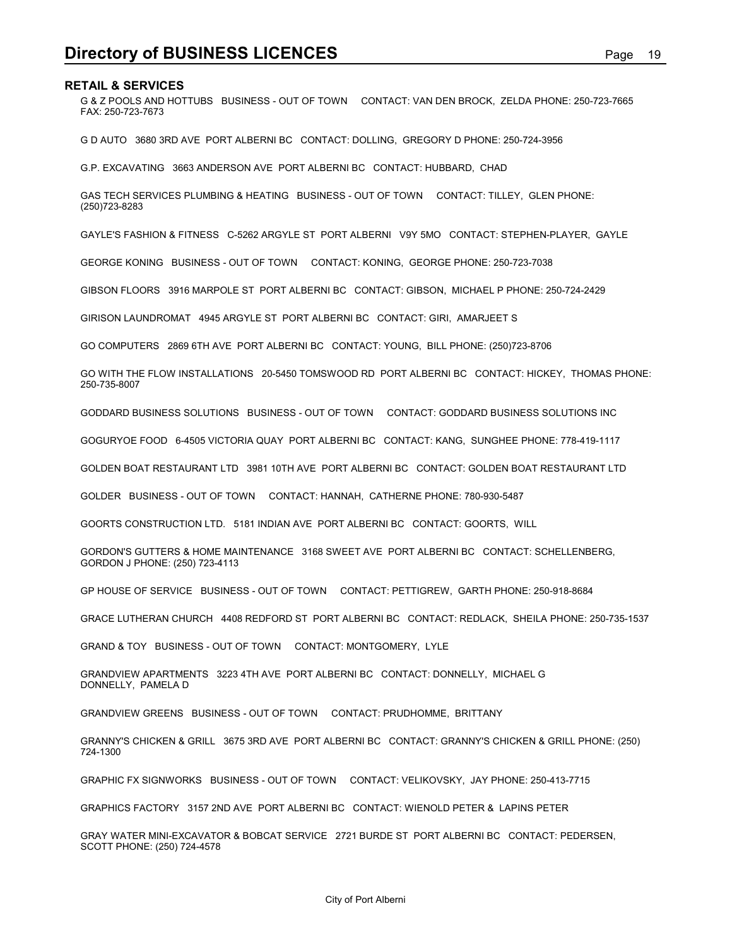**Directory of BUSINESS LICENCES**<br>RETAIL & SERVICES<br>FAX: 250-723-7673<br>FAX: 250-723-7673 G & Z POOLS AND HOTTUBS BUSINESS - OUT OF TOWN CONTACT: VAN DEN BROCK, ZELDA PHONE: 250-723-7665 FAX: 250-723-7673

G D AUTO 3680 3RD AVE PORT ALBERNI BC CONTACT: DOLLING, GREGORY D PHONE: 250-724-3956

G.P. EXCAVATING 3663 ANDERSON AVE PORT ALBERNI BC CONTACT: HUBBARD, CHAD

GAS TECH SERVICES PLUMBING & HEATING BUSINESS - OUT OF TOWN CONTACT: TILLEY, GLEN PHONE: (250)723-8283

GAYLE'S FASHION & FITNESS C-5262 ARGYLE ST PORT ALBERNI V9Y 5MO CONTACT: STEPHEN-PLAYER, GAYLE

GEORGE KONING BUSINESS - OUT OF TOWN CONTACT: KONING, GEORGE PHONE: 250-723-7038

GIBSON FLOORS 3916 MARPOLE ST PORT ALBERNI BC CONTACT: GIBSON, MICHAEL P PHONE: 250-724-2429

GIRISON LAUNDROMAT 4945 ARGYLE ST PORT ALBERNI BC CONTACT: GIRI, AMARJEET S

GO COMPUTERS 2869 6TH AVE PORT ALBERNI BC CONTACT: YOUNG, BILL PHONE: (250)723-8706

GO WITH THE FLOW INSTALLATIONS 20-5450 TOMSWOOD RD PORT ALBERNI BC CONTACT: HICKEY, THOMAS PHONE: 250-735-8007

GODDARD BUSINESS SOLUTIONS BUSINESS - OUT OF TOWN CONTACT: GODDARD BUSINESS SOLUTIONS INC

GOGURYOE FOOD 6-4505 VICTORIA QUAY PORT ALBERNI BC CONTACT: KANG, SUNGHEE PHONE: 778-419-1117

GOLDEN BOAT RESTAURANT LTD 3981 10TH AVE PORT ALBERNI BC CONTACT: GOLDEN BOAT RESTAURANT LTD

GOLDER BUSINESS - OUT OF TOWN CONTACT: HANNAH, CATHERNE PHONE: 780-930-5487

GOORTS CONSTRUCTION LTD. 5181 INDIAN AVE PORT ALBERNI BC CONTACT: GOORTS, WILL

GORDON'S GUTTERS & HOME MAINTENANCE 3168 SWEET AVE PORT ALBERNI BC CONTACT: SCHELLENBERG, GORDON J PHONE: (250) 723-4113

GP HOUSE OF SERVICE BUSINESS - OUT OF TOWN CONTACT: PETTIGREW, GARTH PHONE: 250-918-8684

GRACE LUTHERAN CHURCH 4408 REDFORD ST PORT ALBERNI BC CONTACT: REDLACK, SHEILA PHONE: 250-735-1537

GRAND & TOY BUSINESS - OUT OF TOWN CONTACT: MONTGOMERY, LYLE

GRANDVIEW APARTMENTS 3223 4TH AVE PORT ALBERNI BC CONTACT: DONNELLY, MICHAEL G DONNELLY, PAMELA D

GRANDVIEW GREENS BUSINESS - OUT OF TOWN CONTACT: PRUDHOMME, BRITTANY

GRANNY'S CHICKEN & GRILL 3675 3RD AVE PORT ALBERNI BC CONTACT: GRANNY'S CHICKEN & GRILL PHONE: (250) 724-1300

GRAPHIC FX SIGNWORKS BUSINESS - OUT OF TOWN CONTACT: VELIKOVSKY, JAY PHONE: 250-413-7715

GRAPHICS FACTORY 3157 2ND AVE PORT ALBERNI BC CONTACT: WIENOLD PETER & LAPINS PETER

GRAY WATER MINI-EXCAVATOR & BOBCAT SERVICE 2721 BURDE ST PORT ALBERNI BC CONTACT: PEDERSEN, SCOTT PHONE: (250) 724-4578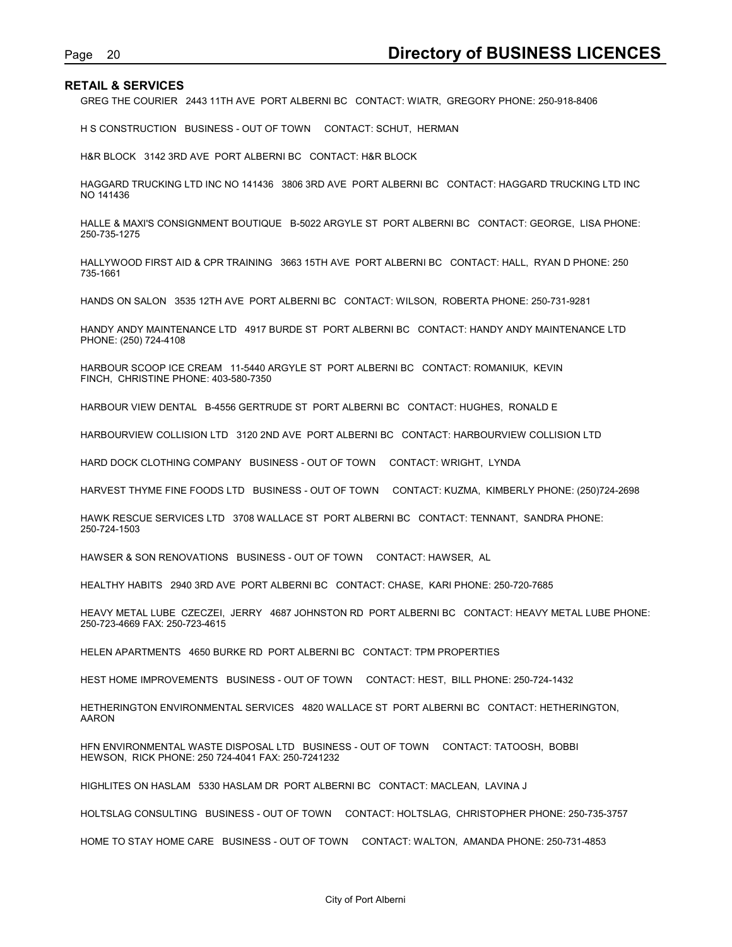Page 20<br> **Directory of BUSINESS LICENCES**<br>
GREG THE COURIER 2443 11TH AVE PORT ALBERNI BC CONTACT: WIATR, GREGORY PHONE: 250-918-8406<br>
H S CONSTRUCTION BUSINESS - OUT OF TOWN CONTACT: SCHUT, HERMAN GREG THE COURIER 2443 11TH AVE PORT ALBERNI BC CONTACT: WIATR, GREGORY PHONE: 250-918-8406

H S CONSTRUCTION BUSINESS - OUT OF TOWN CONTACT: SCHUT, HERMAN

H&R BLOCK 3142 3RD AVE PORT ALBERNI BC CONTACT: H&R BLOCK

HAGGARD TRUCKING LTD INC NO 141436 3806 3RD AVE PORT ALBERNI BC CONTACT: HAGGARD TRUCKING LTD INC NO 141436

HALLE & MAXI'S CONSIGNMENT BOUTIQUE B-5022 ARGYLE ST PORT ALBERNI BC CONTACT: GEORGE, LISA PHONE: 250-735-1275

HALLYWOOD FIRST AID & CPR TRAINING 3663 15TH AVE PORT ALBERNI BC CONTACT: HALL, RYAN D PHONE: 250 735-1661

HANDS ON SALON 3535 12TH AVE PORT ALBERNI BC CONTACT: WILSON, ROBERTA PHONE: 250-731-9281

HANDY ANDY MAINTENANCE LTD 4917 BURDE ST PORT ALBERNI BC CONTACT: HANDY ANDY MAINTENANCE LTD PHONE: (250) 724-4108

HARBOUR SCOOP ICE CREAM 11-5440 ARGYLE ST PORT ALBERNI BC CONTACT: ROMANIUK, KEVIN FINCH, CHRISTINE PHONE: 403-580-7350

HARBOUR VIEW DENTAL B-4556 GERTRUDE ST PORT ALBERNI BC CONTACT: HUGHES, RONALD E

HARBOURVIEW COLLISION LTD 3120 2ND AVE PORT ALBERNI BC CONTACT: HARBOURVIEW COLLISION LTD

HARD DOCK CLOTHING COMPANY BUSINESS - OUT OF TOWN CONTACT: WRIGHT, LYNDA

HARVEST THYME FINE FOODS LTD BUSINESS - OUT OF TOWN CONTACT: KUZMA, KIMBERLY PHONE: (250)724-2698

HAWK RESCUE SERVICES LTD 3708 WALLACE ST PORT ALBERNI BC CONTACT: TENNANT, SANDRA PHONE: 250-724-1503

HAWSER & SON RENOVATIONS BUSINESS - OUT OF TOWN CONTACT: HAWSER, AL

HEALTHY HABITS 2940 3RD AVE PORT ALBERNI BC CONTACT: CHASE, KARI PHONE: 250-720-7685

HEAVY METAL LUBE CZECZEI, JERRY 4687 JOHNSTON RD PORT ALBERNI BC CONTACT: HEAVY METAL LUBE PHONE: 250-723-4669 FAX: 250-723-4615

HELEN APARTMENTS 4650 BURKE RD PORT ALBERNI BC CONTACT: TPM PROPERTIES

HEST HOME IMPROVEMENTS BUSINESS - OUT OF TOWN CONTACT: HEST, BILL PHONE: 250-724-1432

HETHERINGTON ENVIRONMENTAL SERVICES 4820 WALLACE ST PORT ALBERNI BC CONTACT: HETHERINGTON, AARON

HFN ENVIRONMENTAL WASTE DISPOSAL LTD BUSINESS - OUT OF TOWN CONTACT: TATOOSH, BOBBI HEWSON, RICK PHONE: 250 724-4041 FAX: 250-7241232

HIGHLITES ON HASLAM 5330 HASLAM DR PORT ALBERNI BC CONTACT: MACLEAN, LAVINA J

HOLTSLAG CONSULTING BUSINESS - OUT OF TOWN CONTACT: HOLTSLAG, CHRISTOPHER PHONE: 250-735-3757

HOME TO STAY HOME CARE BUSINESS - OUT OF TOWN CONTACT: WALTON, AMANDA PHONE: 250-731-4853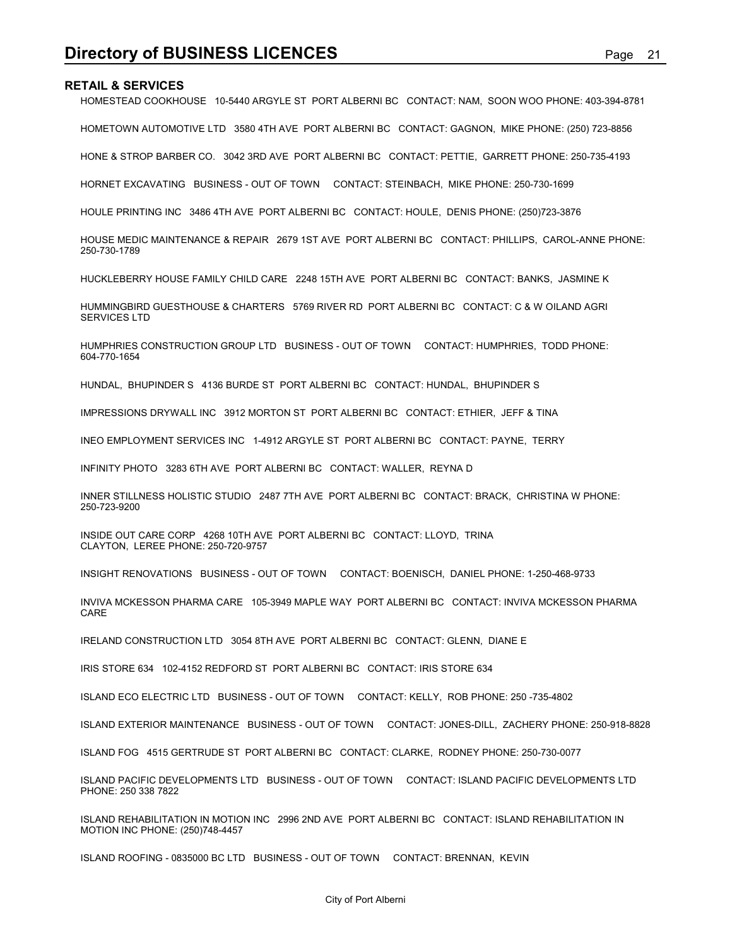**Directory of BUSINESS LICENCES**<br> **RETAIL & SERVICES**<br>
HOMESTEAD COOKHOUSE 10-5440 ARGYLE ST PORT ALBERNI BC CONTACT: NAM, SOON WOO PHONE: 403-394-8781<br>
HOMETOWN AUTOMOTIVE LTD 3580 4TH AVE PORT ALBERNI BC CONTACT: GAGNON, HOMESTEAD COOKHOUSE 10-5440 ARGYLE ST PORT ALBERNI BC CONTACT: NAM, SOON WOO PHONE: 403-394-8781

HOMETOWN AUTOMOTIVE LTD 3580 4TH AVE PORT ALBERNI BC CONTACT: GAGNON, MIKE PHONE: (250) 723-8856

HONE & STROP BARBER CO. 3042 3RD AVE PORT ALBERNI BC CONTACT: PETTIE, GARRETT PHONE: 250-735-4193

HORNET EXCAVATING BUSINESS - OUT OF TOWN CONTACT: STEINBACH, MIKE PHONE: 250-730-1699

HOULE PRINTING INC 3486 4TH AVE PORT ALBERNI BC CONTACT: HOULE, DENIS PHONE: (250)723-3876

HOUSE MEDIC MAINTENANCE & REPAIR 2679 1ST AVE PORT ALBERNI BC CONTACT: PHILLIPS, CAROL-ANNE PHONE: 250-730-1789

HUCKLEBERRY HOUSE FAMILY CHILD CARE 2248 15TH AVE PORT ALBERNI BC CONTACT: BANKS, JASMINE K

HUMMINGBIRD GUESTHOUSE & CHARTERS 5769 RIVER RD PORT ALBERNI BC CONTACT: C & W OILAND AGRI SERVICES LTD

HUMPHRIES CONSTRUCTION GROUP LTD BUSINESS - OUT OF TOWN CONTACT: HUMPHRIES, TODD PHONE: 604-770-1654

HUNDAL, BHUPINDER S 4136 BURDE ST PORT ALBERNI BC CONTACT: HUNDAL, BHUPINDER S

IMPRESSIONS DRYWALL INC 3912 MORTON ST PORT ALBERNI BC CONTACT: ETHIER, JEFF & TINA

INEO EMPLOYMENT SERVICES INC 1-4912 ARGYLE ST PORT ALBERNI BC CONTACT: PAYNE, TERRY

INFINITY PHOTO 3283 6TH AVE PORT ALBERNI BC CONTACT: WALLER, REYNA D

INNER STILLNESS HOLISTIC STUDIO 2487 7TH AVE PORT ALBERNI BC CONTACT: BRACK, CHRISTINA W PHONE: 250-723-9200

INSIDE OUT CARE CORP 4268 10TH AVE PORT ALBERNI BC CONTACT: LLOYD, TRINA CLAYTON, LEREE PHONE: 250-720-9757

INSIGHT RENOVATIONS BUSINESS - OUT OF TOWN CONTACT: BOENISCH, DANIEL PHONE: 1-250-468-9733

INVIVA MCKESSON PHARMA CARE 105-3949 MAPLE WAY PORT ALBERNI BC CONTACT: INVIVA MCKESSON PHARMA CARE

IRELAND CONSTRUCTION LTD 3054 8TH AVE PORT ALBERNI BC CONTACT: GLENN, DIANE E

IRIS STORE 634 102-4152 REDFORD ST PORT ALBERNI BC CONTACT: IRIS STORE 634

ISLAND ECO ELECTRIC LTD BUSINESS - OUT OF TOWN CONTACT: KELLY, ROB PHONE: 250 -735-4802

ISLAND EXTERIOR MAINTENANCE BUSINESS - OUT OF TOWN CONTACT: JONES-DILL, ZACHERY PHONE: 250-918-8828

ISLAND FOG 4515 GERTRUDE ST PORT ALBERNI BC CONTACT: CLARKE, RODNEY PHONE: 250-730-0077

ISLAND PACIFIC DEVELOPMENTS LTD BUSINESS - OUT OF TOWN CONTACT: ISLAND PACIFIC DEVELOPMENTS LTD PHONE: 250 338 7822

ISLAND REHABILITATION IN MOTION INC 2996 2ND AVE PORT ALBERNI BC CONTACT: ISLAND REHABILITATION IN MOTION INC PHONE: (250)748-4457

ISLAND ROOFING - 0835000 BC LTD BUSINESS - OUT OF TOWN CONTACT: BRENNAN, KEVIN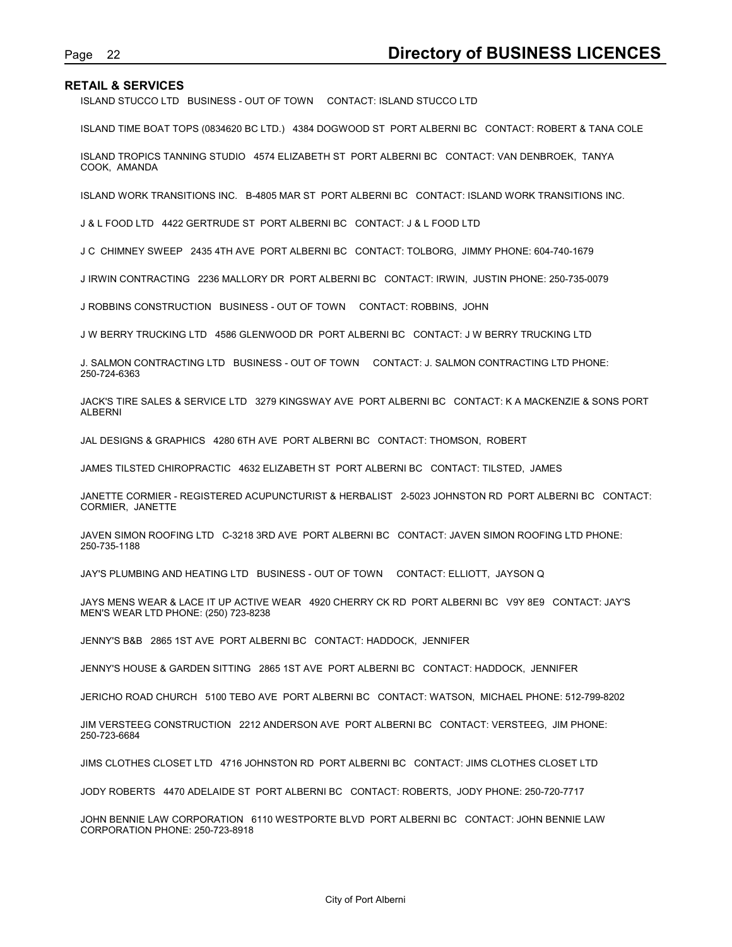ISLAND STUCCO LTD BUSINESS - OUT OF TOWN CONTACT: ISLAND STUCCO LTD

Page 22<br> **Directory of BUSINESS LICENCES**<br>
ISLAND STUCCO LTD BUSINESS - OUT OF TOWN CONTACT: ISLAND STUCCO LTD<br>
ISLAND TIME BOAT TOPS (0834620 BC LTD.) 4384 DOGWOOD ST PORT ALBERNI BC CONTACT: ROBERT & TANA COLE ISLAND TIME BOAT TOPS (0834620 BC LTD.) 4384 DOGWOOD ST PORT ALBERNI BC CONTACT: ROBERT & TANA COLE

ISLAND TROPICS TANNING STUDIO 4574 ELIZABETH ST PORT ALBERNI BC CONTACT: VAN DENBROEK, TANYA COOK, AMANDA

ISLAND WORK TRANSITIONS INC. B-4805 MAR ST PORT ALBERNI BC CONTACT: ISLAND WORK TRANSITIONS INC.

J & L FOOD LTD 4422 GERTRUDE ST PORT ALBERNI BC CONTACT: J & L FOOD LTD

J C CHIMNEY SWEEP 2435 4TH AVE PORT ALBERNI BC CONTACT: TOLBORG, JIMMY PHONE: 604-740-1679

J IRWIN CONTRACTING 2236 MALLORY DR PORT ALBERNI BC CONTACT: IRWIN, JUSTIN PHONE: 250-735-0079

J ROBBINS CONSTRUCTION BUSINESS - OUT OF TOWN CONTACT: ROBBINS, JOHN

J W BERRY TRUCKING LTD 4586 GLENWOOD DR PORT ALBERNI BC CONTACT: J W BERRY TRUCKING LTD

J. SALMON CONTRACTING LTD BUSINESS - OUT OF TOWN CONTACT: J. SALMON CONTRACTING LTD PHONE: 250-724-6363

JACK'S TIRE SALES & SERVICE LTD 3279 KINGSWAY AVE PORT ALBERNI BC CONTACT: K A MACKENZIE & SONS PORT ALBERNI

JAL DESIGNS & GRAPHICS 4280 6TH AVE PORT ALBERNI BC CONTACT: THOMSON, ROBERT

JAMES TILSTED CHIROPRACTIC 4632 ELIZABETH ST PORT ALBERNI BC CONTACT: TILSTED, JAMES

JANETTE CORMIER - REGISTERED ACUPUNCTURIST & HERBALIST 2-5023 JOHNSTON RD PORT ALBERNI BC CONTACT: CORMIER, JANETTE

JAVEN SIMON ROOFING LTD C-3218 3RD AVE PORT ALBERNI BC CONTACT: JAVEN SIMON ROOFING LTD PHONE: 250-735-1188

JAY'S PLUMBING AND HEATING LTD BUSINESS - OUT OF TOWN CONTACT: ELLIOTT, JAYSON Q

JAYS MENS WEAR & LACE IT UP ACTIVE WEAR 4920 CHERRY CK RD PORT ALBERNI BC V9Y 8E9 CONTACT: JAY'S MEN'S WEAR LTD PHONE: (250) 723-8238

JENNY'S B&B 2865 1ST AVE PORT ALBERNI BC CONTACT: HADDOCK, JENNIFER

JENNY'S HOUSE & GARDEN SITTING 2865 1ST AVE PORT ALBERNI BC CONTACT: HADDOCK, JENNIFER

JERICHO ROAD CHURCH 5100 TEBO AVE PORT ALBERNI BC CONTACT: WATSON, MICHAEL PHONE: 512-799-8202

JIM VERSTEEG CONSTRUCTION 2212 ANDERSON AVE PORT ALBERNI BC CONTACT: VERSTEEG, JIM PHONE: 250-723-6684

JIMS CLOTHES CLOSET LTD 4716 JOHNSTON RD PORT ALBERNI BC CONTACT: JIMS CLOTHES CLOSET LTD

JODY ROBERTS 4470 ADELAIDE ST PORT ALBERNI BC CONTACT: ROBERTS, JODY PHONE: 250-720-7717

JOHN BENNIE LAW CORPORATION 6110 WESTPORTE BLVD PORT ALBERNI BC CONTACT: JOHN BENNIE LAW CORPORATION PHONE: 250-723-8918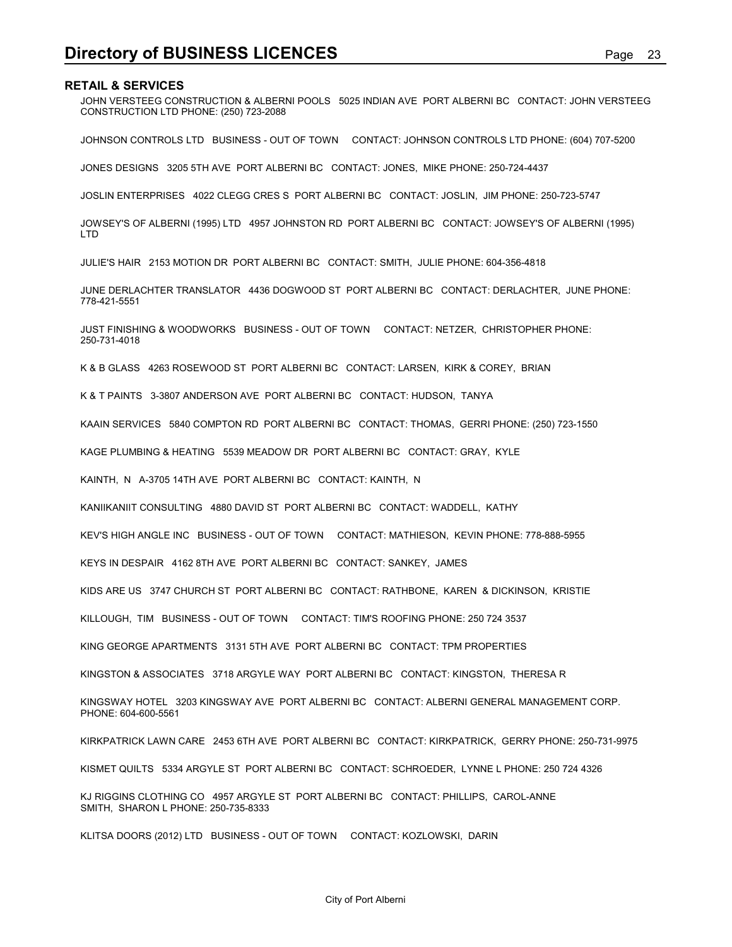**Directory of BUSINESS LICENCES**<br>RETAIL & SERVICES<br>JOHN VERSTEEG CONSTRUCTION & ALBERNI POOLS 5025 INDIAN AVE PORT ALBERNI BC CONTACT: JOHN VERSTEEG<br>CONSTRUCTION LTD PHONE: (250) 723-2088 JOHN VERSTEEG CONSTRUCTION & ALBERNI POOLS 5025 INDIAN AVE PORT ALBERNI BC CONTACT: JOHN VERSTEEG CONSTRUCTION LTD PHONE: (250) 723-2088

JOHNSON CONTROLS LTD BUSINESS - OUT OF TOWN CONTACT: JOHNSON CONTROLS LTD PHONE: (604) 707-5200

JONES DESIGNS 3205 5TH AVE PORT ALBERNI BC CONTACT: JONES, MIKE PHONE: 250-724-4437

JOSLIN ENTERPRISES 4022 CLEGG CRES S PORT ALBERNI BC CONTACT: JOSLIN, JIM PHONE: 250-723-5747

JOWSEY'S OF ALBERNI (1995) LTD 4957 JOHNSTON RD PORT ALBERNI BC CONTACT: JOWSEY'S OF ALBERNI (1995) LTD

JULIE'S HAIR 2153 MOTION DR PORT ALBERNI BC CONTACT: SMITH, JULIE PHONE: 604-356-4818

JUNE DERLACHTER TRANSLATOR 4436 DOGWOOD ST PORT ALBERNI BC CONTACT: DERLACHTER, JUNE PHONE: 778-421-5551

JUST FINISHING & WOODWORKS BUSINESS - OUT OF TOWN CONTACT: NETZER, CHRISTOPHER PHONE: 250-731-4018

K & B GLASS 4263 ROSEWOOD ST PORT ALBERNI BC CONTACT: LARSEN, KIRK & COREY, BRIAN

K & T PAINTS 3-3807 ANDERSON AVE PORT ALBERNI BC CONTACT: HUDSON, TANYA

KAAIN SERVICES 5840 COMPTON RD PORT ALBERNI BC CONTACT: THOMAS, GERRI PHONE: (250) 723-1550

KAGE PLUMBING & HEATING 5539 MEADOW DR PORT ALBERNI BC CONTACT: GRAY, KYLE

KAINTH, N A-3705 14TH AVE PORT ALBERNI BC CONTACT: KAINTH, N

KANIIKANIIT CONSULTING 4880 DAVID ST PORT ALBERNI BC CONTACT: WADDELL, KATHY

KEV'S HIGH ANGLE INC BUSINESS - OUT OF TOWN CONTACT: MATHIESON, KEVIN PHONE: 778-888-5955

KEYS IN DESPAIR 4162 8TH AVE PORT ALBERNI BC CONTACT: SANKEY, JAMES

KIDS ARE US 3747 CHURCH ST PORT ALBERNI BC CONTACT: RATHBONE, KAREN & DICKINSON, KRISTIE

KILLOUGH, TIM BUSINESS - OUT OF TOWN CONTACT: TIM'S ROOFING PHONE: 250 724 3537

KING GEORGE APARTMENTS 3131 5TH AVE PORT ALBERNI BC CONTACT: TPM PROPERTIES

KINGSTON & ASSOCIATES 3718 ARGYLE WAY PORT ALBERNI BC CONTACT: KINGSTON, THERESA R

KINGSWAY HOTEL 3203 KINGSWAY AVE PORT ALBERNI BC CONTACT: ALBERNI GENERAL MANAGEMENT CORP. PHONE: 604-600-5561

KIRKPATRICK LAWN CARE 2453 6TH AVE PORT ALBERNI BC CONTACT: KIRKPATRICK, GERRY PHONE: 250-731-9975

KISMET QUILTS 5334 ARGYLE ST PORT ALBERNI BC CONTACT: SCHROEDER, LYNNE L PHONE: 250 724 4326

KJ RIGGINS CLOTHING CO 4957 ARGYLE ST PORT ALBERNI BC CONTACT: PHILLIPS, CAROL-ANNE SMITH, SHARON L PHONE: 250-735-8333

KLITSA DOORS (2012) LTD BUSINESS - OUT OF TOWN CONTACT: KOZLOWSKI, DARIN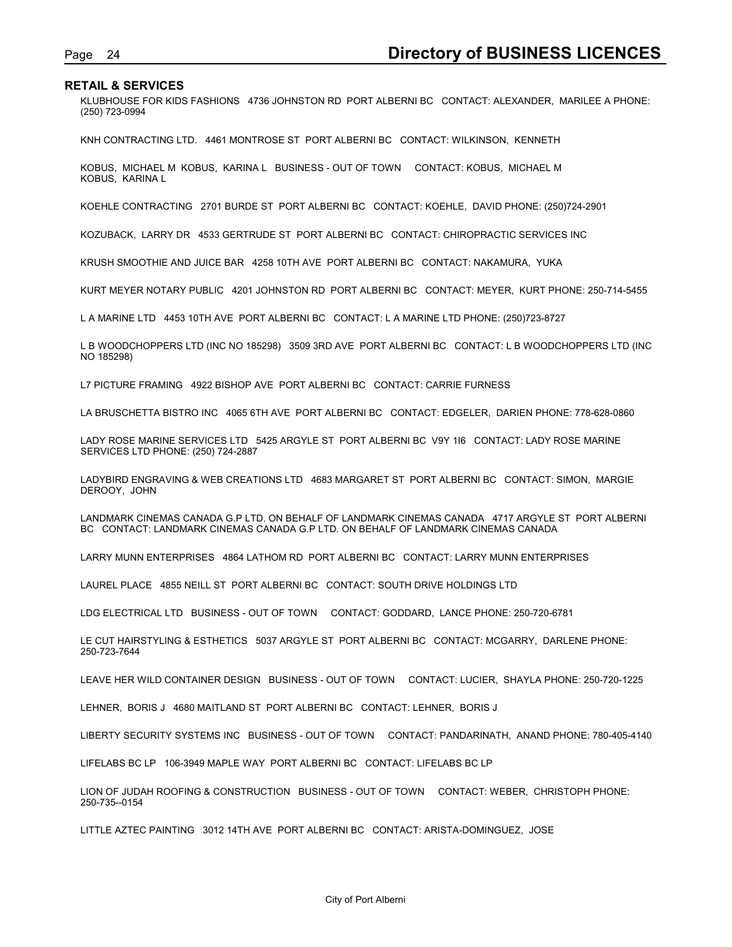Page 24 **Directory of BUSINESS LICENCES**<br>RETAIL & SERVICES<br>KLUBHOUSE FOR KIDS FASHIONS 4736 JOHNSTON RD PORT ALBERNI BC CONTACT: ALEXANDER, MARILEE A PHONE:<br>(250) 723-0994 KLUBHOUSE FOR KIDS FASHIONS 4736 JOHNSTON RD PORT ALBERNI BC CONTACT: ALEXANDER, MARILEE A PHONE: (250) 723-0994

KNH CONTRACTING LTD. 4461 MONTROSE ST PORT ALBERNI BC CONTACT: WILKINSON, KENNETH

KOBUS, MICHAEL M KOBUS, KARINA L BUSINESS - OUT OF TOWN CONTACT: KOBUS, MICHAEL M KOBUS, KARINA L

KOEHLE CONTRACTING 2701 BURDE ST PORT ALBERNI BC CONTACT: KOEHLE, DAVID PHONE: (250)724-2901

KOZUBACK, LARRY DR 4533 GERTRUDE ST PORT ALBERNI BC CONTACT: CHIROPRACTIC SERVICES INC

KRUSH SMOOTHIE AND JUICE BAR 4258 10TH AVE PORT ALBERNI BC CONTACT: NAKAMURA, YUKA

KURT MEYER NOTARY PUBLIC 4201 JOHNSTON RD PORT ALBERNI BC CONTACT: MEYER, KURT PHONE: 250-714-5455

L A MARINE LTD 4453 10TH AVE PORT ALBERNI BC CONTACT: L A MARINE LTD PHONE: (250)723-8727

L B WOODCHOPPERS LTD (INC NO 185298) 3509 3RD AVE PORT ALBERNI BC CONTACT: L B WOODCHOPPERS LTD (INC NO 185298)

L7 PICTURE FRAMING 4922 BISHOP AVE PORT ALBERNI BC CONTACT: CARRIE FURNESS

LA BRUSCHETTA BISTRO INC 4065 6TH AVE PORT ALBERNI BC CONTACT: EDGELER, DARIEN PHONE: 778-628-0860

LADY ROSE MARINE SERVICES LTD 5425 ARGYLE ST PORT ALBERNI BC V9Y 1I6 CONTACT: LADY ROSE MARINE SERVICES LTD PHONE: (250) 724-2887

LADYBIRD ENGRAVING & WEB CREATIONS LTD 4683 MARGARET ST PORT ALBERNI BC CONTACT: SIMON, MARGIE DEROOY, JOHN

LANDMARK CINEMAS CANADA G.P LTD. ON BEHALF OF LANDMARK CINEMAS CANADA 4717 ARGYLE ST PORT ALBERNI BC CONTACT: LANDMARK CINEMAS CANADA G.P LTD. ON BEHALF OF LANDMARK CINEMAS CANADA

LARRY MUNN ENTERPRISES 4864 LATHOM RD PORT ALBERNI BC CONTACT: LARRY MUNN ENTERPRISES

LAUREL PLACE 4855 NEILL ST PORT ALBERNI BC CONTACT: SOUTH DRIVE HOLDINGS LTD

LDG ELECTRICAL LTD BUSINESS - OUT OF TOWN CONTACT: GODDARD, LANCE PHONE: 250-720-6781

LE CUT HAIRSTYLING & ESTHETICS 5037 ARGYLE ST PORT ALBERNI BC CONTACT: MCGARRY, DARLENE PHONE: 250-723-7644

LEAVE HER WILD CONTAINER DESIGN BUSINESS - OUT OF TOWN CONTACT: LUCIER, SHAYLA PHONE: 250-720-1225

LEHNER, BORIS J 4680 MAITLAND ST PORT ALBERNI BC CONTACT: LEHNER, BORIS J

LIBERTY SECURITY SYSTEMS INC BUSINESS - OUT OF TOWN CONTACT: PANDARINATH, ANAND PHONE: 780-405-4140

LIFELABS BC LP 106-3949 MAPLE WAY PORT ALBERNI BC CONTACT: LIFELABS BC LP

LION OF JUDAH ROOFING & CONSTRUCTION BUSINESS - OUT OF TOWN CONTACT: WEBER, CHRISTOPH PHONE: 250-735--0154

LITTLE AZTEC PAINTING 3012 14TH AVE PORT ALBERNI BC CONTACT: ARISTA-DOMINGUEZ, JOSE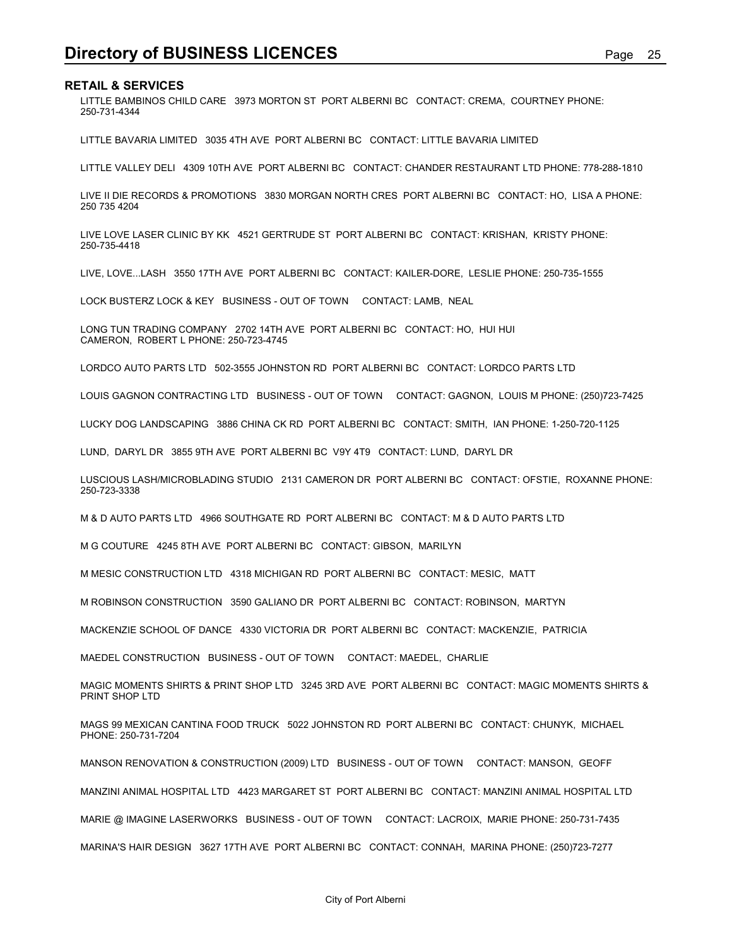**Directory of BUSINESS LICENCES**<br>RETAIL & SERVICES<br><u>LITTLE BAMBINOS CHILD CARE</u> 3973 MORTON ST PORT ALBERNI BC CONTACT: CREMA, COURTNEY PHONE:<br>250-731-4344 LITTLE BAMBINOS CHILD CARE 3973 MORTON ST PORT ALBERNI BC CONTACT: CREMA, COURTNEY PHONE: 250-731-4344

LITTLE BAVARIA LIMITED 3035 4TH AVE PORT ALBERNI BC CONTACT: LITTLE BAVARIA LIMITED

LITTLE VALLEY DELI 4309 10TH AVE PORT ALBERNI BC CONTACT: CHANDER RESTAURANT LTD PHONE: 778-288-1810

LIVE II DIE RECORDS & PROMOTIONS 3830 MORGAN NORTH CRES PORT ALBERNI BC CONTACT: HO, LISA A PHONE: 250 735 4204

LIVE LOVE LASER CLINIC BY KK 4521 GERTRUDE ST PORT ALBERNI BC CONTACT: KRISHAN, KRISTY PHONE: 250-735-4418

LIVE, LOVE...LASH 3550 17TH AVE PORT ALBERNI BC CONTACT: KAILER-DORE, LESLIE PHONE: 250-735-1555

LOCK BUSTERZ LOCK & KEY BUSINESS - OUT OF TOWN CONTACT: LAMB, NEAL

LONG TUN TRADING COMPANY 2702 14TH AVE PORT ALBERNI BC CONTACT: HO, HUI HUI CAMERON, ROBERT L PHONE: 250-723-4745

LORDCO AUTO PARTS LTD 502-3555 JOHNSTON RD PORT ALBERNI BC CONTACT: LORDCO PARTS LTD

LOUIS GAGNON CONTRACTING LTD BUSINESS - OUT OF TOWN CONTACT: GAGNON, LOUIS M PHONE: (250)723-7425

LUCKY DOG LANDSCAPING 3886 CHINA CK RD PORT ALBERNI BC CONTACT: SMITH, IAN PHONE: 1-250-720-1125

LUND, DARYL DR 3855 9TH AVE PORT ALBERNI BC V9Y 4T9 CONTACT: LUND, DARYL DR

LUSCIOUS LASH/MICROBLADING STUDIO 2131 CAMERON DR PORT ALBERNI BC CONTACT: OFSTIE, ROXANNE PHONE: 250-723-3338

M & D AUTO PARTS LTD 4966 SOUTHGATE RD PORT ALBERNI BC CONTACT: M & D AUTO PARTS LTD

M G COUTURE 4245 8TH AVE PORT ALBERNI BC CONTACT: GIBSON, MARILYN

M MESIC CONSTRUCTION LTD 4318 MICHIGAN RD PORT ALBERNI BC CONTACT: MESIC, MATT

M ROBINSON CONSTRUCTION 3590 GALIANO DR PORT ALBERNI BC CONTACT: ROBINSON, MARTYN

MACKENZIE SCHOOL OF DANCE 4330 VICTORIA DR PORT ALBERNI BC CONTACT: MACKENZIE, PATRICIA

MAEDEL CONSTRUCTION BUSINESS - OUT OF TOWN CONTACT: MAEDEL, CHARLIE

MAGIC MOMENTS SHIRTS & PRINT SHOP LTD 3245 3RD AVE PORT ALBERNI BC CONTACT: MAGIC MOMENTS SHIRTS & PRINT SHOP LTD

MAGS 99 MEXICAN CANTINA FOOD TRUCK 5022 JOHNSTON RD PORT ALBERNI BC CONTACT: CHUNYK, MICHAEL PHONE: 250-731-7204

MANSON RENOVATION & CONSTRUCTION (2009) LTD BUSINESS - OUT OF TOWN CONTACT: MANSON, GEOFF

MANZINI ANIMAL HOSPITAL LTD 4423 MARGARET ST PORT ALBERNI BC CONTACT: MANZINI ANIMAL HOSPITAL LTD

MARIE @ IMAGINE LASERWORKS BUSINESS - OUT OF TOWN CONTACT: LACROIX, MARIE PHONE: 250-731-7435

MARINA'S HAIR DESIGN 3627 17TH AVE PORT ALBERNI BC CONTACT: CONNAH, MARINA PHONE: (250)723-7277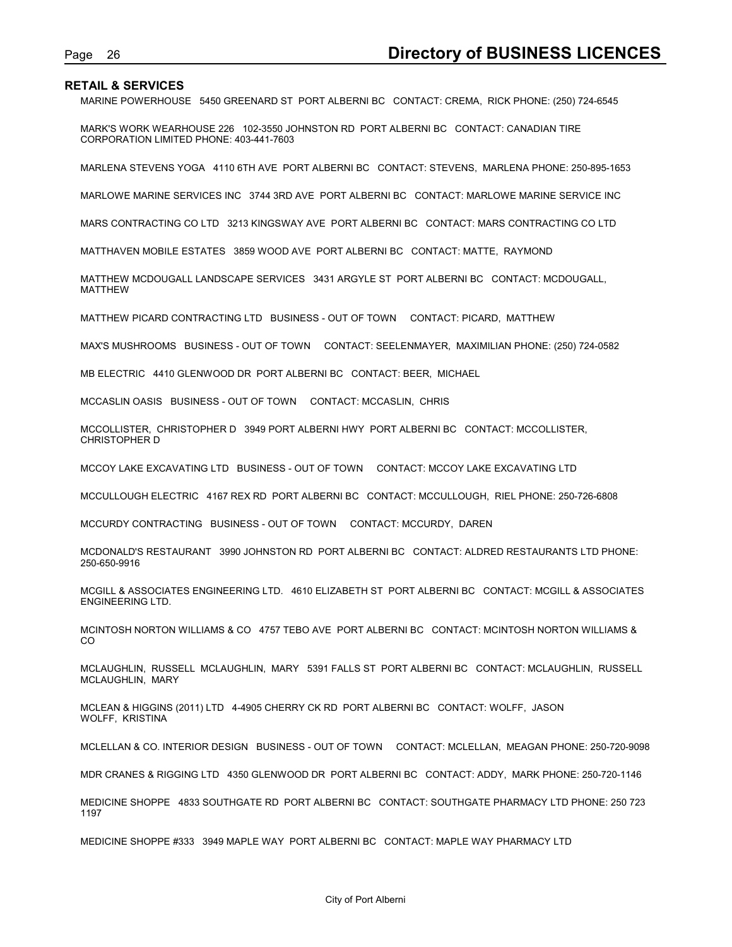Page 26 **Directory of BUSINESS LICENCES**<br>RETAIL & SERVICES<br>MARINE POWERHOUSE 5450 GREENARD ST PORT ALBERNI BC CONTACT: CREMA, RICK PHONE: (250) 724-6545<br>MARK'S WORK WEARHOUSE 226 102-3550 JOHNSTON RD PORT ALBERNI BC CONTAC MARINE POWERHOUSE 5450 GREENARD ST PORT ALBERNI BC CONTACT: CREMA, RICK PHONE: (250) 724-6545

MARK'S WORK WEARHOUSE 226 102-3550 JOHNSTON RD PORT ALBERNI BC CONTACT: CANADIAN TIRE CORPORATION LIMITED PHONE: 403-441-7603

MARLENA STEVENS YOGA 4110 6TH AVE PORT ALBERNI BC CONTACT: STEVENS, MARLENA PHONE: 250-895-1653

MARLOWE MARINE SERVICES INC 3744 3RD AVE PORT ALBERNI BC CONTACT: MARLOWE MARINE SERVICE INC

MARS CONTRACTING CO LTD 3213 KINGSWAY AVE PORT ALBERNI BC CONTACT: MARS CONTRACTING CO LTD

MATTHAVEN MOBILE ESTATES 3859 WOOD AVE PORT ALBERNI BC CONTACT: MATTE, RAYMOND

MATTHEW MCDOUGALL LANDSCAPE SERVICES 3431 ARGYLE ST PORT ALBERNI BC CONTACT: MCDOUGALL, MATTHEW

MATTHEW PICARD CONTRACTING LTD BUSINESS - OUT OF TOWN CONTACT: PICARD, MATTHEW

MAX'S MUSHROOMS BUSINESS - OUT OF TOWN CONTACT: SEELENMAYER, MAXIMILIAN PHONE: (250) 724-0582

MB ELECTRIC 4410 GLENWOOD DR PORT ALBERNI BC CONTACT: BEER, MICHAEL

MCCASLIN OASIS BUSINESS - OUT OF TOWN CONTACT: MCCASLIN, CHRIS

MCCOLLISTER, CHRISTOPHER D 3949 PORT ALBERNI HWY PORT ALBERNI BC CONTACT: MCCOLLISTER, CHRISTOPHER D

MCCOY LAKE EXCAVATING LTD BUSINESS - OUT OF TOWN CONTACT: MCCOY LAKE EXCAVATING LTD

MCCULLOUGH ELECTRIC 4167 REX RD PORT ALBERNI BC CONTACT: MCCULLOUGH, RIEL PHONE: 250-726-6808

MCCURDY CONTRACTING BUSINESS - OUT OF TOWN CONTACT: MCCURDY, DAREN

MCDONALD'S RESTAURANT 3990 JOHNSTON RD PORT ALBERNI BC CONTACT: ALDRED RESTAURANTS LTD PHONE: 250-650-9916

MCGILL & ASSOCIATES ENGINEERING LTD. 4610 ELIZABETH ST PORT ALBERNI BC CONTACT: MCGILL & ASSOCIATES ENGINEERING LTD.

MCINTOSH NORTON WILLIAMS & CO 4757 TEBO AVE PORT ALBERNI BC CONTACT: MCINTOSH NORTON WILLIAMS & **CO CO CO** 

MCLAUGHLIN, RUSSELL MCLAUGHLIN, MARY 5391 FALLS ST PORT ALBERNI BC CONTACT: MCLAUGHLIN, RUSSELL MCLAUGHLIN, MARY

MCLEAN & HIGGINS (2011) LTD 4-4905 CHERRY CK RD PORT ALBERNI BC CONTACT: WOLFF, JASON WOLFF, KRISTINA

MCLELLAN & CO. INTERIOR DESIGN BUSINESS - OUT OF TOWN CONTACT: MCLELLAN, MEAGAN PHONE: 250-720-9098

MDR CRANES & RIGGING LTD 4350 GLENWOOD DR PORT ALBERNI BC CONTACT: ADDY, MARK PHONE: 250-720-1146

MEDICINE SHOPPE 4833 SOUTHGATE RD PORT ALBERNI BC CONTACT: SOUTHGATE PHARMACY LTD PHONE: 250 723 1197

MEDICINE SHOPPE #333 3949 MAPLE WAY PORT ALBERNI BC CONTACT: MAPLE WAY PHARMACY LTD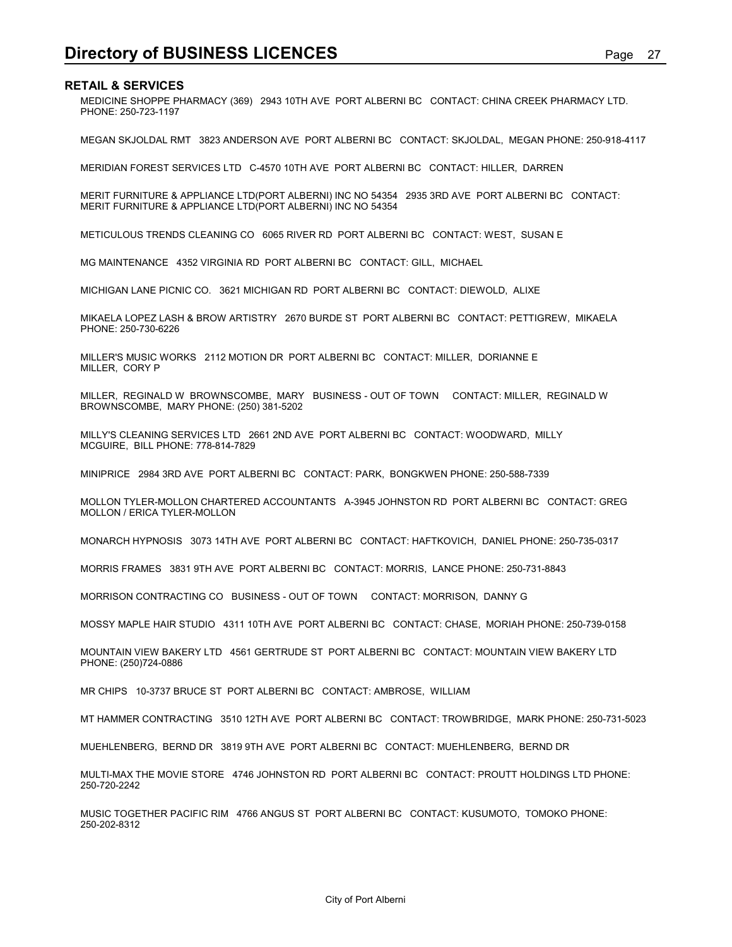**Directory of BUSINESS LICENCES**<br> **RETAIL & SERVICES**<br>
MEDICINE SHOPPE PHARMACY (369) 2943 10TH AVE PORT ALBERNI BC CONTACT: CHINA CREEK PHARMACY LTD.<br>
PHONE: 250-723-1197 MEDICINE SHOPPE PHARMACY (369) 2943 10TH AVE PORT ALBERNI BC CONTACT: CHINA CREEK PHARMACY LTD. PHONE: 250-723-1197

MEGAN SKJOLDAL RMT 3823 ANDERSON AVE PORT ALBERNI BC CONTACT: SKJOLDAL, MEGAN PHONE: 250-918-4117

MERIDIAN FOREST SERVICES LTD C-4570 10TH AVE PORT ALBERNI BC CONTACT: HILLER, DARREN

MERIT FURNITURE & APPLIANCE LTD(PORT ALBERNI) INC NO 54354 2935 3RD AVE PORT ALBERNI BC CONTACT: MERIT FURNITURE & APPLIANCE LTD(PORT ALBERNI) INC NO 54354

METICULOUS TRENDS CLEANING CO 6065 RIVER RD PORT ALBERNI BC CONTACT: WEST, SUSAN E

MG MAINTENANCE 4352 VIRGINIA RD PORT ALBERNI BC CONTACT: GILL, MICHAEL

MICHIGAN LANE PICNIC CO. 3621 MICHIGAN RD PORT ALBERNI BC CONTACT: DIEWOLD, ALIXE

MIKAELA LOPEZ LASH & BROW ARTISTRY 2670 BURDE ST PORT ALBERNI BC CONTACT: PETTIGREW, MIKAELA PHONE: 250-730-6226

MILLER'S MUSIC WORKS 2112 MOTION DR PORT ALBERNI BC CONTACT: MILLER, DORIANNE E MILLER, CORY P

MILLER, REGINALD W BROWNSCOMBE, MARY BUSINESS - OUT OF TOWN CONTACT: MILLER, REGINALD W BROWNSCOMBE, MARY PHONE: (250) 381-5202

MILLY'S CLEANING SERVICES LTD 2661 2ND AVE PORT ALBERNI BC CONTACT: WOODWARD, MILLY MCGUIRE, BILL PHONE: 778-814-7829

MINIPRICE 2984 3RD AVE PORT ALBERNI BC CONTACT: PARK, BONGKWEN PHONE: 250-588-7339

MOLLON TYLER-MOLLON CHARTERED ACCOUNTANTS A-3945 JOHNSTON RD PORT ALBERNI BC CONTACT: GREG MOLLON / ERICA TYLER-MOLLON

MONARCH HYPNOSIS 3073 14TH AVE PORT ALBERNI BC CONTACT: HAFTKOVICH, DANIEL PHONE: 250-735-0317

MORRIS FRAMES 3831 9TH AVE PORT ALBERNI BC CONTACT: MORRIS, LANCE PHONE: 250-731-8843

MORRISON CONTRACTING CO BUSINESS - OUT OF TOWN CONTACT: MORRISON, DANNY G

MOSSY MAPLE HAIR STUDIO 4311 10TH AVE PORT ALBERNI BC CONTACT: CHASE, MORIAH PHONE: 250-739-0158

MOUNTAIN VIEW BAKERY LTD 4561 GERTRUDE ST PORT ALBERNI BC CONTACT: MOUNTAIN VIEW BAKERY LTD PHONE: (250)724-0886

MR CHIPS 10-3737 BRUCE ST PORT ALBERNI BC CONTACT: AMBROSE, WILLIAM

MT HAMMER CONTRACTING 3510 12TH AVE PORT ALBERNI BC CONTACT: TROWBRIDGE, MARK PHONE: 250-731-5023

MUEHLENBERG, BERND DR 3819 9TH AVE PORT ALBERNI BC CONTACT: MUEHLENBERG, BERND DR

MULTI-MAX THE MOVIE STORE 4746 JOHNSTON RD PORT ALBERNI BC CONTACT: PROUTT HOLDINGS LTD PHONE: 250-720-2242

MUSIC TOGETHER PACIFIC RIM 4766 ANGUS ST PORT ALBERNI BC CONTACT: KUSUMOTO, TOMOKO PHONE: 250-202-8312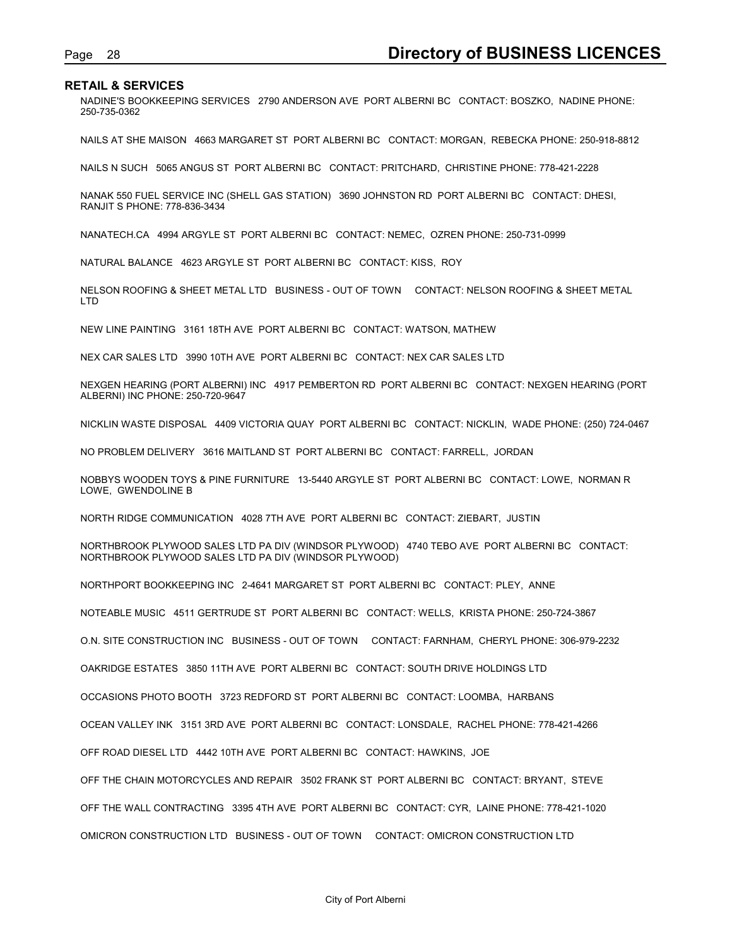Page 28 **Directory of BUSINESS LICENCES**<br>RETAIL & SERVICES<br><sup>NADINE'S BOOKKEEPING SERVICES 2790 ANDERSON AVE PORT ALBERNI BC CONTACT: BOSZKO, NADINE PHONE:<br>250-735-0362</sup> NADINE'S BOOKKEEPING SERVICES 2790 ANDERSON AVE PORT ALBERNI BC CONTACT: BOSZKO, NADINE PHONE: 250-735-0362

NAILS AT SHE MAISON 4663 MARGARET ST PORT ALBERNI BC CONTACT: MORGAN, REBECKA PHONE: 250-918-8812

NAILS N SUCH 5065 ANGUS ST PORT ALBERNI BC CONTACT: PRITCHARD, CHRISTINE PHONE: 778-421-2228

NANAK 550 FUEL SERVICE INC (SHELL GAS STATION) 3690 JOHNSTON RD PORT ALBERNI BC CONTACT: DHESI, RANJIT S PHONE: 778-836-3434

NANATECH.CA 4994 ARGYLE ST PORT ALBERNI BC CONTACT: NEMEC, OZREN PHONE: 250-731-0999

NATURAL BALANCE 4623 ARGYLE ST PORT ALBERNI BC CONTACT: KISS, ROY

NELSON ROOFING & SHEET METAL LTD BUSINESS - OUT OF TOWN CONTACT: NELSON ROOFING & SHEET METAL LTD

NEW LINE PAINTING 3161 18TH AVE PORT ALBERNI BC CONTACT: WATSON, MATHEW

NEX CAR SALES LTD 3990 10TH AVE PORT ALBERNI BC CONTACT: NEX CAR SALES LTD

NEXGEN HEARING (PORT ALBERNI) INC 4917 PEMBERTON RD PORT ALBERNI BC CONTACT: NEXGEN HEARING (PORT ALBERNI) INC PHONE: 250-720-9647

NICKLIN WASTE DISPOSAL 4409 VICTORIA QUAY PORT ALBERNI BC CONTACT: NICKLIN, WADE PHONE: (250) 724-0467

NO PROBLEM DELIVERY 3616 MAITLAND ST PORT ALBERNI BC CONTACT: FARRELL, JORDAN

NOBBYS WOODEN TOYS & PINE FURNITURE 13-5440 ARGYLE ST PORT ALBERNI BC CONTACT: LOWE, NORMAN R LOWE, GWENDOLINE B

NORTH RIDGE COMMUNICATION 4028 7TH AVE PORT ALBERNI BC CONTACT: ZIEBART, JUSTIN

NORTHBROOK PLYWOOD SALES LTD PA DIV (WINDSOR PLYWOOD) 4740 TEBO AVE PORT ALBERNI BC CONTACT: NORTHBROOK PLYWOOD SALES LTD PA DIV (WINDSOR PLYWOOD)

NORTHPORT BOOKKEEPING INC 2-4641 MARGARET ST PORT ALBERNI BC CONTACT: PLEY, ANNE

NOTEABLE MUSIC 4511 GERTRUDE ST PORT ALBERNI BC CONTACT: WELLS, KRISTA PHONE: 250-724-3867

O.N. SITE CONSTRUCTION INC BUSINESS - OUT OF TOWN CONTACT: FARNHAM, CHERYL PHONE: 306-979-2232

OAKRIDGE ESTATES 3850 11TH AVE PORT ALBERNI BC CONTACT: SOUTH DRIVE HOLDINGS LTD

OCCASIONS PHOTO BOOTH 3723 REDFORD ST PORT ALBERNI BC CONTACT: LOOMBA, HARBANS

OCEAN VALLEY INK 3151 3RD AVE PORT ALBERNI BC CONTACT: LONSDALE, RACHEL PHONE: 778-421-4266

OFF ROAD DIESEL LTD 4442 10TH AVE PORT ALBERNI BC CONTACT: HAWKINS, JOE

OFF THE CHAIN MOTORCYCLES AND REPAIR 3502 FRANK ST PORT ALBERNI BC CONTACT: BRYANT, STEVE

OFF THE WALL CONTRACTING 3395 4TH AVE PORT ALBERNI BC CONTACT: CYR, LAINE PHONE: 778-421-1020

OMICRON CONSTRUCTION LTD BUSINESS - OUT OF TOWN CONTACT: OMICRON CONSTRUCTION LTD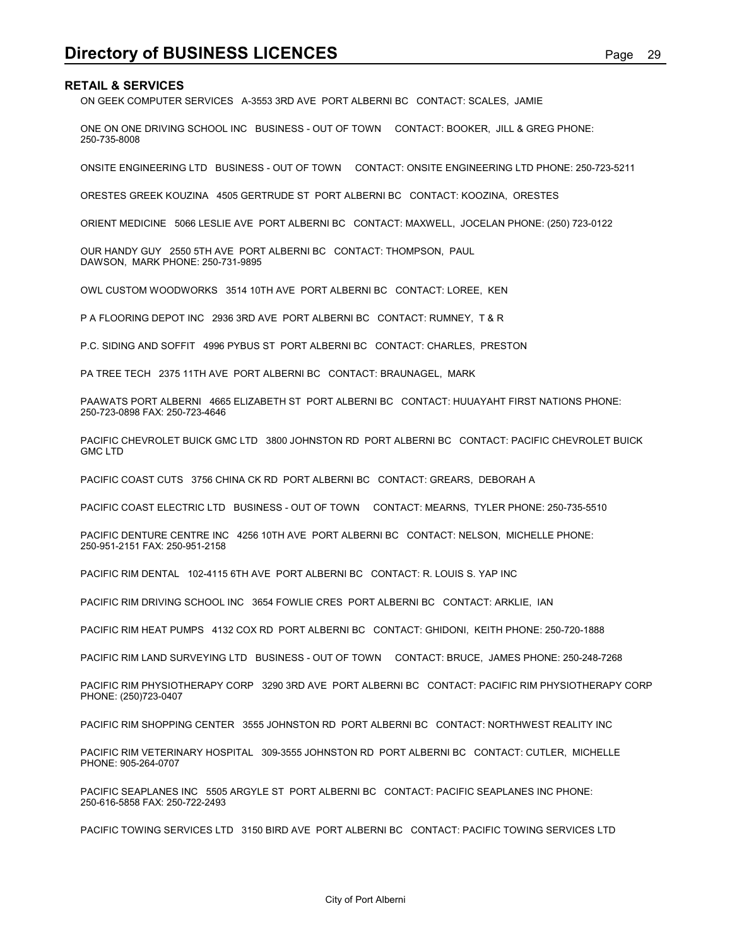ON GEEK COMPUTER SERVICES A-3553 3RD AVE PORT ALBERNI BC CONTACT: SCALES, JAMIE

**Directory of BUSINESS LICENCES**<br>
Page 29<br>
ON GEEK COMPUTER SERVICES A-3553 3RD AVE PORT ALBERNI BC CONTACT: SCALES, JAMIE<br>
ONE ON ONE DRIVING SCHOOL INC BUSINESS - OUT OF TOWN CONTACT: BOOKER, JILL & GREG PHONE: ONE ON ONE DRIVING SCHOOL INC BUSINESS - OUT OF TOWN CONTACT: BOOKER, JILL & GREG PHONE: 250-735-8008

ONSITE ENGINEERING LTD BUSINESS - OUT OF TOWN CONTACT: ONSITE ENGINEERING LTD PHONE: 250-723-5211

ORESTES GREEK KOUZINA 4505 GERTRUDE ST PORT ALBERNI BC CONTACT: KOOZINA, ORESTES

ORIENT MEDICINE 5066 LESLIE AVE PORT ALBERNI BC CONTACT: MAXWELL, JOCELAN PHONE: (250) 723-0122

OUR HANDY GUY 2550 5TH AVE PORT ALBERNI BC CONTACT: THOMPSON, PAUL DAWSON, MARK PHONE: 250-731-9895

OWL CUSTOM WOODWORKS 3514 10TH AVE PORT ALBERNI BC CONTACT: LOREE, KEN

P A FLOORING DEPOT INC 2936 3RD AVE PORT ALBERNI BC CONTACT: RUMNEY, T & R

P.C. SIDING AND SOFFIT 4996 PYBUS ST PORT ALBERNI BC CONTACT: CHARLES, PRESTON

PA TREE TECH 2375 11TH AVE PORT ALBERNI BC CONTACT: BRAUNAGEL, MARK

PAAWATS PORT ALBERNI 4665 ELIZABETH ST PORT ALBERNI BC CONTACT: HUUAYAHT FIRST NATIONS PHONE: 250-723-0898 FAX: 250-723-4646

PACIFIC CHEVROLET BUICK GMC LTD 3800 JOHNSTON RD PORT ALBERNI BC CONTACT: PACIFIC CHEVROLET BUICK GMC LTD

PACIFIC COAST CUTS 3756 CHINA CK RD PORT ALBERNI BC CONTACT: GREARS, DEBORAH A

PACIFIC COAST ELECTRIC LTD BUSINESS - OUT OF TOWN CONTACT: MEARNS, TYLER PHONE: 250-735-5510

PACIFIC DENTURE CENTRE INC 4256 10TH AVE PORT ALBERNI BC CONTACT: NELSON, MICHELLE PHONE: 250-951-2151 FAX: 250-951-2158

PACIFIC RIM DENTAL 102-4115 6TH AVE PORT ALBERNI BC CONTACT: R. LOUIS S. YAP INC

PACIFIC RIM DRIVING SCHOOL INC 3654 FOWLIE CRES PORT ALBERNI BC CONTACT: ARKLIE, IAN

PACIFIC RIM HEAT PUMPS 4132 COX RD PORT ALBERNI BC CONTACT: GHIDONI, KEITH PHONE: 250-720-1888

PACIFIC RIM LAND SURVEYING LTD BUSINESS - OUT OF TOWN CONTACT: BRUCE, JAMES PHONE: 250-248-7268

PACIFIC RIM PHYSIOTHERAPY CORP 3290 3RD AVE PORT ALBERNI BC CONTACT: PACIFIC RIM PHYSIOTHERAPY CORP PHONE: (250)723-0407

PACIFIC RIM SHOPPING CENTER 3555 JOHNSTON RD PORT ALBERNI BC CONTACT: NORTHWEST REALITY INC

PACIFIC RIM VETERINARY HOSPITAL 309-3555 JOHNSTON RD PORT ALBERNI BC CONTACT: CUTLER, MICHELLE PHONE: 905-264-0707

PACIFIC SEAPLANES INC 5505 ARGYLE ST PORT ALBERNI BC CONTACT: PACIFIC SEAPLANES INC PHONE: 250-616-5858 FAX: 250-722-2493

PACIFIC TOWING SERVICES LTD 3150 BIRD AVE PORT ALBERNI BC CONTACT: PACIFIC TOWING SERVICES LTD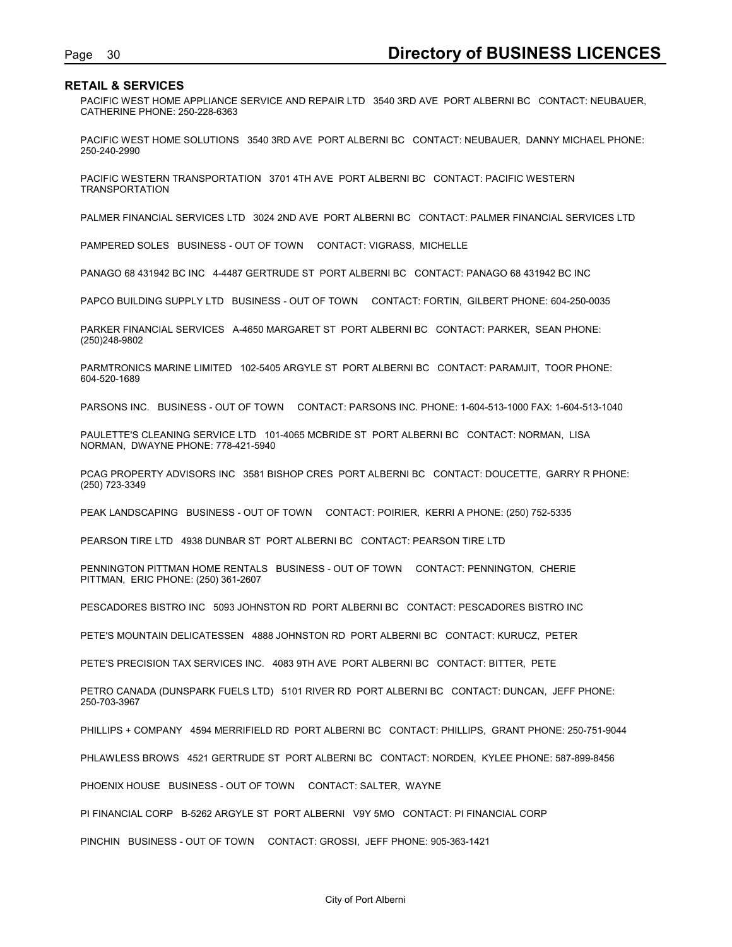Page 30<br>**Directory of BUSINESS LICENCES**<br>PACIFIC WEST HOME APPLIANCE SERVICE AND REPAIR LTD 3540 3RD AVE PORT ALBERNI BC CONTACT: NEUBAUER,<br>CATHERINE PHONE: 250-228-6363 PACIFIC WEST HOME APPLIANCE SERVICE AND REPAIR LTD 3540 3RD AVE PORT ALBERNI BC CONTACT: NEUBAUER, CATHERINE PHONE: 250-228-6363

PACIFIC WEST HOME SOLUTIONS 3540 3RD AVE PORT ALBERNI BC CONTACT: NEUBAUER, DANNY MICHAEL PHONE: 250-240-2990

PACIFIC WESTERN TRANSPORTATION 3701 4TH AVE PORT ALBERNI BC CONTACT: PACIFIC WESTERN TRANSPORTATION

PALMER FINANCIAL SERVICES LTD 3024 2ND AVE PORT ALBERNI BC CONTACT: PALMER FINANCIAL SERVICES LTD

PAMPERED SOLES BUSINESS - OUT OF TOWN CONTACT: VIGRASS, MICHELLE

PANAGO 68 431942 BC INC 4-4487 GERTRUDE ST PORT ALBERNI BC CONTACT: PANAGO 68 431942 BC INC

PAPCO BUILDING SUPPLY LTD BUSINESS - OUT OF TOWN CONTACT: FORTIN, GILBERT PHONE: 604-250-0035

PARKER FINANCIAL SERVICES A-4650 MARGARET ST PORT ALBERNI BC CONTACT: PARKER, SEAN PHONE: (250)248-9802

PARMTRONICS MARINE LIMITED 102-5405 ARGYLE ST PORT ALBERNI BC CONTACT: PARAMJIT, TOOR PHONE: 604-520-1689

PARSONS INC. BUSINESS - OUT OF TOWN CONTACT: PARSONS INC. PHONE: 1-604-513-1000 FAX: 1-604-513-1040

PAULETTE'S CLEANING SERVICE LTD 101-4065 MCBRIDE ST PORT ALBERNI BC CONTACT: NORMAN, LISA NORMAN, DWAYNE PHONE: 778-421-5940

PCAG PROPERTY ADVISORS INC 3581 BISHOP CRES PORT ALBERNI BC CONTACT: DOUCETTE, GARRY R PHONE: (250) 723-3349

PEAK LANDSCAPING BUSINESS - OUT OF TOWN CONTACT: POIRIER, KERRI A PHONE: (250) 752-5335

PEARSON TIRE LTD 4938 DUNBAR ST PORT ALBERNI BC CONTACT: PEARSON TIRE LTD

PENNINGTON PITTMAN HOME RENTALS BUSINESS - OUT OF TOWN CONTACT: PENNINGTON, CHERIE PITTMAN, ERIC PHONE: (250) 361-2607

PESCADORES BISTRO INC 5093 JOHNSTON RD PORT ALBERNI BC CONTACT: PESCADORES BISTRO INC

PETE'S MOUNTAIN DELICATESSEN 4888 JOHNSTON RD PORT ALBERNI BC CONTACT: KURUCZ, PETER

PETE'S PRECISION TAX SERVICES INC. 4083 9TH AVE PORT ALBERNI BC CONTACT: BITTER, PETE

PETRO CANADA (DUNSPARK FUELS LTD) 5101 RIVER RD PORT ALBERNI BC CONTACT: DUNCAN, JEFF PHONE: 250-703-3967

PHILLIPS + COMPANY 4594 MERRIFIELD RD PORT ALBERNI BC CONTACT: PHILLIPS, GRANT PHONE: 250-751-9044

PHLAWLESS BROWS 4521 GERTRUDE ST PORT ALBERNI BC CONTACT: NORDEN, KYLEE PHONE: 587-899-8456

PHOENIX HOUSE BUSINESS - OUT OF TOWN CONTACT: SALTER, WAYNE

PI FINANCIAL CORP B-5262 ARGYLE ST PORT ALBERNI V9Y 5MO CONTACT: PI FINANCIAL CORP

PINCHIN BUSINESS - OUT OF TOWN CONTACT: GROSSI, JEFF PHONE: 905-363-1421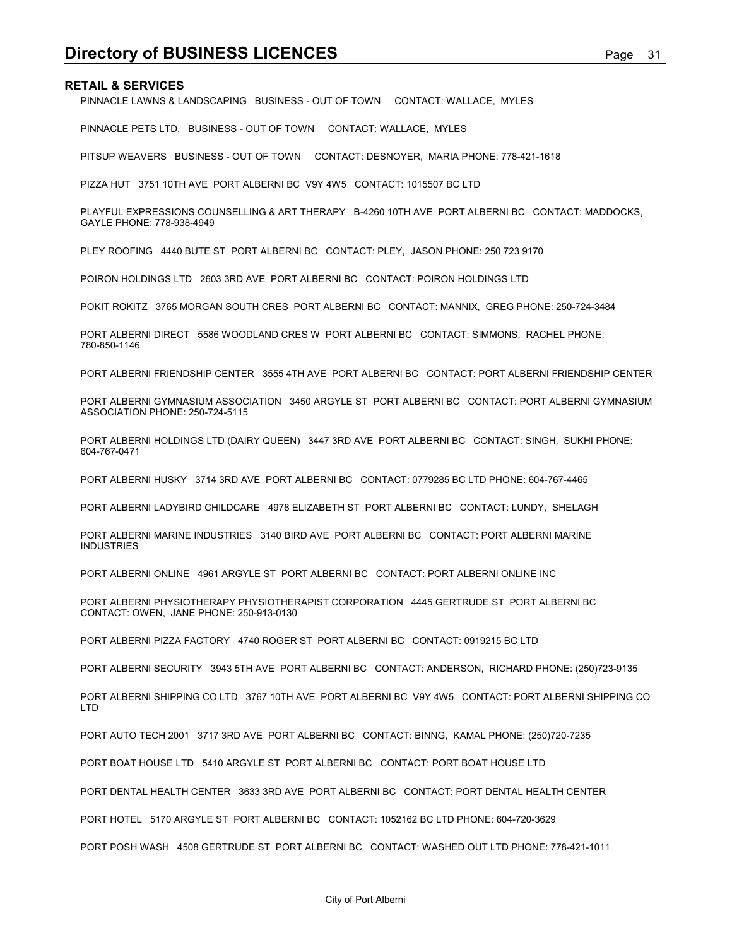PINNACLE LAWNS & LANDSCAPING BUSINESS - OUT OF TOWN CONTACT: WALLACE, MYLES

PINNACLE PETS LTD. BUSINESS - OUT OF TOWN CONTACT: WALLACE, MYLES

PITSUP WEAVERS BUSINESS - OUT OF TOWN CONTACT: DESNOYER, MARIA PHONE: 778-421-1618

PIZZA HUT 3751 10TH AVE PORT ALBERNI BC V9Y 4W5 CONTACT: 1015507 BC LTD

PLAYFUL EXPRESSIONS COUNSELLING & ART THERAPY B-4260 10TH AVE PORT ALBERNI BC CONTACT: MADDOCKS, GAYLE PHONE: 778-938-4949

PLEY ROOFING 4440 BUTE ST PORT ALBERNI BC CONTACT: PLEY, JASON PHONE: 250 723 9170

POIRON HOLDINGS LTD 2603 3RD AVE PORT ALBERNI BC CONTACT: POIRON HOLDINGS LTD

POKIT ROKITZ 3765 MORGAN SOUTH CRES PORT ALBERNI BC CONTACT: MANNIX, GREG PHONE: 250-724-3484

PORT ALBERNI DIRECT 5586 WOODLAND CRES W PORT ALBERNI BC CONTACT: SIMMONS, RACHEL PHONE: 780-850-1146

PORT ALBERNI FRIENDSHIP CENTER 3555 4TH AVE PORT ALBERNI BC CONTACT: PORT ALBERNI FRIENDSHIP CENTER

PORT ALBERNI GYMNASIUM ASSOCIATION 3450 ARGYLE ST PORT ALBERNI BC CONTACT: PORT ALBERNI GYMNASIUM ASSOCIATION PHONE: 250-724-5115

PORT ALBERNI HOLDINGS LTD (DAIRY QUEEN) 3447 3RD AVE PORT ALBERNI BC CONTACT: SINGH, SUKHI PHONE: 604-767-0471

PORT ALBERNI HUSKY 3714 3RD AVE PORT ALBERNI BC CONTACT: 0779285 BC LTD PHONE: 604-767-4465

PORT ALBERNI LADYBIRD CHILDCARE 4978 ELIZABETH ST PORT ALBERNI BC CONTACT: LUNDY, SHELAGH

PORT ALBERNI MARINE INDUSTRIES 3140 BIRD AVE PORT ALBERNI BC CONTACT: PORT ALBERNI MARINE INDUSTRIES

PORT ALBERNI ONLINE 4961 ARGYLE ST PORT ALBERNI BC CONTACT: PORT ALBERNI ONLINE INC

PORT ALBERNI PHYSIOTHERAPY PHYSIOTHERAPIST CORPORATION 4445 GERTRUDE ST PORT ALBERNI BC CONTACT: OWEN, JANE PHONE: 250-913-0130

PORT ALBERNI PIZZA FACTORY 4740 ROGER ST PORT ALBERNI BC CONTACT: 0919215 BC LTD

PORT ALBERNI SECURITY 3943 5TH AVE PORT ALBERNI BC CONTACT: ANDERSON, RICHARD PHONE: (250)723-9135

PORT ALBERNI SHIPPING CO LTD 3767 10TH AVE PORT ALBERNI BC V9Y 4W5 CONTACT: PORT ALBERNI SHIPPING CO LTD

PORT AUTO TECH 2001 3717 3RD AVE PORT ALBERNI BC CONTACT: BINNG, KAMAL PHONE: (250)720-7235

PORT BOAT HOUSE LTD 5410 ARGYLE ST PORT ALBERNI BC CONTACT: PORT BOAT HOUSE LTD

PORT DENTAL HEALTH CENTER 3633 3RD AVE PORT ALBERNI BC CONTACT: PORT DENTAL HEALTH CENTER

PORT HOTEL 5170 ARGYLE ST PORT ALBERNI BC CONTACT: 1052162 BC LTD PHONE: 604-720-3629

PORT POSH WASH 4508 GERTRUDE ST PORT ALBERNI BC CONTACT: WASHED OUT LTD PHONE: 778-421-1011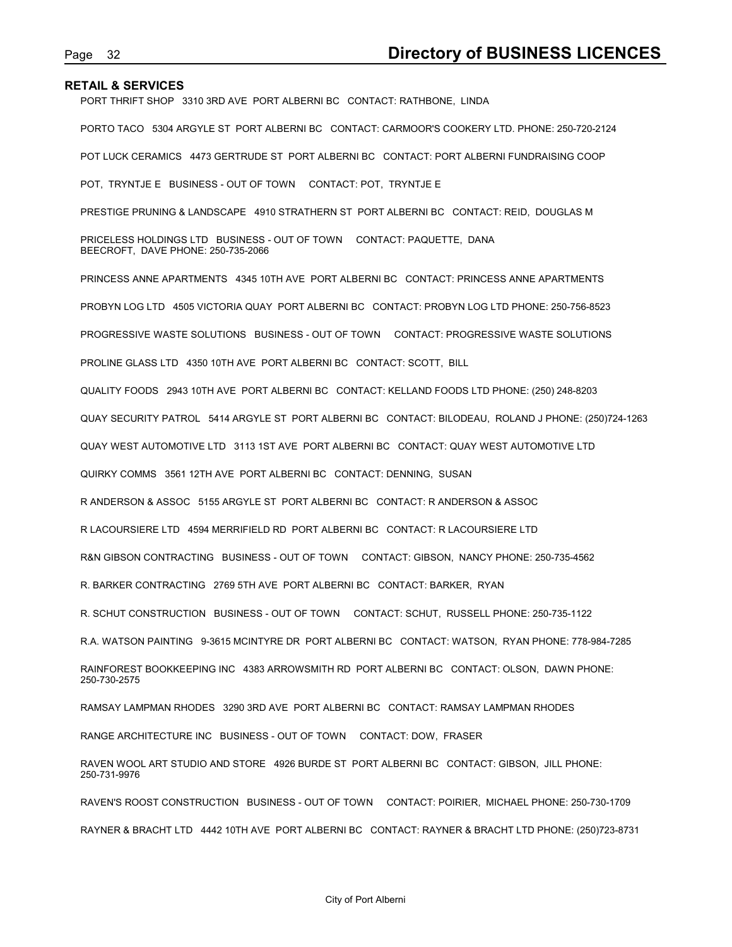PORT THRIFT SHOP 3310 3RD AVE PORT ALBERNI BC CONTACT: RATHBONE, LINDA

PORTO TACO 5304 ARGYLE ST PORT ALBERNI BC CONTACT: CARMOOR'S COOKERY LTD. PHONE: 250-720-2124 POT LUCK CERAMICS 4473 GERTRUDE ST PORT ALBERNI BC CONTACT: PORT ALBERNI FUNDRAISING COOP POT, TRYNTJE E BUSINESS - OUT OF TOWN CONTACT: POT, TRYNTJE E PRESTIGE PRUNING & LANDSCAPE 4910 STRATHERN ST PORT ALBERNI BC CONTACT: REID, DOUGLAS M PRICELESS HOLDINGS LTD BUSINESS - OUT OF TOWN CONTACT: PAQUETTE, DANA BEECROFT, DAVE PHONE: 250-735-2066 PRINCESS ANNE APARTMENTS 4345 10TH AVE PORT ALBERNI BC CONTACT: PRINCESS ANNE APARTMENTS PROBYN LOG LTD 4505 VICTORIA QUAY PORT ALBERNI BC CONTACT: PROBYN LOG LTD PHONE: 250-756-8523 PROGRESSIVE WASTE SOLUTIONS BUSINESS - OUT OF TOWN CONTACT: PROGRESSIVE WASTE SOLUTIONS PROLINE GLASS LTD 4350 10TH AVE PORT ALBERNI BC CONTACT: SCOTT, BILL QUALITY FOODS 2943 10TH AVE PORT ALBERNI BC CONTACT: KELLAND FOODS LTD PHONE: (250) 248-8203 QUAY SECURITY PATROL 5414 ARGYLE ST PORT ALBERNI BC CONTACT: BILODEAU, ROLAND J PHONE: (250)724-1263 QUAY WEST AUTOMOTIVE LTD 3113 1ST AVE PORT ALBERNI BC CONTACT: QUAY WEST AUTOMOTIVE LTD QUIRKY COMMS 3561 12TH AVE PORT ALBERNI BC CONTACT: DENNING, SUSAN R ANDERSON & ASSOC 5155 ARGYLE ST PORT ALBERNI BC CONTACT: R ANDERSON & ASSOC R LACOURSIERE LTD 4594 MERRIFIELD RD PORT ALBERNI BC CONTACT: R LACOURSIERE LTD R&N GIBSON CONTRACTING BUSINESS - OUT OF TOWN CONTACT: GIBSON, NANCY PHONE: 250-735-4562 R. BARKER CONTRACTING 2769 5TH AVE PORT ALBERNI BC CONTACT: BARKER, RYAN R. SCHUT CONSTRUCTION BUSINESS - OUT OF TOWN CONTACT: SCHUT, RUSSELL PHONE: 250-735-1122 R.A. WATSON PAINTING 9-3615 MCINTYRE DR PORT ALBERNI BC CONTACT: WATSON, RYAN PHONE: 778-984-7285 RAINFOREST BOOKKEEPING INC 4383 ARROWSMITH RD PORT ALBERNI BC CONTACT: OLSON, DAWN PHONE: 250-730-2575 RAMSAY LAMPMAN RHODES 3290 3RD AVE PORT ALBERNI BC CONTACT: RAMSAY LAMPMAN RHODES RANGE ARCHITECTURE INC BUSINESS - OUT OF TOWN CONTACT: DOW, FRASER RAVEN WOOL ART STUDIO AND STORE 4926 BURDE ST PORT ALBERNI BC CONTACT: GIBSON, JILL PHONE: 250-731-9976 RAVEN'S ROOST CONSTRUCTION BUSINESS - OUT OF TOWN CONTACT: POIRIER, MICHAEL PHONE: 250-730-1709 RAYNER & BRACHT LTD 4442 10TH AVE PORT ALBERNI BC CONTACT: RAYNER & BRACHT LTD PHONE: (250)723-8731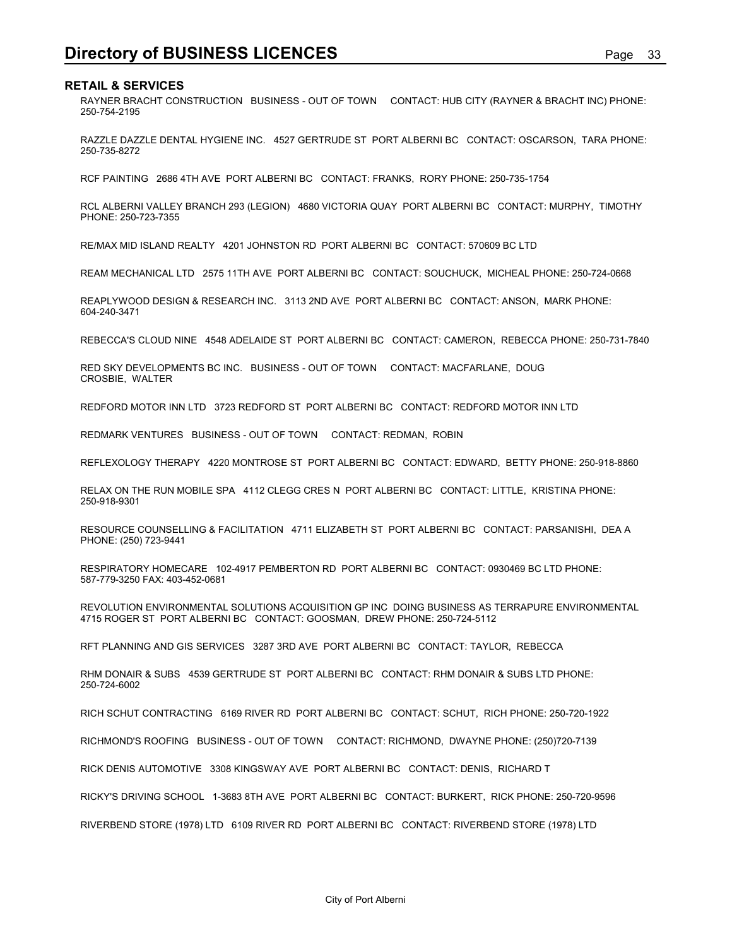**Directory of BUSINESS LICENCES**<br>
Page 33<br>
RETAIL & SERVICES<br>
PAYNER BRACHT CONSTRUCTION BUSINESS - OUT OF TOWN CONTACT: HUB CITY (RAYNER & BRACHT INC) PHONE:<br>
250-754-2195 RAYNER BRACHT CONSTRUCTION BUSINESS - OUT OF TOWN CONTACT: HUB CITY (RAYNER & BRACHT INC) PHONE: 250-754-2195

RAZZLE DAZZLE DENTAL HYGIENE INC. 4527 GERTRUDE ST PORT ALBERNI BC CONTACT: OSCARSON, TARA PHONE: 250-735-8272

RCF PAINTING 2686 4TH AVE PORT ALBERNI BC CONTACT: FRANKS, RORY PHONE: 250-735-1754

RCL ALBERNI VALLEY BRANCH 293 (LEGION) 4680 VICTORIA QUAY PORT ALBERNI BC CONTACT: MURPHY, TIMOTHY PHONE: 250-723-7355

RE/MAX MID ISLAND REALTY 4201 JOHNSTON RD PORT ALBERNI BC CONTACT: 570609 BC LTD

REAM MECHANICAL LTD 2575 11TH AVE PORT ALBERNI BC CONTACT: SOUCHUCK, MICHEAL PHONE: 250-724-0668

REAPLYWOOD DESIGN & RESEARCH INC. 3113 2ND AVE PORT ALBERNI BC CONTACT: ANSON, MARK PHONE: 604-240-3471

REBECCA'S CLOUD NINE 4548 ADELAIDE ST PORT ALBERNI BC CONTACT: CAMERON, REBECCA PHONE: 250-731-7840

RED SKY DEVELOPMENTS BC INC. BUSINESS - OUT OF TOWN CONTACT: MACFARLANE, DOUG CROSBIE, WALTER

REDFORD MOTOR INN LTD 3723 REDFORD ST PORT ALBERNI BC CONTACT: REDFORD MOTOR INN LTD

REDMARK VENTURES BUSINESS - OUT OF TOWN CONTACT: REDMAN, ROBIN

REFLEXOLOGY THERAPY 4220 MONTROSE ST PORT ALBERNI BC CONTACT: EDWARD, BETTY PHONE: 250-918-8860

RELAX ON THE RUN MOBILE SPA 4112 CLEGG CRES N PORT ALBERNI BC CONTACT: LITTLE, KRISTINA PHONE: 250-918-9301

RESOURCE COUNSELLING & FACILITATION 4711 ELIZABETH ST PORT ALBERNI BC CONTACT: PARSANISHI, DEA A PHONE: (250) 723-9441

RESPIRATORY HOMECARE 102-4917 PEMBERTON RD PORT ALBERNI BC CONTACT: 0930469 BC LTD PHONE: 587-779-3250 FAX: 403-452-0681

REVOLUTION ENVIRONMENTAL SOLUTIONS ACQUISITION GP INC DOING BUSINESS AS TERRAPURE ENVIRONMENTAL 4715 ROGER ST PORT ALBERNI BC CONTACT: GOOSMAN, DREW PHONE: 250-724-5112

RFT PLANNING AND GIS SERVICES 3287 3RD AVE PORT ALBERNI BC CONTACT: TAYLOR, REBECCA

RHM DONAIR & SUBS 4539 GERTRUDE ST PORT ALBERNI BC CONTACT: RHM DONAIR & SUBS LTD PHONE: 250-724-6002

RICH SCHUT CONTRACTING 6169 RIVER RD PORT ALBERNI BC CONTACT: SCHUT, RICH PHONE: 250-720-1922

RICHMOND'S ROOFING BUSINESS - OUT OF TOWN CONTACT: RICHMOND, DWAYNE PHONE: (250)720-7139

RICK DENIS AUTOMOTIVE 3308 KINGSWAY AVE PORT ALBERNI BC CONTACT: DENIS, RICHARD T

RICKY'S DRIVING SCHOOL 1-3683 8TH AVE PORT ALBERNI BC CONTACT: BURKERT, RICK PHONE: 250-720-9596

RIVERBEND STORE (1978) LTD 6109 RIVER RD PORT ALBERNI BC CONTACT: RIVERBEND STORE (1978) LTD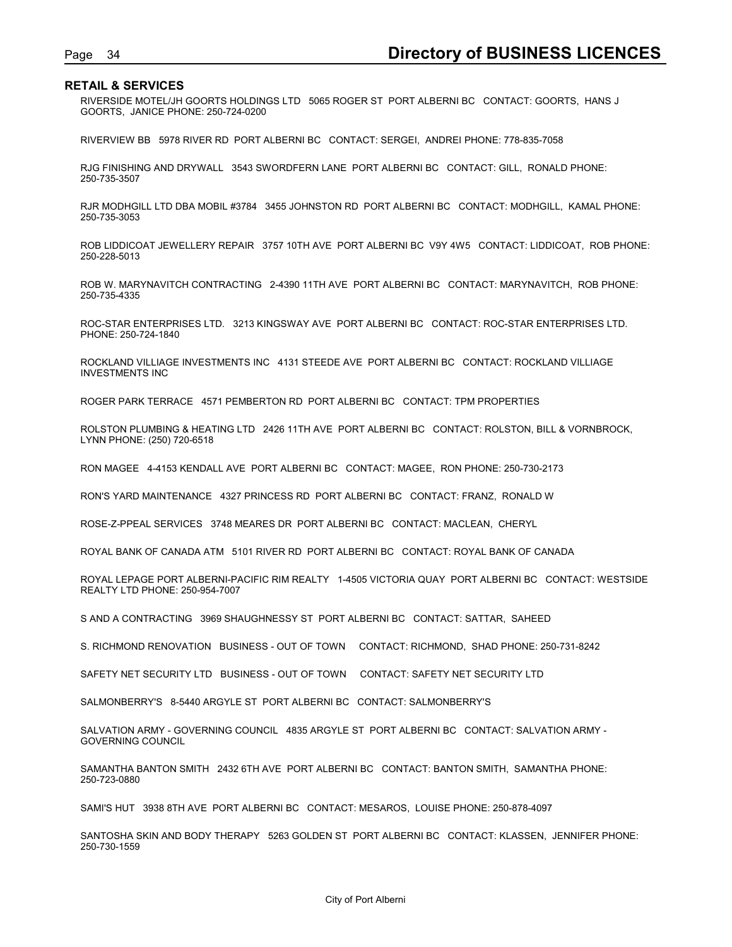Page 34<br> **Directory of BUSINESS LICENCES**<br>
RIVERSIDE MOTEL/JH GOORTS HOLDINGS LTD 5065 ROGER ST PORT ALBERNI BC CONTACT: GOORTS, HANS J<br>
GOORTS, JANICE PHONE: 250-724-0200 RIVERSIDE MOTEL/JH GOORTS HOLDINGS LTD 5065 ROGER ST PORT ALBERNI BC CONTACT: GOORTS, HANS J GOORTS, JANICE PHONE: 250-724-0200

RIVERVIEW BB 5978 RIVER RD PORT ALBERNI BC CONTACT: SERGEI, ANDREI PHONE: 778-835-7058

RJG FINISHING AND DRYWALL 3543 SWORDFERN LANE PORT ALBERNI BC CONTACT: GILL, RONALD PHONE: 250-735-3507

RJR MODHGILL LTD DBA MOBIL #3784 3455 JOHNSTON RD PORT ALBERNI BC CONTACT: MODHGILL, KAMAL PHONE: 250-735-3053

ROB LIDDICOAT JEWELLERY REPAIR 3757 10TH AVE PORT ALBERNI BC V9Y 4W5 CONTACT: LIDDICOAT, ROB PHONE: 250-228-5013

ROB W. MARYNAVITCH CONTRACTING 2-4390 11TH AVE PORT ALBERNI BC CONTACT: MARYNAVITCH, ROB PHONE: 250-735-4335

ROC-STAR ENTERPRISES LTD. 3213 KINGSWAY AVE PORT ALBERNI BC CONTACT: ROC-STAR ENTERPRISES LTD. PHONE: 250-724-1840

ROCKLAND VILLIAGE INVESTMENTS INC 4131 STEEDE AVE PORT ALBERNI BC CONTACT: ROCKLAND VILLIAGE INVESTMENTS INC

ROGER PARK TERRACE 4571 PEMBERTON RD PORT ALBERNI BC CONTACT: TPM PROPERTIES

ROLSTON PLUMBING & HEATING LTD 2426 11TH AVE PORT ALBERNI BC CONTACT: ROLSTON, BILL & VORNBROCK, LYNN PHONE: (250) 720-6518

RON MAGEE 4-4153 KENDALL AVE PORT ALBERNI BC CONTACT: MAGEE, RON PHONE: 250-730-2173

RON'S YARD MAINTENANCE 4327 PRINCESS RD PORT ALBERNI BC CONTACT: FRANZ, RONALD W

ROSE-Z-PPEAL SERVICES 3748 MEARES DR PORT ALBERNI BC CONTACT: MACLEAN, CHERYL

ROYAL BANK OF CANADA ATM 5101 RIVER RD PORT ALBERNI BC CONTACT: ROYAL BANK OF CANADA

ROYAL LEPAGE PORT ALBERNI-PACIFIC RIM REALTY 1-4505 VICTORIA QUAY PORT ALBERNI BC CONTACT: WESTSIDE REALTY LTD PHONE: 250-954-7007

S AND A CONTRACTING 3969 SHAUGHNESSY ST PORT ALBERNI BC CONTACT: SATTAR, SAHEED

S. RICHMOND RENOVATION BUSINESS - OUT OF TOWN CONTACT: RICHMOND, SHAD PHONE: 250-731-8242

SAFETY NET SECURITY LTD BUSINESS - OUT OF TOWN CONTACT: SAFETY NET SECURITY LTD

SALMONBERRY'S 8-5440 ARGYLE ST PORT ALBERNI BC CONTACT: SALMONBERRY'S

SALVATION ARMY - GOVERNING COUNCIL 4835 ARGYLE ST PORT ALBERNI BC CONTACT: SALVATION ARMY - GOVERNING COUNCIL

SAMANTHA BANTON SMITH 2432 6TH AVE PORT ALBERNI BC CONTACT: BANTON SMITH, SAMANTHA PHONE: 250-723-0880

SAMI'S HUT 3938 8TH AVE PORT ALBERNI BC CONTACT: MESAROS, LOUISE PHONE: 250-878-4097

SANTOSHA SKIN AND BODY THERAPY 5263 GOLDEN ST PORT ALBERNI BC CONTACT: KLASSEN, JENNIFER PHONE: 250-730-1559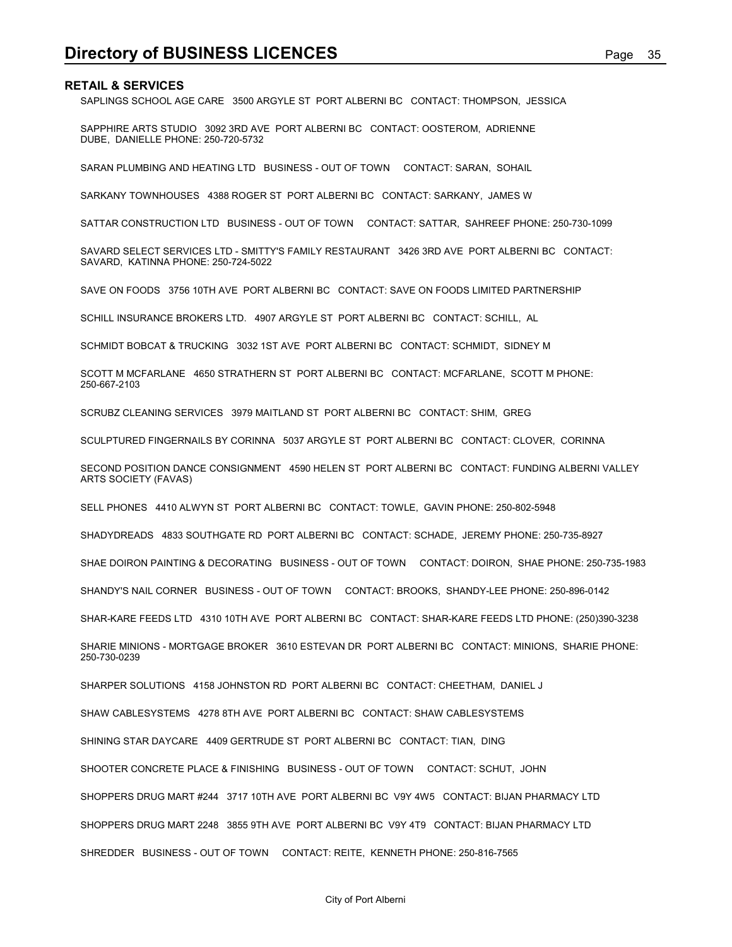**Directory of BUSINESS LICENCES**<br>RETAIL & SERVICES<br>SAPLINGS SCHOOL AGE CARE 3500 ARGYLE ST PORT ALBERNI BC CONTACT: THOMPSON, JESSICA<br>SAPPHIRE ARTS STUDIO 3092 3RD AVE PORT ALBERNI BC CONTACT: OOSTEROM, ADRIENNE SAPLINGS SCHOOL AGE CARE 3500 ARGYLE ST PORT ALBERNI BC CONTACT: THOMPSON, JESSICA

SAPPHIRE ARTS STUDIO 3092 3RD AVE PORT ALBERNI BC CONTACT: OOSTEROM, ADRIENNE DUBE, DANIELLE PHONE: 250-720-5732

SARAN PLUMBING AND HEATING LTD BUSINESS - OUT OF TOWN CONTACT: SARAN, SOHAIL

SARKANY TOWNHOUSES 4388 ROGER ST PORT ALBERNI BC CONTACT: SARKANY, JAMES W

SATTAR CONSTRUCTION LTD BUSINESS - OUT OF TOWN CONTACT: SATTAR, SAHREEF PHONE: 250-730-1099

SAVARD SELECT SERVICES LTD - SMITTY'S FAMILY RESTAURANT 3426 3RD AVE PORT ALBERNI BC CONTACT: SAVARD, KATINNA PHONE: 250-724-5022

SAVE ON FOODS 3756 10TH AVE PORT ALBERNI BC CONTACT: SAVE ON FOODS LIMITED PARTNERSHIP

SCHILL INSURANCE BROKERS LTD. 4907 ARGYLE ST PORT ALBERNI BC CONTACT: SCHILL, AL

SCHMIDT BOBCAT & TRUCKING 3032 1ST AVE PORT ALBERNI BC CONTACT: SCHMIDT, SIDNEY M

SCOTT M MCFARLANE 4650 STRATHERN ST PORT ALBERNI BC CONTACT: MCFARLANE, SCOTT M PHONE: 250-667-2103

SCRUBZ CLEANING SERVICES 3979 MAITLAND ST PORT ALBERNI BC CONTACT: SHIM, GREG

SCULPTURED FINGERNAILS BY CORINNA 5037 ARGYLE ST PORT ALBERNI BC CONTACT: CLOVER, CORINNA

SECOND POSITION DANCE CONSIGNMENT 4590 HELEN ST PORT ALBERNI BC CONTACT: FUNDING ALBERNI VALLEY ARTS SOCIETY (FAVAS)

SELL PHONES 4410 ALWYN ST PORT ALBERNI BC CONTACT: TOWLE, GAVIN PHONE: 250-802-5948

SHADYDREADS 4833 SOUTHGATE RD PORT ALBERNI BC CONTACT: SCHADE, JEREMY PHONE: 250-735-8927

SHAE DOIRON PAINTING & DECORATING BUSINESS - OUT OF TOWN CONTACT: DOIRON, SHAE PHONE: 250-735-1983

SHANDY'S NAIL CORNER BUSINESS - OUT OF TOWN CONTACT: BROOKS, SHANDY-LEE PHONE: 250-896-0142

SHAR-KARE FEEDS LTD 4310 10TH AVE PORT ALBERNI BC CONTACT: SHAR-KARE FEEDS LTD PHONE: (250)390-3238

SHARIE MINIONS - MORTGAGE BROKER 3610 ESTEVAN DR PORT ALBERNI BC CONTACT: MINIONS, SHARIE PHONE: 250-730-0239

SHARPER SOLUTIONS 4158 JOHNSTON RD PORT ALBERNI BC CONTACT: CHEETHAM, DANIEL J

SHAW CABLESYSTEMS 4278 8TH AVE PORT ALBERNI BC CONTACT: SHAW CABLESYSTEMS

SHINING STAR DAYCARE 4409 GERTRUDE ST PORT ALBERNI BC CONTACT: TIAN, DING

SHOOTER CONCRETE PLACE & FINISHING BUSINESS - OUT OF TOWN CONTACT: SCHUT, JOHN

SHOPPERS DRUG MART #244 3717 10TH AVE PORT ALBERNI BC V9Y 4W5 CONTACT: BIJAN PHARMACY LTD

SHOPPERS DRUG MART 2248 3855 9TH AVE PORT ALBERNI BC V9Y 4T9 CONTACT: BIJAN PHARMACY LTD

SHREDDER BUSINESS - OUT OF TOWN CONTACT: REITE, KENNETH PHONE: 250-816-7565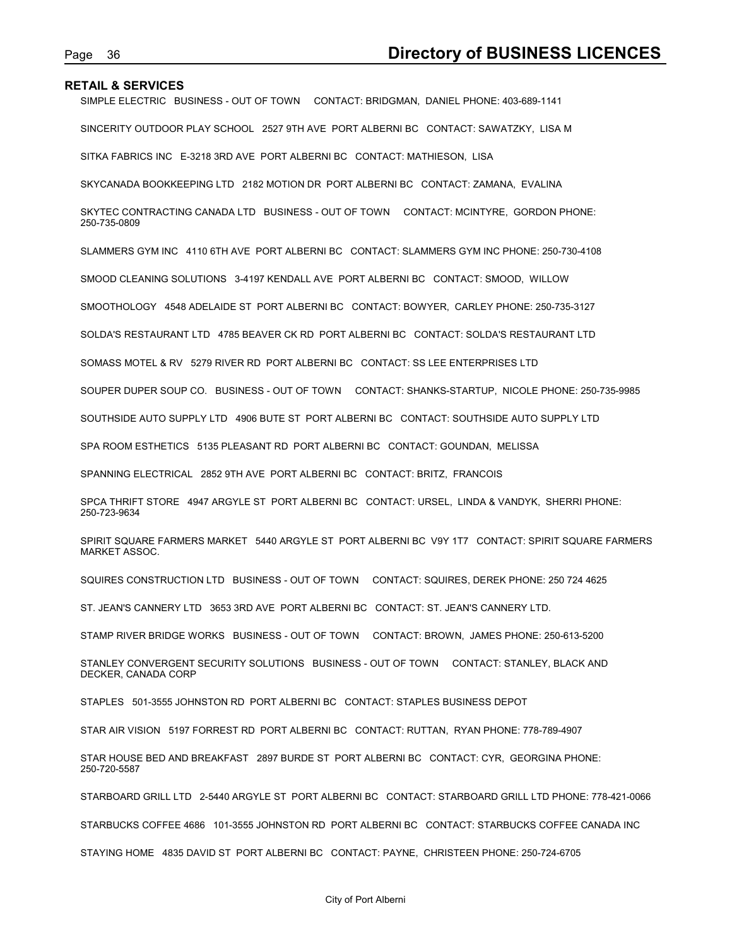Page 36 **Directory of BUSINESS LICENCES**<br>RETAIL & SERVICES<br>SIMPLE ELECTRIC BUSINESS - OUT OF TOWN CONTACT: BRIDGMAN, DANIEL PHONE: 403-689-1141<br>SINCERITY OUTDOOR PLAY SCHOOL 2527 9TH AVE PORT ALBERNI BC CONTACT: SAWATZKY, SIMPLE ELECTRIC BUSINESS - OUT OF TOWN CONTACT: BRIDGMAN, DANIEL PHONE: 403-689-1141

SINCERITY OUTDOOR PLAY SCHOOL 2527 9TH AVE PORT ALBERNI BC CONTACT: SAWATZKY, LISA M

SITKA FABRICS INC E-3218 3RD AVE PORT ALBERNI BC CONTACT: MATHIESON, LISA

SKYCANADA BOOKKEEPING LTD 2182 MOTION DR PORT ALBERNI BC CONTACT: ZAMANA, EVALINA

SKYTEC CONTRACTING CANADA LTD BUSINESS - OUT OF TOWN CONTACT: MCINTYRE, GORDON PHONE: 250-735-0809

SLAMMERS GYM INC 4110 6TH AVE PORT ALBERNI BC CONTACT: SLAMMERS GYM INC PHONE: 250-730-4108

SMOOD CLEANING SOLUTIONS 3-4197 KENDALL AVE PORT ALBERNI BC CONTACT: SMOOD, WILLOW

SMOOTHOLOGY 4548 ADELAIDE ST PORT ALBERNI BC CONTACT: BOWYER, CARLEY PHONE: 250-735-3127

SOLDA'S RESTAURANT LTD 4785 BEAVER CK RD PORT ALBERNI BC CONTACT: SOLDA'S RESTAURANT LTD

SOMASS MOTEL & RV 5279 RIVER RD PORT ALBERNI BC CONTACT: SS LEE ENTERPRISES LTD

SOUPER DUPER SOUP CO. BUSINESS - OUT OF TOWN CONTACT: SHANKS-STARTUP, NICOLE PHONE: 250-735-9985

SOUTHSIDE AUTO SUPPLY LTD 4906 BUTE ST PORT ALBERNI BC CONTACT: SOUTHSIDE AUTO SUPPLY LTD

SPA ROOM ESTHETICS 5135 PLEASANT RD PORT ALBERNI BC CONTACT: GOUNDAN, MELISSA

SPANNING ELECTRICAL 2852 9TH AVE PORT ALBERNI BC CONTACT: BRITZ, FRANCOIS

SPCA THRIFT STORE 4947 ARGYLE ST PORT ALBERNI BC CONTACT: URSEL, LINDA & VANDYK, SHERRI PHONE: 250-723-9634

SPIRIT SQUARE FARMERS MARKET 5440 ARGYLE ST PORT ALBERNI BC V9Y 1T7 CONTACT: SPIRIT SQUARE FARMERS MARKET ASSOC.

SQUIRES CONSTRUCTION LTD BUSINESS - OUT OF TOWN CONTACT: SQUIRES, DEREK PHONE: 250 724 4625

ST. JEAN'S CANNERY LTD 3653 3RD AVE PORT ALBERNI BC CONTACT: ST. JEAN'S CANNERY LTD.

STAMP RIVER BRIDGE WORKS BUSINESS - OUT OF TOWN CONTACT: BROWN, JAMES PHONE: 250-613-5200

STANLEY CONVERGENT SECURITY SOLUTIONS BUSINESS - OUT OF TOWN CONTACT: STANLEY, BLACK AND DECKER, CANADA CORP

STAPLES 501-3555 JOHNSTON RD PORT ALBERNI BC CONTACT: STAPLES BUSINESS DEPOT

STAR AIR VISION 5197 FORREST RD PORT ALBERNI BC CONTACT: RUTTAN, RYAN PHONE: 778-789-4907

STAR HOUSE BED AND BREAKFAST 2897 BURDE ST PORT ALBERNI BC CONTACT: CYR, GEORGINA PHONE: 250-720-5587

STARBOARD GRILL LTD 2-5440 ARGYLE ST PORT ALBERNI BC CONTACT: STARBOARD GRILL LTD PHONE: 778-421-0066

STARBUCKS COFFEE 4686 101-3555 JOHNSTON RD PORT ALBERNI BC CONTACT: STARBUCKS COFFEE CANADA INC

STAYING HOME 4835 DAVID ST PORT ALBERNI BC CONTACT: PAYNE, CHRISTEEN PHONE: 250-724-6705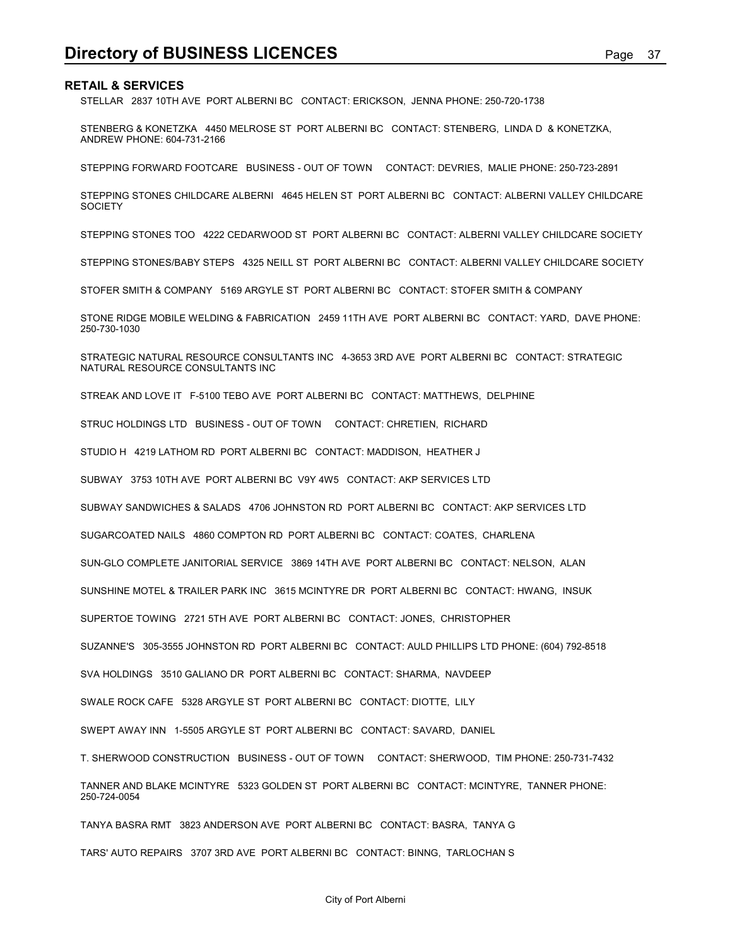STELLAR 2837 10TH AVE PORT ALBERNI BC CONTACT: ERICKSON, JENNA PHONE: 250-720-1738

**Directory of BUSINESS LICENCES**<br>RETAIL & SERVICES<br>STELLAR 2837 10TH AVE PORT ALBERNI BC CONTACT: ERICKSON, JENNA PHONE: 250-720-1738<br>STENBERG & KONETZKA 4450 MELROSE ST PORT ALBERNI BC CONTACT: STENBERG, LINDA D & KONETZK STENBERG & KONETZKA 4450 MELROSE ST PORT ALBERNI BC CONTACT: STENBERG, LINDA D & KONETZKA, ANDREW PHONE: 604-731-2166

STEPPING FORWARD FOOTCARE BUSINESS - OUT OF TOWN CONTACT: DEVRIES, MALIE PHONE: 250-723-2891

STEPPING STONES CHILDCARE ALBERNI 4645 HELEN ST PORT ALBERNI BC CONTACT: ALBERNI VALLEY CHILDCARE **SOCIETY** 

STEPPING STONES TOO 4222 CEDARWOOD ST PORT ALBERNI BC CONTACT: ALBERNI VALLEY CHILDCARE SOCIETY

STEPPING STONES/BABY STEPS 4325 NEILL ST PORT ALBERNI BC CONTACT: ALBERNI VALLEY CHILDCARE SOCIETY

STOFER SMITH & COMPANY 5169 ARGYLE ST PORT ALBERNI BC CONTACT: STOFER SMITH & COMPANY

STONE RIDGE MOBILE WELDING & FABRICATION 2459 11TH AVE PORT ALBERNI BC CONTACT: YARD, DAVE PHONE: 250-730-1030

STRATEGIC NATURAL RESOURCE CONSULTANTS INC 4-3653 3RD AVE PORT ALBERNI BC CONTACT: STRATEGIC NATURAL RESOURCE CONSULTANTS INC

STREAK AND LOVE IT F-5100 TEBO AVE PORT ALBERNI BC CONTACT: MATTHEWS, DELPHINE

STRUC HOLDINGS LTD BUSINESS - OUT OF TOWN CONTACT: CHRETIEN, RICHARD

STUDIO H 4219 LATHOM RD PORT ALBERNI BC CONTACT: MADDISON, HEATHER J

SUBWAY 3753 10TH AVE PORT ALBERNI BC V9Y 4W5 CONTACT: AKP SERVICES LTD

SUBWAY SANDWICHES & SALADS 4706 JOHNSTON RD PORT ALBERNI BC CONTACT: AKP SERVICES LTD

SUGARCOATED NAILS 4860 COMPTON RD PORT ALBERNI BC CONTACT: COATES, CHARLENA

SUN-GLO COMPLETE JANITORIAL SERVICE 3869 14TH AVE PORT ALBERNI BC CONTACT: NELSON, ALAN

SUNSHINE MOTEL & TRAILER PARK INC 3615 MCINTYRE DR PORT ALBERNI BC CONTACT: HWANG, INSUK

SUPERTOE TOWING 2721 5TH AVE PORT ALBERNI BC CONTACT: JONES, CHRISTOPHER

SUZANNE'S 305-3555 JOHNSTON RD PORT ALBERNI BC CONTACT: AULD PHILLIPS LTD PHONE: (604) 792-8518

SVA HOLDINGS 3510 GALIANO DR PORT ALBERNI BC CONTACT: SHARMA, NAVDEEP

SWALE ROCK CAFE 5328 ARGYLE ST PORT ALBERNI BC CONTACT: DIOTTE, LILY

SWEPT AWAY INN 1-5505 ARGYLE ST PORT ALBERNI BC CONTACT: SAVARD, DANIEL

T. SHERWOOD CONSTRUCTION BUSINESS - OUT OF TOWN CONTACT: SHERWOOD, TIM PHONE: 250-731-7432

TANNER AND BLAKE MCINTYRE 5323 GOLDEN ST PORT ALBERNI BC CONTACT: MCINTYRE, TANNER PHONE: 250-724-0054

TANYA BASRA RMT 3823 ANDERSON AVE PORT ALBERNI BC CONTACT: BASRA, TANYA G

TARS' AUTO REPAIRS 3707 3RD AVE PORT ALBERNI BC CONTACT: BINNG, TARLOCHAN S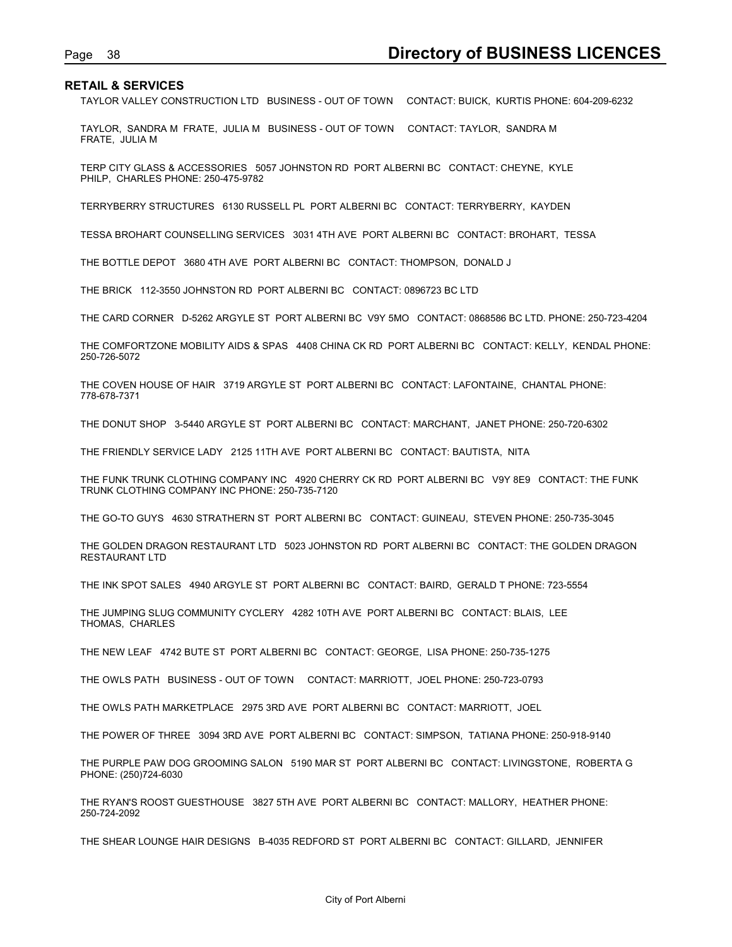Page 38<br>**Directory of BUSINESS LICENCES**<br>TAYLOR VALLEY CONSTRUCTION LTD BUSINESS - OUT OF TOWN CONTACT: BUICK, KURTIS PHONE: 604-209-6232<br>TAYLOR, SANDRA M FRATE, JULIA M BUSINESS - OUT OF TOWN CONTACT: TAYLOR, SANDRA M TAYLOR VALLEY CONSTRUCTION LTD BUSINESS - OUT OF TOWN CONTACT: BUICK, KURTIS PHONE: 604-209-6232

TAYLOR, SANDRA M FRATE, JULIA M BUSINESS - OUT OF TOWN CONTACT: TAYLOR, SANDRA M FRATE, JULIA M

TERP CITY GLASS & ACCESSORIES 5057 JOHNSTON RD PORT ALBERNI BC CONTACT: CHEYNE, KYLE PHILP, CHARLES PHONE: 250-475-9782

TERRYBERRY STRUCTURES 6130 RUSSELL PL PORT ALBERNI BC CONTACT: TERRYBERRY, KAYDEN

TESSA BROHART COUNSELLING SERVICES 3031 4TH AVE PORT ALBERNI BC CONTACT: BROHART, TESSA

THE BOTTLE DEPOT 3680 4TH AVE PORT ALBERNI BC CONTACT: THOMPSON, DONALD J

THE BRICK 112-3550 JOHNSTON RD PORT ALBERNI BC CONTACT: 0896723 BC LTD

THE CARD CORNER D-5262 ARGYLE ST PORT ALBERNI BC V9Y 5MO CONTACT: 0868586 BC LTD. PHONE: 250-723-4204

THE COMFORTZONE MOBILITY AIDS & SPAS 4408 CHINA CK RD PORT ALBERNI BC CONTACT: KELLY, KENDAL PHONE: 250-726-5072

THE COVEN HOUSE OF HAIR 3719 ARGYLE ST PORT ALBERNI BC CONTACT: LAFONTAINE, CHANTAL PHONE: 778-678-7371

THE DONUT SHOP 3-5440 ARGYLE ST PORT ALBERNI BC CONTACT: MARCHANT, JANET PHONE: 250-720-6302

THE FRIENDLY SERVICE LADY 2125 11TH AVE PORT ALBERNI BC CONTACT: BAUTISTA, NITA

THE FUNK TRUNK CLOTHING COMPANY INC 4920 CHERRY CK RD PORT ALBERNI BC V9Y 8E9 CONTACT: THE FUNK TRUNK CLOTHING COMPANY INC PHONE: 250-735-7120

THE GO-TO GUYS 4630 STRATHERN ST PORT ALBERNI BC CONTACT: GUINEAU, STEVEN PHONE: 250-735-3045

THE GOLDEN DRAGON RESTAURANT LTD 5023 JOHNSTON RD PORT ALBERNI BC CONTACT: THE GOLDEN DRAGON RESTAURANT LTD

THE INK SPOT SALES 4940 ARGYLE ST PORT ALBERNI BC CONTACT: BAIRD, GERALD T PHONE: 723-5554

THE JUMPING SLUG COMMUNITY CYCLERY 4282 10TH AVE PORT ALBERNI BC CONTACT: BLAIS, LEE THOMAS, CHARLES

THE NEW LEAF 4742 BUTE ST PORT ALBERNI BC CONTACT: GEORGE, LISA PHONE: 250-735-1275

THE OWLS PATH BUSINESS - OUT OF TOWN CONTACT: MARRIOTT, JOEL PHONE: 250-723-0793

THE OWLS PATH MARKETPLACE 2975 3RD AVE PORT ALBERNI BC CONTACT: MARRIOTT, JOEL

THE POWER OF THREE 3094 3RD AVE PORT ALBERNI BC CONTACT: SIMPSON, TATIANA PHONE: 250-918-9140

THE PURPLE PAW DOG GROOMING SALON 5190 MAR ST PORT ALBERNI BC CONTACT: LIVINGSTONE, ROBERTA G PHONE: (250)724-6030

THE RYAN'S ROOST GUESTHOUSE 3827 5TH AVE PORT ALBERNI BC CONTACT: MALLORY, HEATHER PHONE: 250-724-2092

THE SHEAR LOUNGE HAIR DESIGNS B-4035 REDFORD ST PORT ALBERNI BC CONTACT: GILLARD, JENNIFER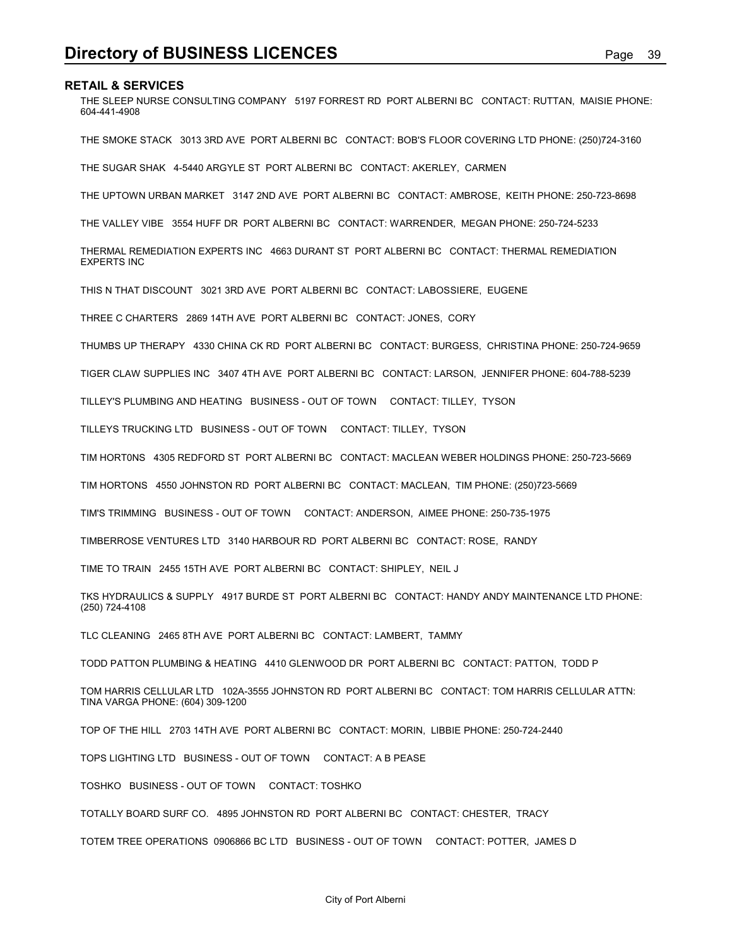**Directory of BUSINESS LICENCES**<br>RETAIL & SERVICES<br>THE SLEEP NURSE CONSULTING COMPANY 5197 FORREST RD PORT ALBERNI BC CONTACT: RUTTAN, MAISIE PHONE:<br>604-441-4908 THE SLEEP NURSE CONSULTING COMPANY 5197 FORREST RD PORT ALBERNI BC CONTACT: RUTTAN, MAISIE PHONE: 604-441-4908

THE SMOKE STACK 3013 3RD AVE PORT ALBERNI BC CONTACT: BOB'S FLOOR COVERING LTD PHONE: (250)724-3160

THE SUGAR SHAK 4-5440 ARGYLE ST PORT ALBERNI BC CONTACT: AKERLEY, CARMEN

THE UPTOWN URBAN MARKET 3147 2ND AVE PORT ALBERNI BC CONTACT: AMBROSE, KEITH PHONE: 250-723-8698

THE VALLEY VIBE 3554 HUFF DR PORT ALBERNI BC CONTACT: WARRENDER, MEGAN PHONE: 250-724-5233

THERMAL REMEDIATION EXPERTS INC 4663 DURANT ST PORT ALBERNI BC CONTACT: THERMAL REMEDIATION EXPERTS INC

THIS N THAT DISCOUNT 3021 3RD AVE PORT ALBERNI BC CONTACT: LABOSSIERE, EUGENE

THREE C CHARTERS 2869 14TH AVE PORT ALBERNI BC CONTACT: JONES, CORY

THUMBS UP THERAPY 4330 CHINA CK RD PORT ALBERNI BC CONTACT: BURGESS, CHRISTINA PHONE: 250-724-9659

TIGER CLAW SUPPLIES INC 3407 4TH AVE PORT ALBERNI BC CONTACT: LARSON, JENNIFER PHONE: 604-788-5239

TILLEY'S PLUMBING AND HEATING BUSINESS - OUT OF TOWN CONTACT: TILLEY, TYSON

TILLEYS TRUCKING LTD BUSINESS - OUT OF TOWN CONTACT: TILLEY, TYSON

TIM HORT0NS 4305 REDFORD ST PORT ALBERNI BC CONTACT: MACLEAN WEBER HOLDINGS PHONE: 250-723-5669

TIM HORTONS 4550 JOHNSTON RD PORT ALBERNI BC CONTACT: MACLEAN, TIM PHONE: (250)723-5669

TIM'S TRIMMING BUSINESS - OUT OF TOWN CONTACT: ANDERSON, AIMEE PHONE: 250-735-1975

TIMBERROSE VENTURES LTD 3140 HARBOUR RD PORT ALBERNI BC CONTACT: ROSE, RANDY

TIME TO TRAIN 2455 15TH AVE PORT ALBERNI BC CONTACT: SHIPLEY, NEIL J

TKS HYDRAULICS & SUPPLY 4917 BURDE ST PORT ALBERNI BC CONTACT: HANDY ANDY MAINTENANCE LTD PHONE: (250) 724-4108

TLC CLEANING 2465 8TH AVE PORT ALBERNI BC CONTACT: LAMBERT, TAMMY

TODD PATTON PLUMBING & HEATING 4410 GLENWOOD DR PORT ALBERNI BC CONTACT: PATTON, TODD P

TOM HARRIS CELLULAR LTD 102A-3555 JOHNSTON RD PORT ALBERNI BC CONTACT: TOM HARRIS CELLULAR ATTN: TINA VARGA PHONE: (604) 309-1200

TOP OF THE HILL 2703 14TH AVE PORT ALBERNI BC CONTACT: MORIN, LIBBIE PHONE: 250-724-2440

TOPS LIGHTING LTD BUSINESS - OUT OF TOWN CONTACT: A B PEASE

TOSHKO BUSINESS - OUT OF TOWN CONTACT: TOSHKO

TOTALLY BOARD SURF CO. 4895 JOHNSTON RD PORT ALBERNI BC CONTACT: CHESTER, TRACY

TOTEM TREE OPERATIONS 0906866 BC LTD BUSINESS - OUT OF TOWN CONTACT: POTTER, JAMES D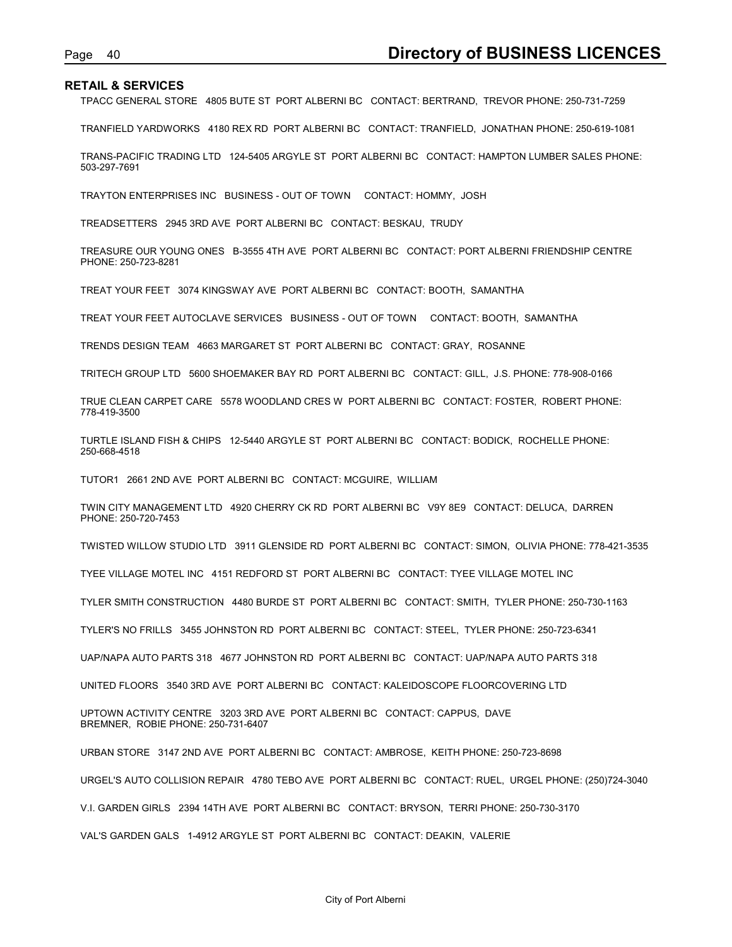Page 40<br> **Directory of BUSINESS LICENCES**<br>
TPACC GENERAL STORE 4805 BUTE ST PORT ALBERNI BC CONTACT: BERTRAND, TREVOR PHONE: 250-731-7259<br>
TRANFIELD YARDWORKS 4180 REX RD PORT ALBERNI BC CONTACT: TRANFIELD, JONATHAN PHONE: TPACC GENERAL STORE 4805 BUTE ST PORT ALBERNI BC CONTACT: BERTRAND, TREVOR PHONE: 250-731-7259

TRANFIELD YARDWORKS 4180 REX RD PORT ALBERNI BC CONTACT: TRANFIELD, JONATHAN PHONE: 250-619-1081

TRANS-PACIFIC TRADING LTD 124-5405 ARGYLE ST PORT ALBERNI BC CONTACT: HAMPTON LUMBER SALES PHONE: 503-297-7691

TRAYTON ENTERPRISES INC BUSINESS - OUT OF TOWN CONTACT: HOMMY, JOSH

TREADSETTERS 2945 3RD AVE PORT ALBERNI BC CONTACT: BESKAU, TRUDY

TREASURE OUR YOUNG ONES B-3555 4TH AVE PORT ALBERNI BC CONTACT: PORT ALBERNI FRIENDSHIP CENTRE PHONE: 250-723-8281

TREAT YOUR FEET 3074 KINGSWAY AVE PORT ALBERNI BC CONTACT: BOOTH, SAMANTHA

TREAT YOUR FEET AUTOCLAVE SERVICES BUSINESS - OUT OF TOWN CONTACT: BOOTH, SAMANTHA

TRENDS DESIGN TEAM 4663 MARGARET ST PORT ALBERNI BC CONTACT: GRAY, ROSANNE

TRITECH GROUP LTD 5600 SHOEMAKER BAY RD PORT ALBERNI BC CONTACT: GILL, J.S. PHONE: 778-908-0166

TRUE CLEAN CARPET CARE 5578 WOODLAND CRES W PORT ALBERNI BC CONTACT: FOSTER, ROBERT PHONE: 778-419-3500

TURTLE ISLAND FISH & CHIPS 12-5440 ARGYLE ST PORT ALBERNI BC CONTACT: BODICK, ROCHELLE PHONE: 250-668-4518

TUTOR1 2661 2ND AVE PORT ALBERNI BC CONTACT: MCGUIRE, WILLIAM

TWIN CITY MANAGEMENT LTD 4920 CHERRY CK RD PORT ALBERNI BC V9Y 8E9 CONTACT: DELUCA, DARREN PHONE: 250-720-7453

TWISTED WILLOW STUDIO LTD 3911 GLENSIDE RD PORT ALBERNI BC CONTACT: SIMON, OLIVIA PHONE: 778-421-3535

TYEE VILLAGE MOTEL INC 4151 REDFORD ST PORT ALBERNI BC CONTACT: TYEE VILLAGE MOTEL INC

TYLER SMITH CONSTRUCTION 4480 BURDE ST PORT ALBERNI BC CONTACT: SMITH, TYLER PHONE: 250-730-1163

TYLER'S NO FRILLS 3455 JOHNSTON RD PORT ALBERNI BC CONTACT: STEEL, TYLER PHONE: 250-723-6341

UAP/NAPA AUTO PARTS 318 4677 JOHNSTON RD PORT ALBERNI BC CONTACT: UAP/NAPA AUTO PARTS 318

UNITED FLOORS 3540 3RD AVE PORT ALBERNI BC CONTACT: KALEIDOSCOPE FLOORCOVERING LTD

UPTOWN ACTIVITY CENTRE 3203 3RD AVE PORT ALBERNI BC CONTACT: CAPPUS, DAVE BREMNER, ROBIE PHONE: 250-731-6407

URBAN STORE 3147 2ND AVE PORT ALBERNI BC CONTACT: AMBROSE, KEITH PHONE: 250-723-8698

URGEL'S AUTO COLLISION REPAIR 4780 TEBO AVE PORT ALBERNI BC CONTACT: RUEL, URGEL PHONE: (250)724-3040

V.I. GARDEN GIRLS 2394 14TH AVE PORT ALBERNI BC CONTACT: BRYSON, TERRI PHONE: 250-730-3170

VAL'S GARDEN GALS 1-4912 ARGYLE ST PORT ALBERNI BC CONTACT: DEAKIN, VALERIE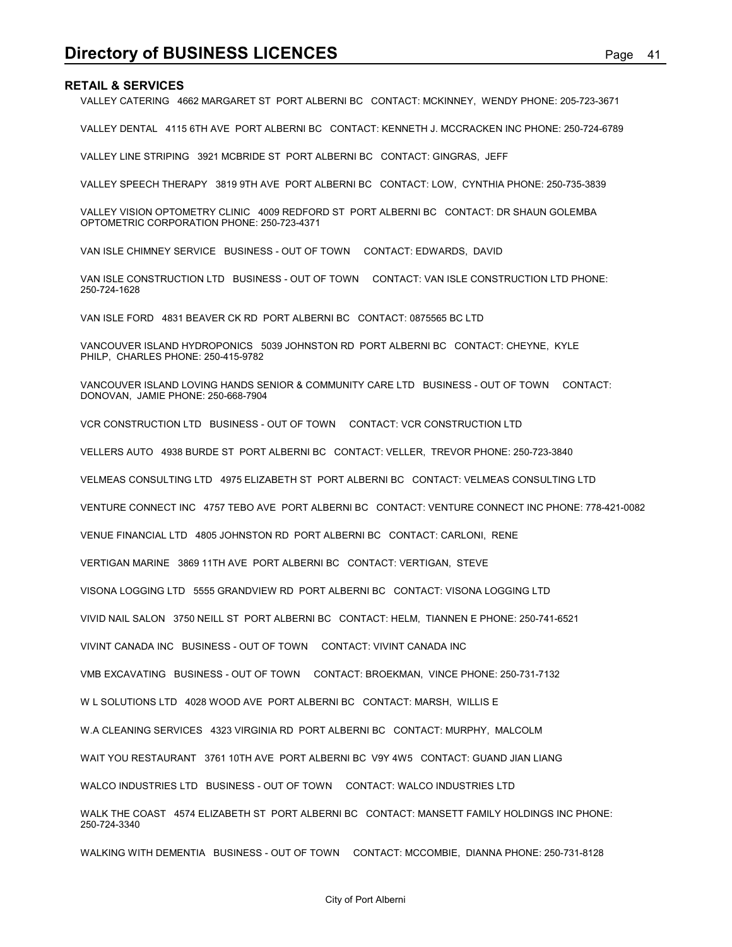**Directory of BUSINESS LICENCES**<br>RETAIL & SERVICES<br>VALLEY CATERING 4662 MARGARET ST PORT ALBERNI BC CONTACT: MCKINNEY, WENDY PHONE: 205-723-3671<br>VALLEY DENTAL 4115 6TH AVE PORT ALBERNI BC CONTACT: KENNETH J. MCCRACKEN INC VALLEY CATERING 4662 MARGARET ST PORT ALBERNI BC CONTACT: MCKINNEY, WENDY PHONE: 205-723-3671

VALLEY DENTAL 4115 6TH AVE PORT ALBERNI BC CONTACT: KENNETH J. MCCRACKEN INC PHONE: 250-724-6789

VALLEY LINE STRIPING 3921 MCBRIDE ST PORT ALBERNI BC CONTACT: GINGRAS, JEFF

VALLEY SPEECH THERAPY 3819 9TH AVE PORT ALBERNI BC CONTACT: LOW, CYNTHIA PHONE: 250-735-3839

VALLEY VISION OPTOMETRY CLINIC 4009 REDFORD ST PORT ALBERNI BC CONTACT: DR SHAUN GOLEMBA OPTOMETRIC CORPORATION PHONE: 250-723-4371

VAN ISLE CHIMNEY SERVICE BUSINESS - OUT OF TOWN CONTACT: EDWARDS, DAVID

VAN ISLE CONSTRUCTION LTD BUSINESS - OUT OF TOWN CONTACT: VAN ISLE CONSTRUCTION LTD PHONE: 250-724-1628

VAN ISLE FORD 4831 BEAVER CK RD PORT ALBERNI BC CONTACT: 0875565 BC LTD

VANCOUVER ISLAND HYDROPONICS 5039 JOHNSTON RD PORT ALBERNI BC CONTACT: CHEYNE, KYLE PHILP, CHARLES PHONE: 250-415-9782

VANCOUVER ISLAND LOVING HANDS SENIOR & COMMUNITY CARE LTD BUSINESS - OUT OF TOWN CONTACT: DONOVAN, JAMIE PHONE: 250-668-7904

VCR CONSTRUCTION LTD BUSINESS - OUT OF TOWN CONTACT: VCR CONSTRUCTION LTD

VELLERS AUTO 4938 BURDE ST PORT ALBERNI BC CONTACT: VELLER, TREVOR PHONE: 250-723-3840

VELMEAS CONSULTING LTD 4975 ELIZABETH ST PORT ALBERNI BC CONTACT: VELMEAS CONSULTING LTD

VENTURE CONNECT INC 4757 TEBO AVE PORT ALBERNI BC CONTACT: VENTURE CONNECT INC PHONE: 778-421-0082

VENUE FINANCIAL LTD 4805 JOHNSTON RD PORT ALBERNI BC CONTACT: CARLONI, RENE

VERTIGAN MARINE 3869 11TH AVE PORT ALBERNI BC CONTACT: VERTIGAN, STEVE

VISONA LOGGING LTD 5555 GRANDVIEW RD PORT ALBERNI BC CONTACT: VISONA LOGGING LTD

VIVID NAIL SALON 3750 NEILL ST PORT ALBERNI BC CONTACT: HELM, TIANNEN E PHONE: 250-741-6521

VIVINT CANADA INC BUSINESS - OUT OF TOWN CONTACT: VIVINT CANADA INC

VMB EXCAVATING BUSINESS - OUT OF TOWN CONTACT: BROEKMAN, VINCE PHONE: 250-731-7132

W L SOLUTIONS LTD 4028 WOOD AVE PORT ALBERNI BC CONTACT: MARSH, WILLIS E

W.A CLEANING SERVICES 4323 VIRGINIA RD PORT ALBERNI BC CONTACT: MURPHY, MALCOLM

WAIT YOU RESTAURANT 3761 10TH AVE PORT ALBERNI BC V9Y 4W5 CONTACT: GUAND JIAN LIANG

WALCO INDUSTRIES LTD BUSINESS - OUT OF TOWN CONTACT: WALCO INDUSTRIES LTD

WALK THE COAST 4574 ELIZABETH ST PORT ALBERNI BC CONTACT: MANSETT FAMILY HOLDINGS INC PHONE: 250-724-3340

WALKING WITH DEMENTIA BUSINESS - OUT OF TOWN CONTACT: MCCOMBIE, DIANNA PHONE: 250-731-8128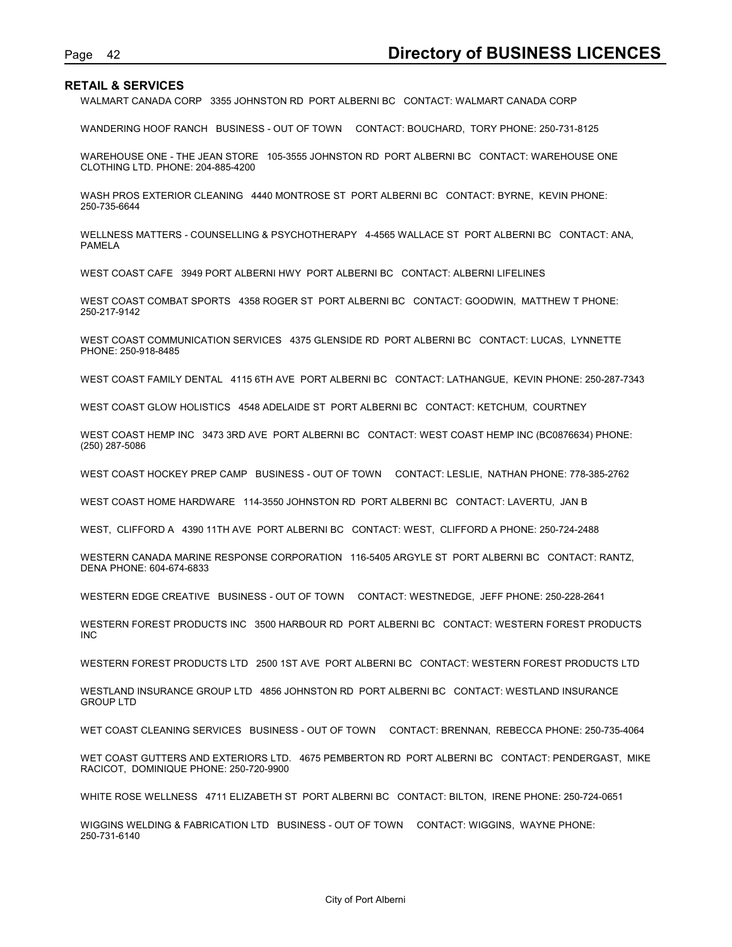Page 42<br> **Directory of BUSINESS LICENCES**<br>
WALMART CANADA CORP 3355 JOHNSTON RD PORT ALBERNI BC CONTACT: WALMART CANADA CORP<br>
WANDERING HOOF RANCH BUSINESS - OUT OF TOWN CONTACT: BOUCHARD, TORY PHONE: 250-731-8125 WALMART CANADA CORP 3355 JOHNSTON RD PORT ALBERNI BC CONTACT: WALMART CANADA CORP

WANDERING HOOF RANCH BUSINESS - OUT OF TOWN CONTACT: BOUCHARD, TORY PHONE: 250-731-8125

WAREHOUSE ONE - THE JEAN STORE 105-3555 JOHNSTON RD PORT ALBERNI BC CONTACT: WAREHOUSE ONE CLOTHING LTD. PHONE: 204-885-4200

WASH PROS EXTERIOR CLEANING 4440 MONTROSE ST PORT ALBERNI BC CONTACT: BYRNE, KEVIN PHONE: 250-735-6644

WELLNESS MATTERS - COUNSELLING & PSYCHOTHERAPY 4-4565 WALLACE ST PORT ALBERNI BC CONTACT: ANA, PAMELA

WEST COAST CAFE 3949 PORT ALBERNI HWY PORT ALBERNI BC CONTACT: ALBERNI LIFELINES

WEST COAST COMBAT SPORTS 4358 ROGER ST PORT ALBERNI BC CONTACT: GOODWIN, MATTHEW T PHONE: 250-217-9142

WEST COAST COMMUNICATION SERVICES 4375 GLENSIDE RD PORT ALBERNI BC CONTACT: LUCAS, LYNNETTE PHONE: 250-918-8485

WEST COAST FAMILY DENTAL 4115 6TH AVE PORT ALBERNI BC CONTACT: LATHANGUE, KEVIN PHONE: 250-287-7343

WEST COAST GLOW HOLISTICS 4548 ADELAIDE ST PORT ALBERNI BC CONTACT: KETCHUM, COURTNEY

WEST COAST HEMP INC 3473 3RD AVE PORT ALBERNI BC CONTACT: WEST COAST HEMP INC (BC0876634) PHONE: (250) 287-5086

WEST COAST HOCKEY PREP CAMP BUSINESS - OUT OF TOWN CONTACT: LESLIE, NATHAN PHONE: 778-385-2762

WEST COAST HOME HARDWARE 114-3550 JOHNSTON RD PORT ALBERNI BC CONTACT: LAVERTU, JAN B

WEST, CLIFFORD A 4390 11TH AVE PORT ALBERNI BC CONTACT: WEST, CLIFFORD A PHONE: 250-724-2488

WESTERN CANADA MARINE RESPONSE CORPORATION 116-5405 ARGYLE ST PORT ALBERNI BC CONTACT: RANTZ, DENA PHONE: 604-674-6833

WESTERN EDGE CREATIVE BUSINESS - OUT OF TOWN CONTACT: WESTNEDGE, JEFF PHONE: 250-228-2641

WESTERN FOREST PRODUCTS INC 3500 HARBOUR RD PORT ALBERNI BC CONTACT: WESTERN FOREST PRODUCTS INC

WESTERN FOREST PRODUCTS LTD 2500 1ST AVE PORT ALBERNI BC CONTACT: WESTERN FOREST PRODUCTS LTD

WESTLAND INSURANCE GROUP LTD 4856 JOHNSTON RD PORT ALBERNI BC CONTACT: WESTLAND INSURANCE GROUP LTD

WET COAST CLEANING SERVICES BUSINESS - OUT OF TOWN CONTACT: BRENNAN, REBECCA PHONE: 250-735-4064

WET COAST GUTTERS AND EXTERIORS LTD. 4675 PEMBERTON RD PORT ALBERNI BC CONTACT: PENDERGAST, MIKE RACICOT, DOMINIQUE PHONE: 250-720-9900

WHITE ROSE WELLNESS 4711 ELIZABETH ST PORT ALBERNI BC CONTACT: BILTON, IRENE PHONE: 250-724-0651

WIGGINS WELDING & FABRICATION LTD BUSINESS - OUT OF TOWN CONTACT: WIGGINS, WAYNE PHONE: 250-731-6140